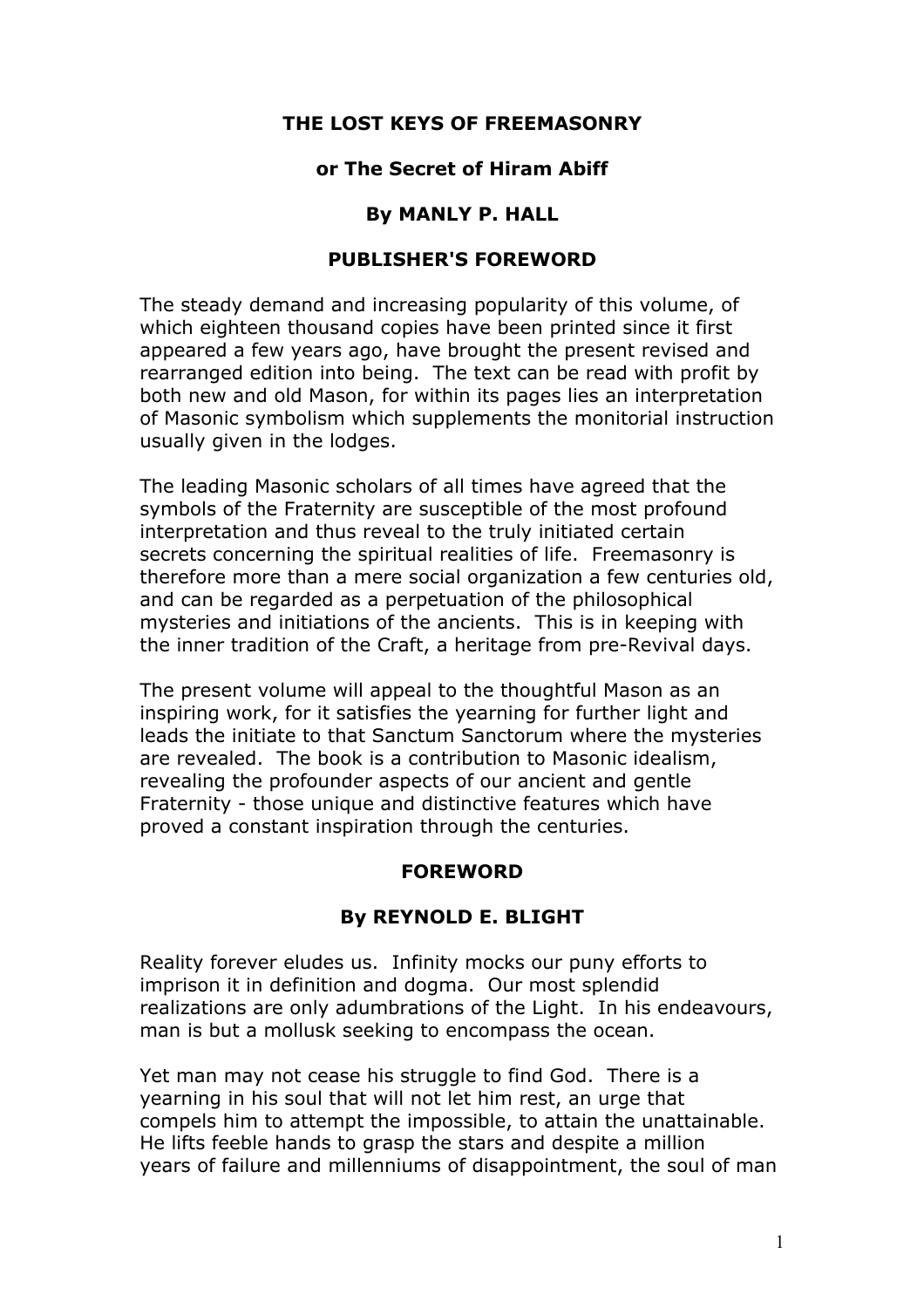## **THE LOST KEYS OF FREEMASONRY**

## **or The Secret of Hiram Abiff**

## **By MANLY P. HALL**

### **PUBLISHER'S FOREWORD**

The steady demand and increasing popularity of this volume, of which eighteen thousand copies have been printed since it first appeared a few years ago, have brought the present revised and rearranged edition into being. The text can be read with profit by both new and old Mason, for within its pages lies an interpretation of Masonic symbolism which supplements the monitorial instruction usually given in the lodges.

The leading Masonic scholars of all times have agreed that the symbols of the Fraternity are susceptible of the most profound interpretation and thus reveal to the truly initiated certain secrets concerning the spiritual realities of life. Freemasonry is therefore more than a mere social organization a few centuries old, and can be regarded as a perpetuation of the philosophical mysteries and initiations of the ancients. This is in keeping with the inner tradition of the Craft, a heritage from pre-Revival days.

The present volume will appeal to the thoughtful Mason as an inspiring work, for it satisfies the yearning for further light and leads the initiate to that Sanctum Sanctorum where the mysteries are revealed. The book is a contribution to Masonic idealism, revealing the profounder aspects of our ancient and gentle Fraternity - those unique and distinctive features which have proved a constant inspiration through the centuries.

## **FOREWORD**

## **By REYNOLD E. BLIGHT**

Reality forever eludes us. Infinity mocks our puny efforts to imprison it in definition and dogma. Our most splendid realizations are only adumbrations of the Light. In his endeavours, man is but a mollusk seeking to encompass the ocean.

Yet man may not cease his struggle to find God. There is a yearning in his soul that will not let him rest, an urge that compels him to attempt the impossible, to attain the unattainable. He lifts feeble hands to grasp the stars and despite a million years of failure and millenniums of disappointment, the soul of man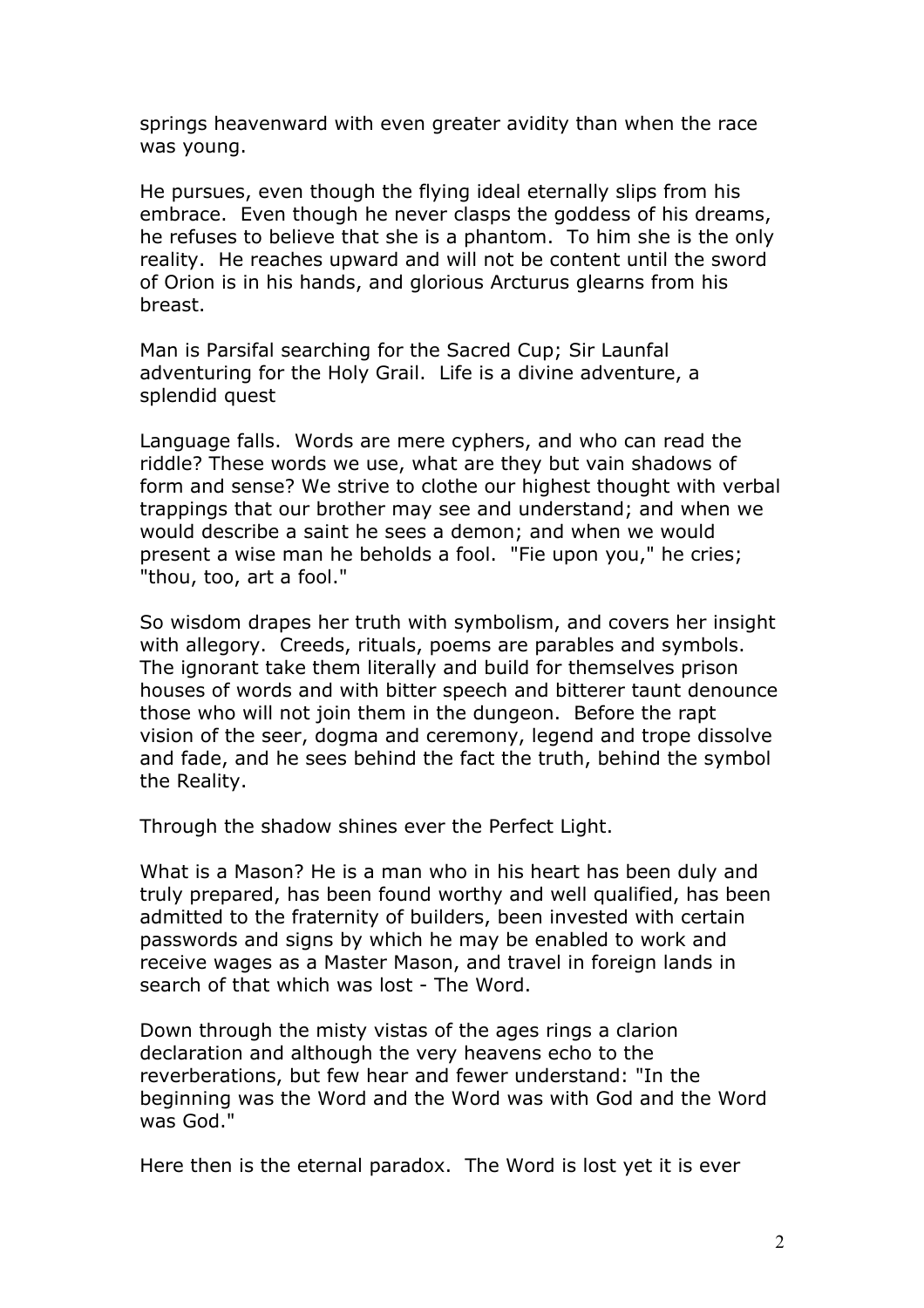springs heavenward with even greater avidity than when the race was young.

He pursues, even though the flying ideal eternally slips from his embrace. Even though he never clasps the goddess of his dreams, he refuses to believe that she is a phantom. To him she is the only reality. He reaches upward and will not be content until the sword of Orion is in his hands, and glorious Arcturus glearns from his breast.

Man is Parsifal searching for the Sacred Cup; Sir Launfal adventuring for the Holy Grail. Life is a divine adventure, a splendid quest

Language falls. Words are mere cyphers, and who can read the riddle? These words we use, what are they but vain shadows of form and sense? We strive to clothe our highest thought with verbal trappings that our brother may see and understand; and when we would describe a saint he sees a demon; and when we would present a wise man he beholds a fool. "Fie upon you," he cries; "thou, too, art a fool."

So wisdom drapes her truth with symbolism, and covers her insight with allegory. Creeds, rituals, poems are parables and symbols. The ignorant take them literally and build for themselves prison houses of words and with bitter speech and bitterer taunt denounce those who will not join them in the dungeon. Before the rapt vision of the seer, dogma and ceremony, legend and trope dissolve and fade, and he sees behind the fact the truth, behind the symbol the Reality.

Through the shadow shines ever the Perfect Light.

What is a Mason? He is a man who in his heart has been duly and truly prepared, has been found worthy and well qualified, has been admitted to the fraternity of builders, been invested with certain passwords and signs by which he may be enabled to work and receive wages as a Master Mason, and travel in foreign lands in search of that which was lost - The Word.

Down through the misty vistas of the ages rings a clarion declaration and although the very heavens echo to the reverberations, but few hear and fewer understand: "In the beginning was the Word and the Word was with God and the Word was God."

Here then is the eternal paradox. The Word is lost yet it is ever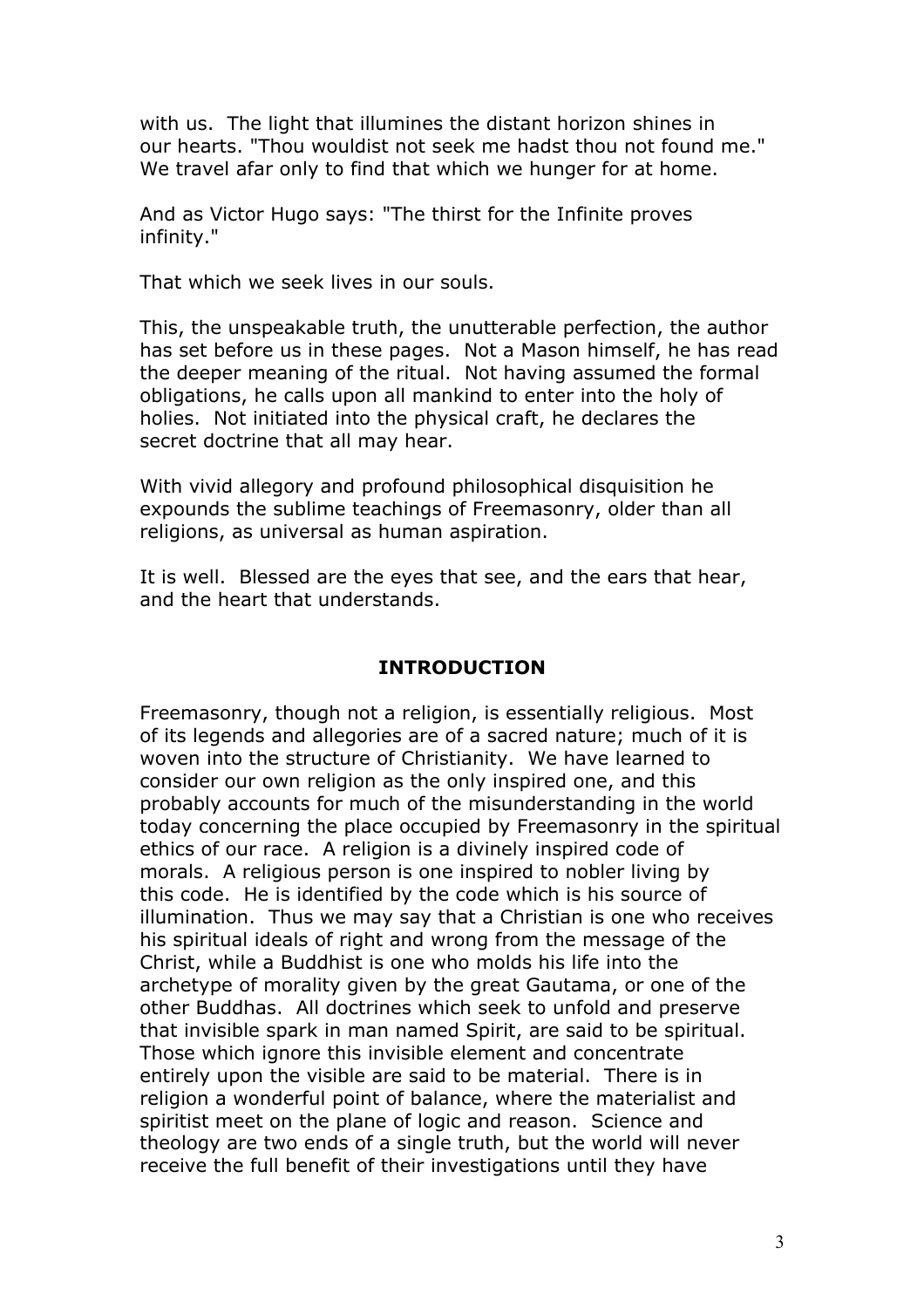with us. The light that illumines the distant horizon shines in our hearts. "Thou wouldist not seek me hadst thou not found me." We travel afar only to find that which we hunger for at home.

And as Victor Hugo says: "The thirst for the Infinite proves infinity."

That which we seek lives in our souls.

This, the unspeakable truth, the unutterable perfection, the author has set before us in these pages. Not a Mason himself, he has read the deeper meaning of the ritual. Not having assumed the formal obligations, he calls upon all mankind to enter into the holy of holies. Not initiated into the physical craft, he declares the secret doctrine that all may hear.

With vivid allegory and profound philosophical disquisition he expounds the sublime teachings of Freemasonry, older than all religions, as universal as human aspiration.

It is well. Blessed are the eyes that see, and the ears that hear, and the heart that understands.

## **INTRODUCTION**

Freemasonry, though not a religion, is essentially religious. Most of its legends and allegories are of a sacred nature; much of it is woven into the structure of Christianity. We have learned to consider our own religion as the only inspired one, and this probably accounts for much of the misunderstanding in the world today concerning the place occupied by Freemasonry in the spiritual ethics of our race. A religion is a divinely inspired code of morals. A religious person is one inspired to nobler living by this code. He is identified by the code which is his source of illumination. Thus we may say that a Christian is one who receives his spiritual ideals of right and wrong from the message of the Christ, while a Buddhist is one who molds his life into the archetype of morality given by the great Gautama, or one of the other Buddhas. All doctrines which seek to unfold and preserve that invisible spark in man named Spirit, are said to be spiritual. Those which ignore this invisible element and concentrate entirely upon the visible are said to be material. There is in religion a wonderful point of balance, where the materialist and spiritist meet on the plane of logic and reason. Science and theology are two ends of a single truth, but the world will never receive the full benefit of their investigations until they have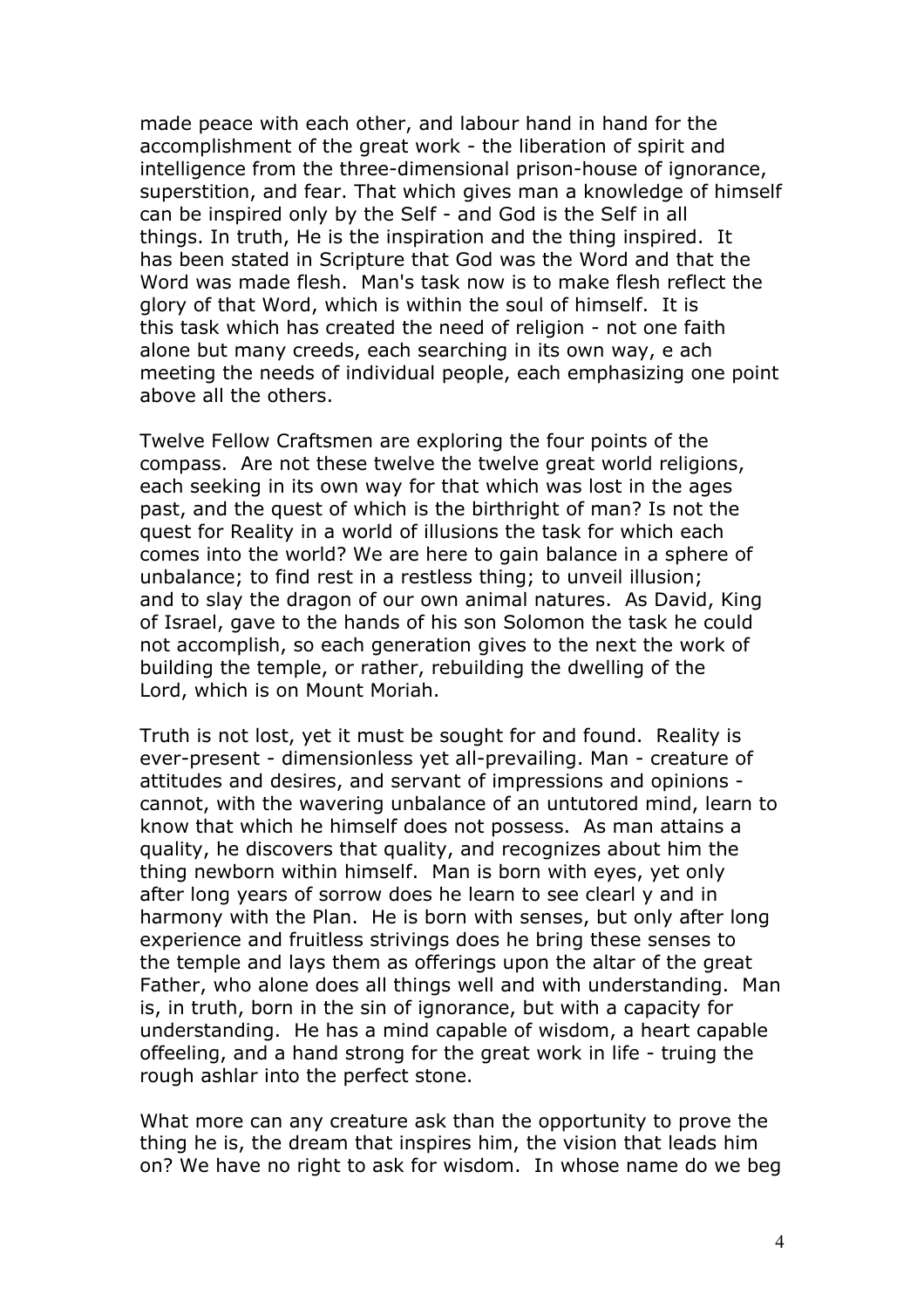made peace with each other, and labour hand in hand for the accomplishment of the great work - the liberation of spirit and intelligence from the three-dimensional prison-house of ignorance, superstition, and fear. That which gives man a knowledge of himself can be inspired only by the Self - and God is the Self in all things. In truth, He is the inspiration and the thing inspired. It has been stated in Scripture that God was the Word and that the Word was made flesh. Man's task now is to make flesh reflect the glory of that Word, which is within the soul of himself. It is this task which has created the need of religion - not one faith alone but many creeds, each searching in its own way, e ach meeting the needs of individual people, each emphasizing one point above all the others.

Twelve Fellow Craftsmen are exploring the four points of the compass. Are not these twelve the twelve great world religions, each seeking in its own way for that which was lost in the ages past, and the quest of which is the birthright of man? Is not the quest for Reality in a world of illusions the task for which each comes into the world? We are here to gain balance in a sphere of unbalance; to find rest in a restless thing; to unveil illusion; and to slay the dragon of our own animal natures. As David, King of Israel, gave to the hands of his son Solomon the task he could not accomplish, so each generation gives to the next the work of building the temple, or rather, rebuilding the dwelling of the Lord, which is on Mount Moriah.

Truth is not lost, yet it must be sought for and found. Reality is ever-present - dimensionless yet all-prevailing. Man - creature of attitudes and desires, and servant of impressions and opinions cannot, with the wavering unbalance of an untutored mind, learn to know that which he himself does not possess. As man attains a quality, he discovers that quality, and recognizes about him the thing newborn within himself. Man is born with eyes, yet only after long years of sorrow does he learn to see clearl y and in harmony with the Plan. He is born with senses, but only after long experience and fruitless strivings does he bring these senses to the temple and lays them as offerings upon the altar of the great Father, who alone does all things well and with understanding. Man is, in truth, born in the sin of ignorance, but with a capacity for understanding. He has a mind capable of wisdom, a heart capable offeeling, and a hand strong for the great work in life - truing the rough ashlar into the perfect stone.

What more can any creature ask than the opportunity to prove the thing he is, the dream that inspires him, the vision that leads him on? We have no right to ask for wisdom. In whose name do we beg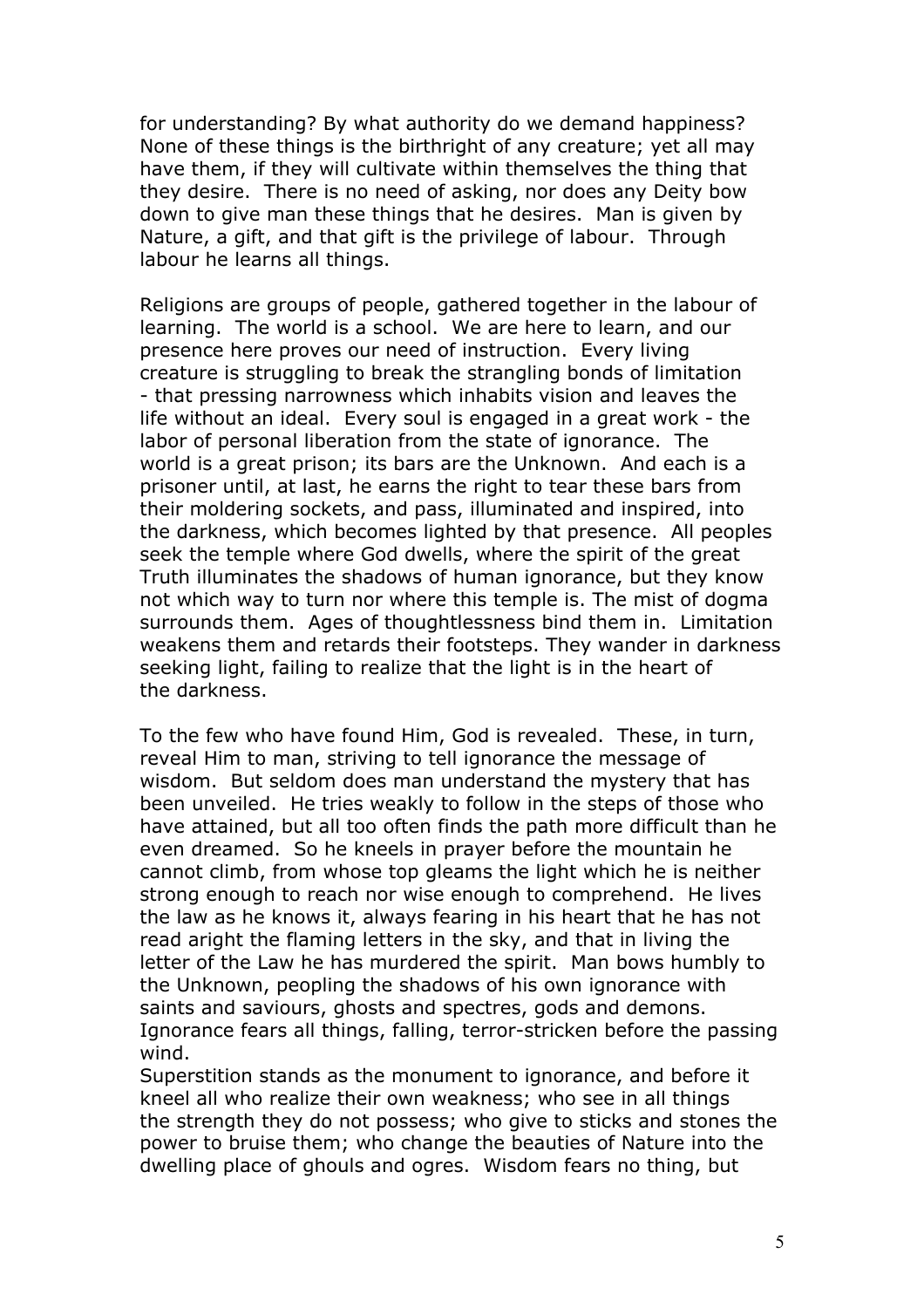for understanding? By what authority do we demand happiness? None of these things is the birthright of any creature; yet all may have them, if they will cultivate within themselves the thing that they desire. There is no need of asking, nor does any Deity bow down to give man these things that he desires. Man is given by Nature, a gift, and that gift is the privilege of labour. Through labour he learns all things.

Religions are groups of people, gathered together in the labour of learning. The world is a school. We are here to learn, and our presence here proves our need of instruction. Every living creature is struggling to break the strangling bonds of limitation - that pressing narrowness which inhabits vision and leaves the life without an ideal. Every soul is engaged in a great work - the labor of personal liberation from the state of ignorance. The world is a great prison; its bars are the Unknown. And each is a prisoner until, at last, he earns the right to tear these bars from their moldering sockets, and pass, illuminated and inspired, into the darkness, which becomes lighted by that presence. All peoples seek the temple where God dwells, where the spirit of the great Truth illuminates the shadows of human ignorance, but they know not which way to turn nor where this temple is. The mist of dogma surrounds them. Ages of thoughtlessness bind them in. Limitation weakens them and retards their footsteps. They wander in darkness seeking light, failing to realize that the light is in the heart of the darkness.

To the few who have found Him, God is revealed. These, in turn, reveal Him to man, striving to tell ignorance the message of wisdom. But seldom does man understand the mystery that has been unveiled. He tries weakly to follow in the steps of those who have attained, but all too often finds the path more difficult than he even dreamed. So he kneels in prayer before the mountain he cannot climb, from whose top gleams the light which he is neither strong enough to reach nor wise enough to comprehend. He lives the law as he knows it, always fearing in his heart that he has not read aright the flaming letters in the sky, and that in living the letter of the Law he has murdered the spirit. Man bows humbly to the Unknown, peopling the shadows of his own ignorance with saints and saviours, ghosts and spectres, gods and demons. Ignorance fears all things, falling, terror-stricken before the passing wind.

Superstition stands as the monument to ignorance, and before it kneel all who realize their own weakness; who see in all things the strength they do not possess; who give to sticks and stones the power to bruise them; who change the beauties of Nature into the dwelling place of ghouls and ogres. Wisdom fears no thing, but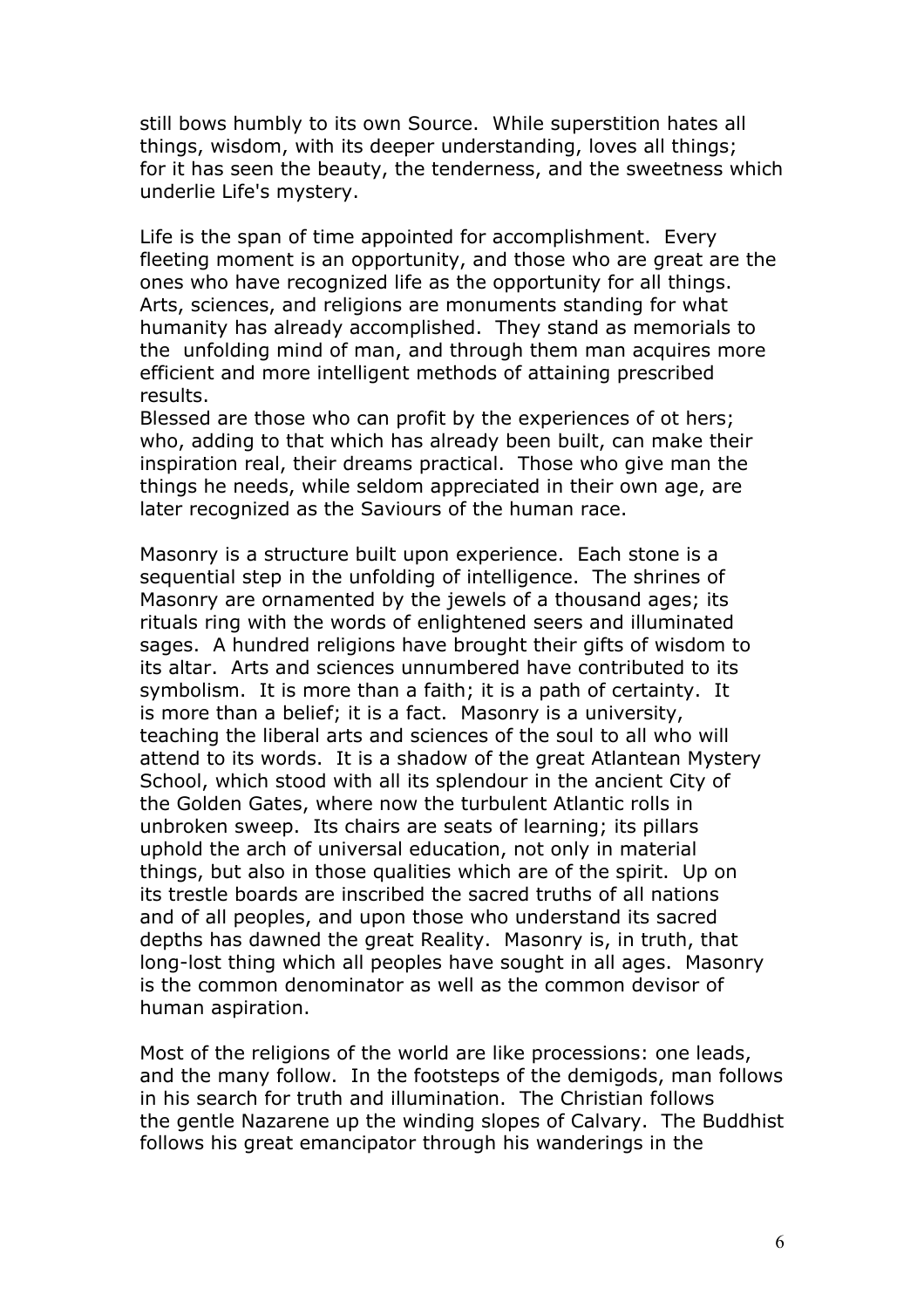still bows humbly to its own Source. While superstition hates all things, wisdom, with its deeper understanding, loves all things; for it has seen the beauty, the tenderness, and the sweetness which underlie Life's mystery.

Life is the span of time appointed for accomplishment. Every fleeting moment is an opportunity, and those who are great are the ones who have recognized life as the opportunity for all things. Arts, sciences, and religions are monuments standing for what humanity has already accomplished. They stand as memorials to the unfolding mind of man, and through them man acquires more efficient and more intelligent methods of attaining prescribed results.

Blessed are those who can profit by the experiences of ot hers; who, adding to that which has already been built, can make their inspiration real, their dreams practical. Those who give man the things he needs, while seldom appreciated in their own age, are later recognized as the Saviours of the human race.

Masonry is a structure built upon experience. Each stone is a sequential step in the unfolding of intelligence. The shrines of Masonry are ornamented by the jewels of a thousand ages; its rituals ring with the words of enlightened seers and illuminated sages. A hundred religions have brought their gifts of wisdom to its altar. Arts and sciences unnumbered have contributed to its symbolism. It is more than a faith; it is a path of certainty. It is more than a belief; it is a fact. Masonry is a university, teaching the liberal arts and sciences of the soul to all who will attend to its words. It is a shadow of the great Atlantean Mystery School, which stood with all its splendour in the ancient City of the Golden Gates, where now the turbulent Atlantic rolls in unbroken sweep. Its chairs are seats of learning; its pillars uphold the arch of universal education, not only in material things, but also in those qualities which are of the spirit. Up on its trestle boards are inscribed the sacred truths of all nations and of all peoples, and upon those who understand its sacred depths has dawned the great Reality. Masonry is, in truth, that long-lost thing which all peoples have sought in all ages. Masonry is the common denominator as well as the common devisor of human aspiration.

Most of the religions of the world are like processions: one leads, and the many follow. In the footsteps of the demigods, man follows in his search for truth and illumination. The Christian follows the gentle Nazarene up the winding slopes of Calvary. The Buddhist follows his great emancipator through his wanderings in the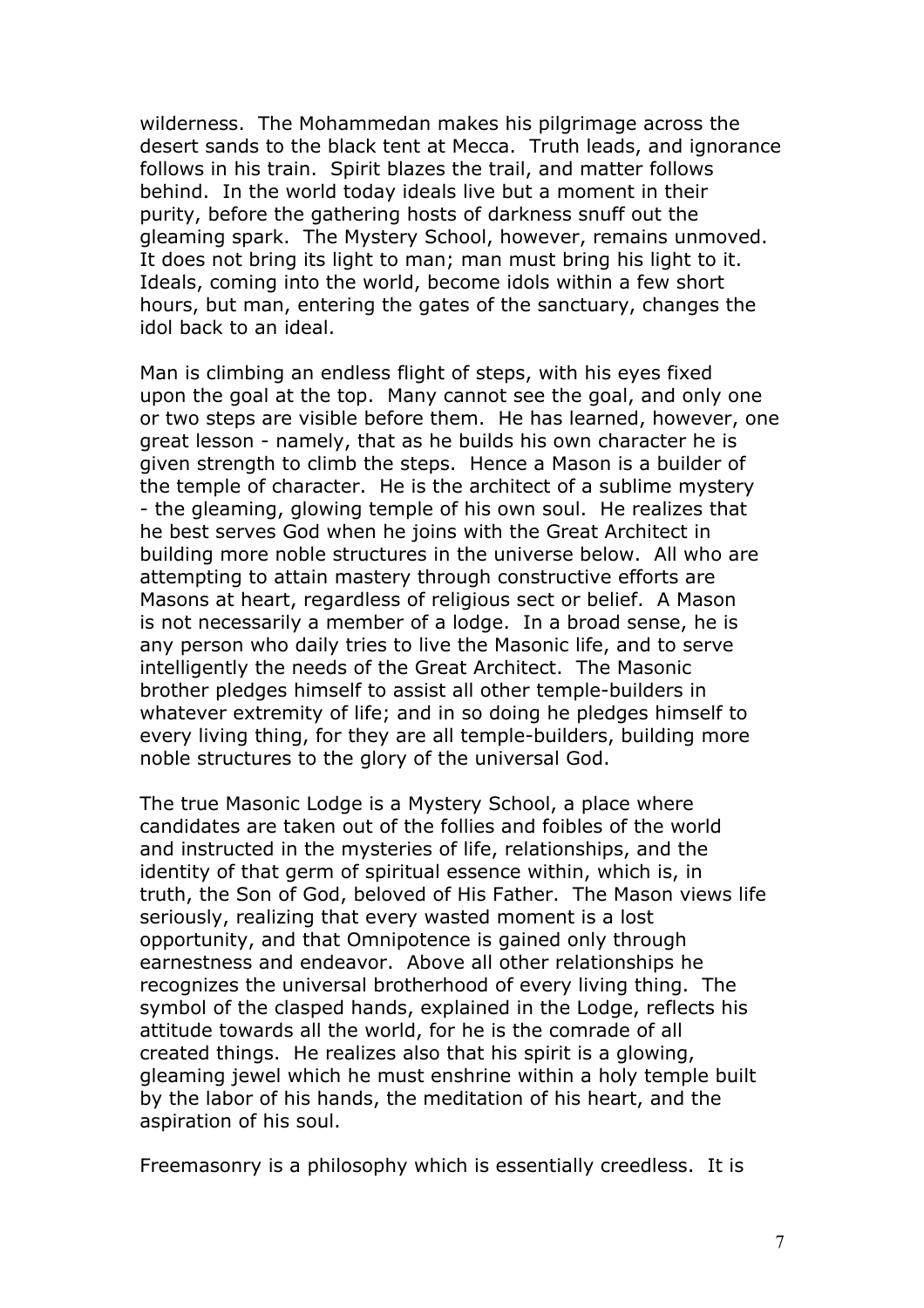wilderness. The Mohammedan makes his pilgrimage across the desert sands to the black tent at Mecca. Truth leads, and ignorance follows in his train. Spirit blazes the trail, and matter follows behind. In the world today ideals live but a moment in their purity, before the gathering hosts of darkness snuff out the gleaming spark. The Mystery School, however, remains unmoved. It does not bring its light to man; man must bring his light to it. Ideals, coming into the world, become idols within a few short hours, but man, entering the gates of the sanctuary, changes the idol back to an ideal.

Man is climbing an endless flight of steps, with his eyes fixed upon the goal at the top. Many cannot see the goal, and only one or two steps are visible before them. He has learned, however, one great lesson - namely, that as he builds his own character he is given strength to climb the steps. Hence a Mason is a builder of the temple of character. He is the architect of a sublime mystery - the gleaming, glowing temple of his own soul. He realizes that he best serves God when he joins with the Great Architect in building more noble structures in the universe below. All who are attempting to attain mastery through constructive efforts are Masons at heart, regardless of religious sect or belief. A Mason is not necessarily a member of a lodge. In a broad sense, he is any person who daily tries to live the Masonic life, and to serve intelligently the needs of the Great Architect. The Masonic brother pledges himself to assist all other temple-builders in whatever extremity of life; and in so doing he pledges himself to every living thing, for they are all temple-builders, building more noble structures to the glory of the universal God.

The true Masonic Lodge is a Mystery School, a place where candidates are taken out of the follies and foibles of the world and instructed in the mysteries of life, relationships, and the identity of that germ of spiritual essence within, which is, in truth, the Son of God, beloved of His Father. The Mason views life seriously, realizing that every wasted moment is a lost opportunity, and that Omnipotence is gained only through earnestness and endeavor. Above all other relationships he recognizes the universal brotherhood of every living thing. The symbol of the clasped hands, explained in the Lodge, reflects his attitude towards all the world, for he is the comrade of all created things. He realizes also that his spirit is a glowing, gleaming jewel which he must enshrine within a holy temple built by the labor of his hands, the meditation of his heart, and the aspiration of his soul.

Freemasonry is a philosophy which is essentially creedless. It is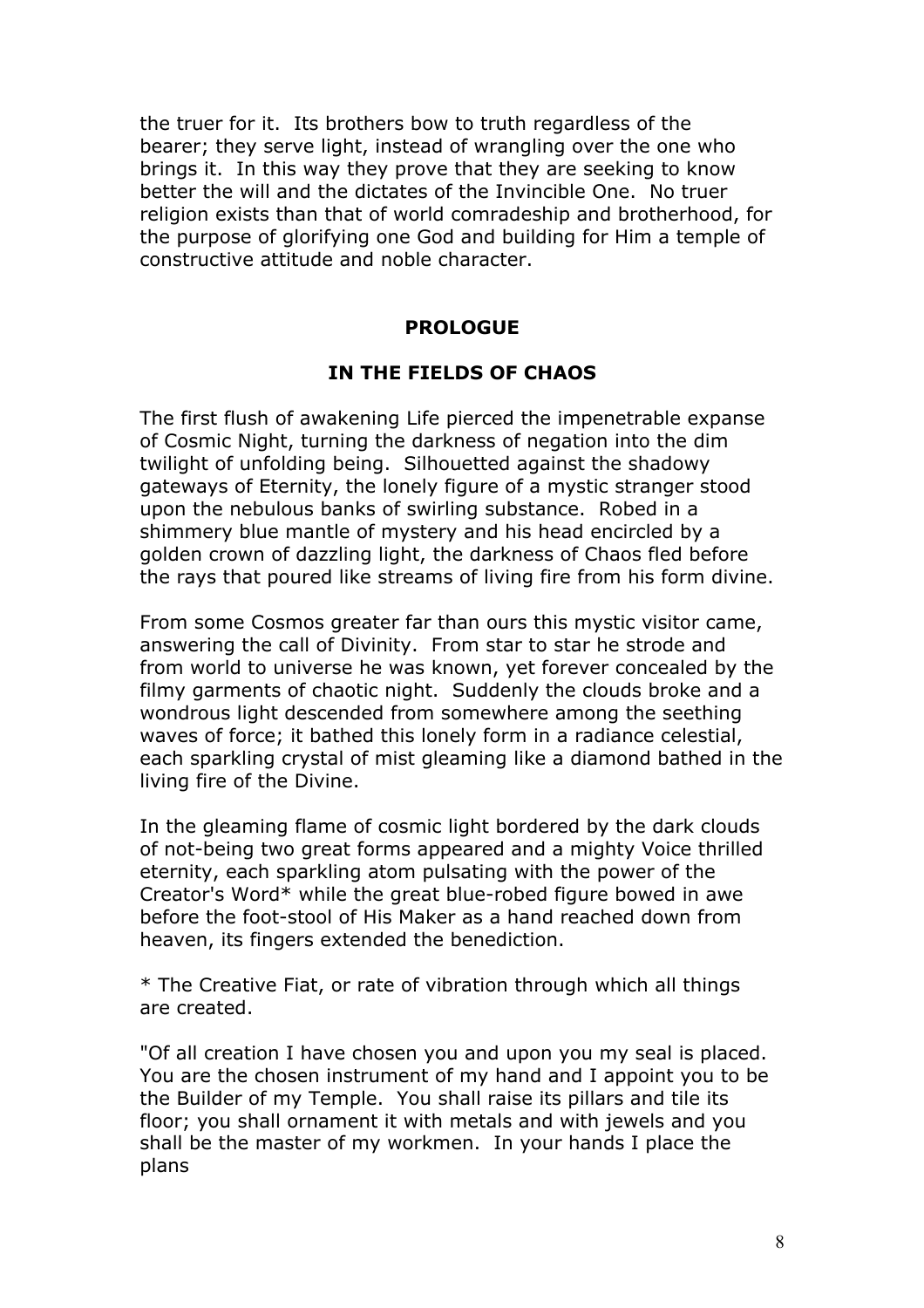the truer for it. Its brothers bow to truth regardless of the bearer; they serve light, instead of wrangling over the one who brings it. In this way they prove that they are seeking to know better the will and the dictates of the Invincible One. No truer religion exists than that of world comradeship and brotherhood, for the purpose of glorifying one God and building for Him a temple of constructive attitude and noble character.

### **PROLOGUE**

#### **IN THE FIELDS OF CHAOS**

The first flush of awakening Life pierced the impenetrable expanse of Cosmic Night, turning the darkness of negation into the dim twilight of unfolding being. Silhouetted against the shadowy gateways of Eternity, the lonely figure of a mystic stranger stood upon the nebulous banks of swirling substance. Robed in a shimmery blue mantle of mystery and his head encircled by a golden crown of dazzling light, the darkness of Chaos fled before the rays that poured like streams of living fire from his form divine.

From some Cosmos greater far than ours this mystic visitor came, answering the call of Divinity. From star to star he strode and from world to universe he was known, yet forever concealed by the filmy garments of chaotic night. Suddenly the clouds broke and a wondrous light descended from somewhere among the seething waves of force; it bathed this lonely form in a radiance celestial, each sparkling crystal of mist gleaming like a diamond bathed in the living fire of the Divine.

In the gleaming flame of cosmic light bordered by the dark clouds of not-being two great forms appeared and a mighty Voice thrilled eternity, each sparkling atom pulsating with the power of the Creator's Word\* while the great blue-robed figure bowed in awe before the foot-stool of His Maker as a hand reached down from heaven, its fingers extended the benediction.

\* The Creative Fiat, or rate of vibration through which all things are created.

"Of all creation I have chosen you and upon you my seal is placed. You are the chosen instrument of my hand and I appoint you to be the Builder of my Temple. You shall raise its pillars and tile its floor; you shall ornament it with metals and with jewels and you shall be the master of my workmen. In your hands I place the plans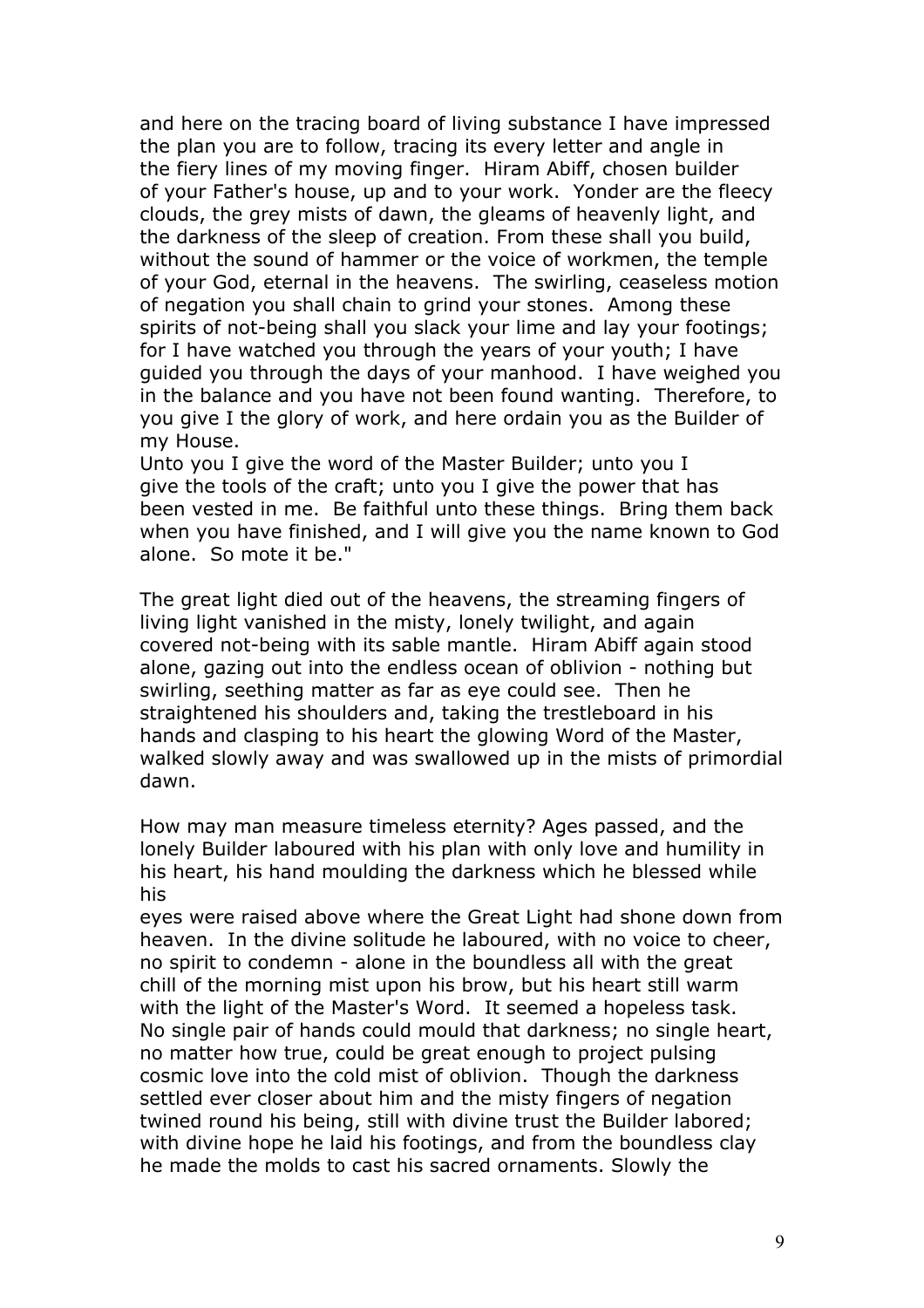and here on the tracing board of living substance I have impressed the plan you are to follow, tracing its every letter and angle in the fiery lines of my moving finger. Hiram Abiff, chosen builder of your Father's house, up and to your work. Yonder are the fleecy clouds, the grey mists of dawn, the gleams of heavenly light, and the darkness of the sleep of creation. From these shall you build, without the sound of hammer or the voice of workmen, the temple of your God, eternal in the heavens. The swirling, ceaseless motion of negation you shall chain to grind your stones. Among these spirits of not-being shall you slack your lime and lay your footings; for I have watched you through the years of your youth; I have guided you through the days of your manhood. I have weighed you in the balance and you have not been found wanting. Therefore, to you give I the glory of work, and here ordain you as the Builder of my House.

Unto you I give the word of the Master Builder; unto you I give the tools of the craft; unto you I give the power that has been vested in me. Be faithful unto these things. Bring them back when you have finished, and I will give you the name known to God alone. So mote it be."

The great light died out of the heavens, the streaming fingers of living light vanished in the misty, lonely twilight, and again covered not-being with its sable mantle. Hiram Abiff again stood alone, gazing out into the endless ocean of oblivion - nothing but swirling, seething matter as far as eye could see. Then he straightened his shoulders and, taking the trestleboard in his hands and clasping to his heart the glowing Word of the Master, walked slowly away and was swallowed up in the mists of primordial dawn.

How may man measure timeless eternity? Ages passed, and the lonely Builder laboured with his plan with only love and humility in his heart, his hand moulding the darkness which he blessed while his

eyes were raised above where the Great Light had shone down from heaven. In the divine solitude he laboured, with no voice to cheer, no spirit to condemn - alone in the boundless all with the great chill of the morning mist upon his brow, but his heart still warm with the light of the Master's Word. It seemed a hopeless task. No single pair of hands could mould that darkness; no single heart, no matter how true, could be great enough to project pulsing cosmic love into the cold mist of oblivion. Though the darkness settled ever closer about him and the misty fingers of negation twined round his being, still with divine trust the Builder labored; with divine hope he laid his footings, and from the boundless clay he made the molds to cast his sacred ornaments. Slowly the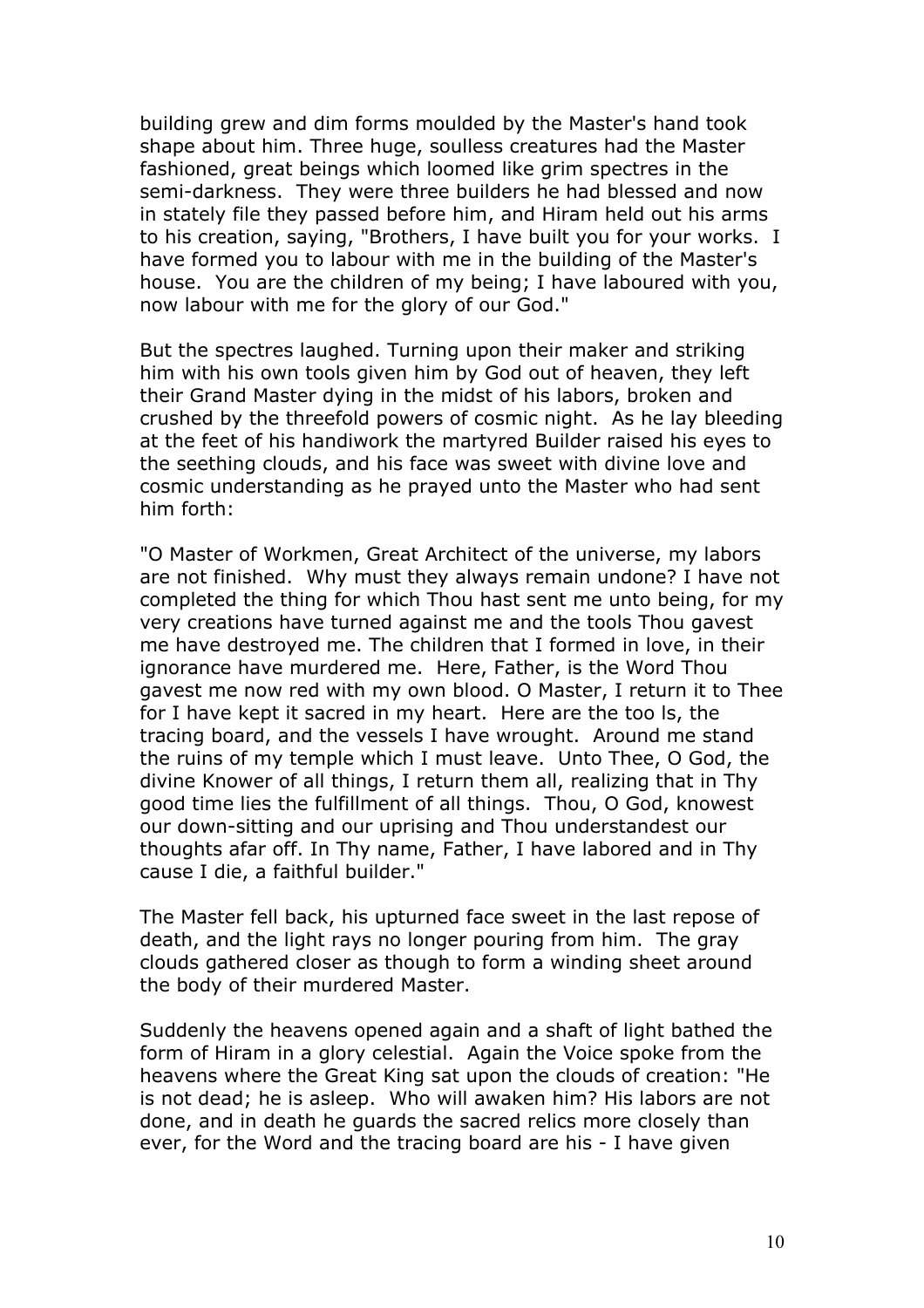building grew and dim forms moulded by the Master's hand took shape about him. Three huge, soulless creatures had the Master fashioned, great beings which loomed like grim spectres in the semi-darkness. They were three builders he had blessed and now in stately file they passed before him, and Hiram held out his arms to his creation, saying, "Brothers, I have built you for your works. I have formed you to labour with me in the building of the Master's house. You are the children of my being; I have laboured with you, now labour with me for the glory of our God."

But the spectres laughed. Turning upon their maker and striking him with his own tools given him by God out of heaven, they left their Grand Master dying in the midst of his labors, broken and crushed by the threefold powers of cosmic night. As he lay bleeding at the feet of his handiwork the martyred Builder raised his eyes to the seething clouds, and his face was sweet with divine love and cosmic understanding as he prayed unto the Master who had sent him forth:

"O Master of Workmen, Great Architect of the universe, my labors are not finished. Why must they always remain undone? I have not completed the thing for which Thou hast sent me unto being, for my very creations have turned against me and the tools Thou gavest me have destroyed me. The children that I formed in love, in their ignorance have murdered me. Here, Father, is the Word Thou gavest me now red with my own blood. O Master, I return it to Thee for I have kept it sacred in my heart. Here are the too ls, the tracing board, and the vessels I have wrought. Around me stand the ruins of my temple which I must leave. Unto Thee, O God, the divine Knower of all things, I return them all, realizing that in Thy good time lies the fulfillment of all things. Thou, O God, knowest our down-sitting and our uprising and Thou understandest our thoughts afar off. In Thy name, Father, I have labored and in Thy cause I die, a faithful builder."

The Master fell back, his upturned face sweet in the last repose of death, and the light rays no longer pouring from him. The gray clouds gathered closer as though to form a winding sheet around the body of their murdered Master.

Suddenly the heavens opened again and a shaft of light bathed the form of Hiram in a glory celestial. Again the Voice spoke from the heavens where the Great King sat upon the clouds of creation: "He is not dead; he is asleep. Who will awaken him? His labors are not done, and in death he guards the sacred relics more closely than ever, for the Word and the tracing board are his - I have given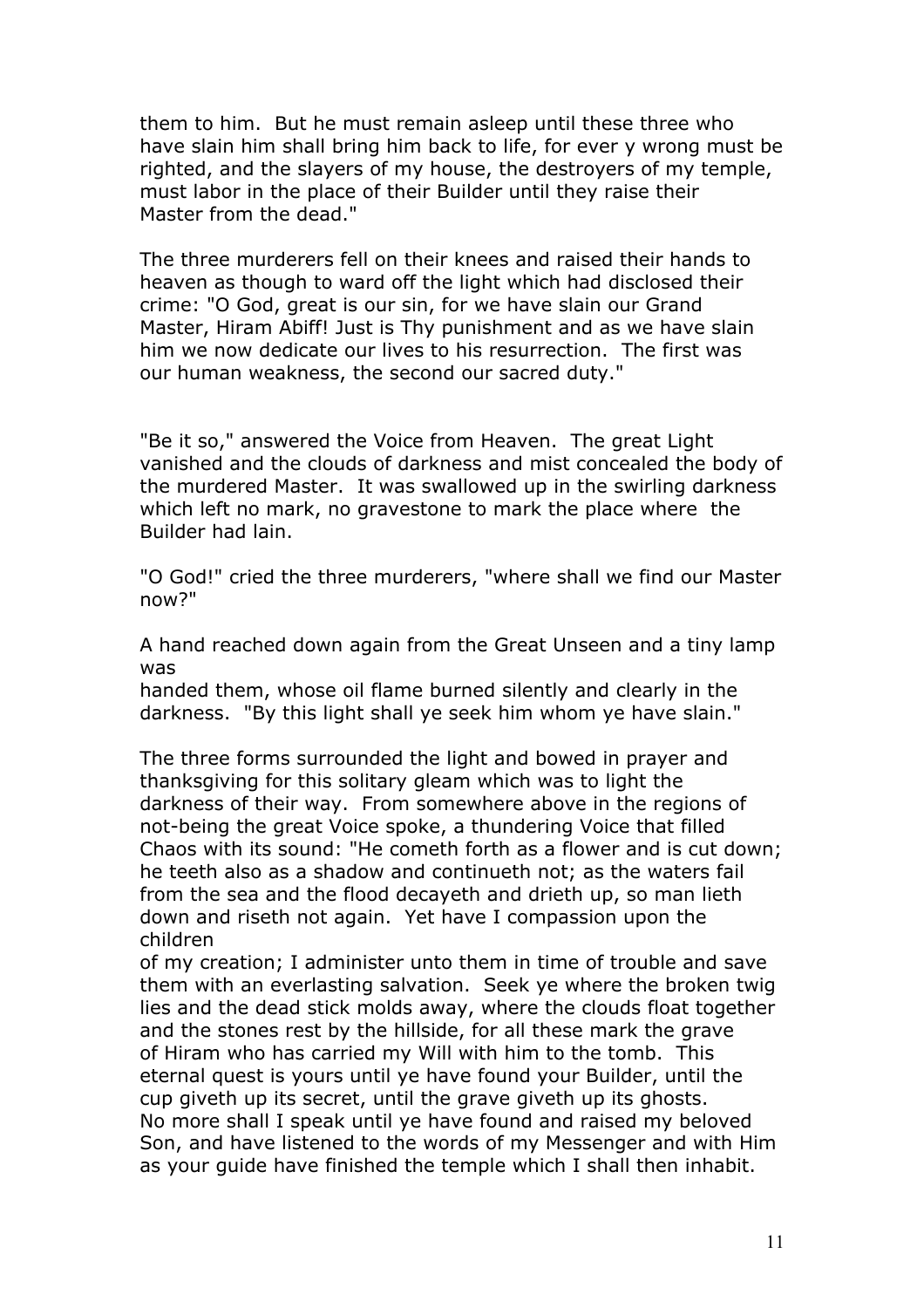them to him. But he must remain asleep until these three who have slain him shall bring him back to life, for ever y wrong must be righted, and the slayers of my house, the destroyers of my temple, must labor in the place of their Builder until they raise their Master from the dead."

The three murderers fell on their knees and raised their hands to heaven as though to ward off the light which had disclosed their crime: "O God, great is our sin, for we have slain our Grand Master, Hiram Abiff! Just is Thy punishment and as we have slain him we now dedicate our lives to his resurrection. The first was our human weakness, the second our sacred duty."

"Be it so," answered the Voice from Heaven. The great Light vanished and the clouds of darkness and mist concealed the body of the murdered Master. It was swallowed up in the swirling darkness which left no mark, no gravestone to mark the place where the Builder had lain.

"O God!" cried the three murderers, "where shall we find our Master now?"

A hand reached down again from the Great Unseen and a tiny lamp was

handed them, whose oil flame burned silently and clearly in the darkness. "By this light shall ye seek him whom ye have slain."

The three forms surrounded the light and bowed in prayer and thanksgiving for this solitary gleam which was to light the darkness of their way. From somewhere above in the regions of not-being the great Voice spoke, a thundering Voice that filled Chaos with its sound: "He cometh forth as a flower and is cut down; he teeth also as a shadow and continueth not; as the waters fail from the sea and the flood decayeth and drieth up, so man lieth down and riseth not again. Yet have I compassion upon the children

of my creation; I administer unto them in time of trouble and save them with an everlasting salvation. Seek ye where the broken twig lies and the dead stick molds away, where the clouds float together and the stones rest by the hillside, for all these mark the grave of Hiram who has carried my Will with him to the tomb. This eternal quest is yours until ye have found your Builder, until the cup giveth up its secret, until the grave giveth up its ghosts. No more shall I speak until ye have found and raised my beloved Son, and have listened to the words of my Messenger and with Him as your guide have finished the temple which I shall then inhabit.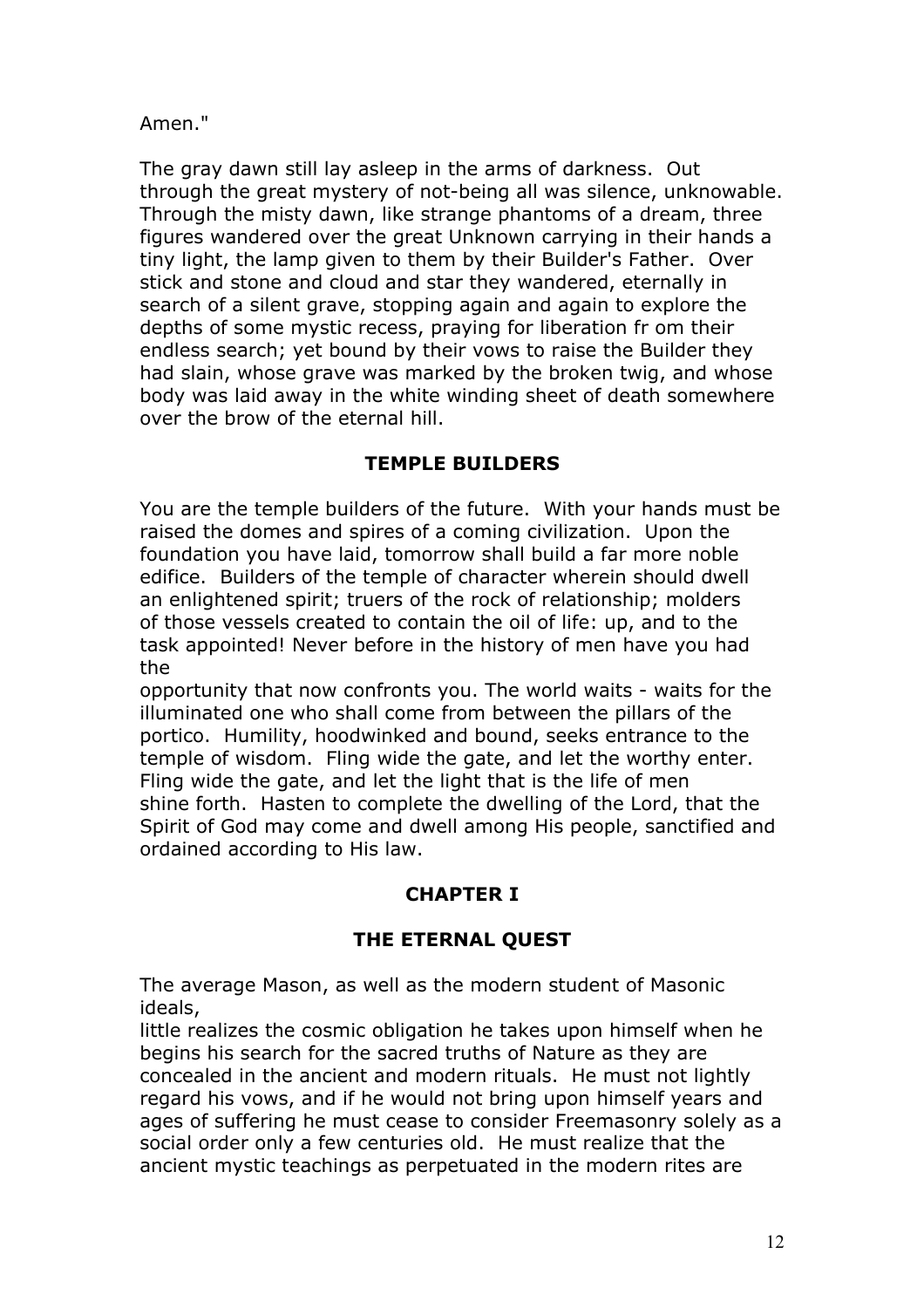Amen."

The gray dawn still lay asleep in the arms of darkness. Out through the great mystery of not-being all was silence, unknowable. Through the misty dawn, like strange phantoms of a dream, three figures wandered over the great Unknown carrying in their hands a tiny light, the lamp given to them by their Builder's Father. Over stick and stone and cloud and star they wandered, eternally in search of a silent grave, stopping again and again to explore the depths of some mystic recess, praying for liberation fr om their endless search; yet bound by their vows to raise the Builder they had slain, whose grave was marked by the broken twig, and whose body was laid away in the white winding sheet of death somewhere over the brow of the eternal hill.

## **TEMPLE BUILDERS**

You are the temple builders of the future. With your hands must be raised the domes and spires of a coming civilization. Upon the foundation you have laid, tomorrow shall build a far more noble edifice. Builders of the temple of character wherein should dwell an enlightened spirit; truers of the rock of relationship; molders of those vessels created to contain the oil of life: up, and to the task appointed! Never before in the history of men have you had the

opportunity that now confronts you. The world waits - waits for the illuminated one who shall come from between the pillars of the portico. Humility, hoodwinked and bound, seeks entrance to the temple of wisdom. Fling wide the gate, and let the worthy enter. Fling wide the gate, and let the light that is the life of men shine forth. Hasten to complete the dwelling of the Lord, that the Spirit of God may come and dwell among His people, sanctified and ordained according to His law.

# **CHAPTER I**

# **THE ETERNAL QUEST**

The average Mason, as well as the modern student of Masonic ideals,

little realizes the cosmic obligation he takes upon himself when he begins his search for the sacred truths of Nature as they are concealed in the ancient and modern rituals. He must not lightly regard his vows, and if he would not bring upon himself years and ages of suffering he must cease to consider Freemasonry solely as a social order only a few centuries old. He must realize that the ancient mystic teachings as perpetuated in the modern rites are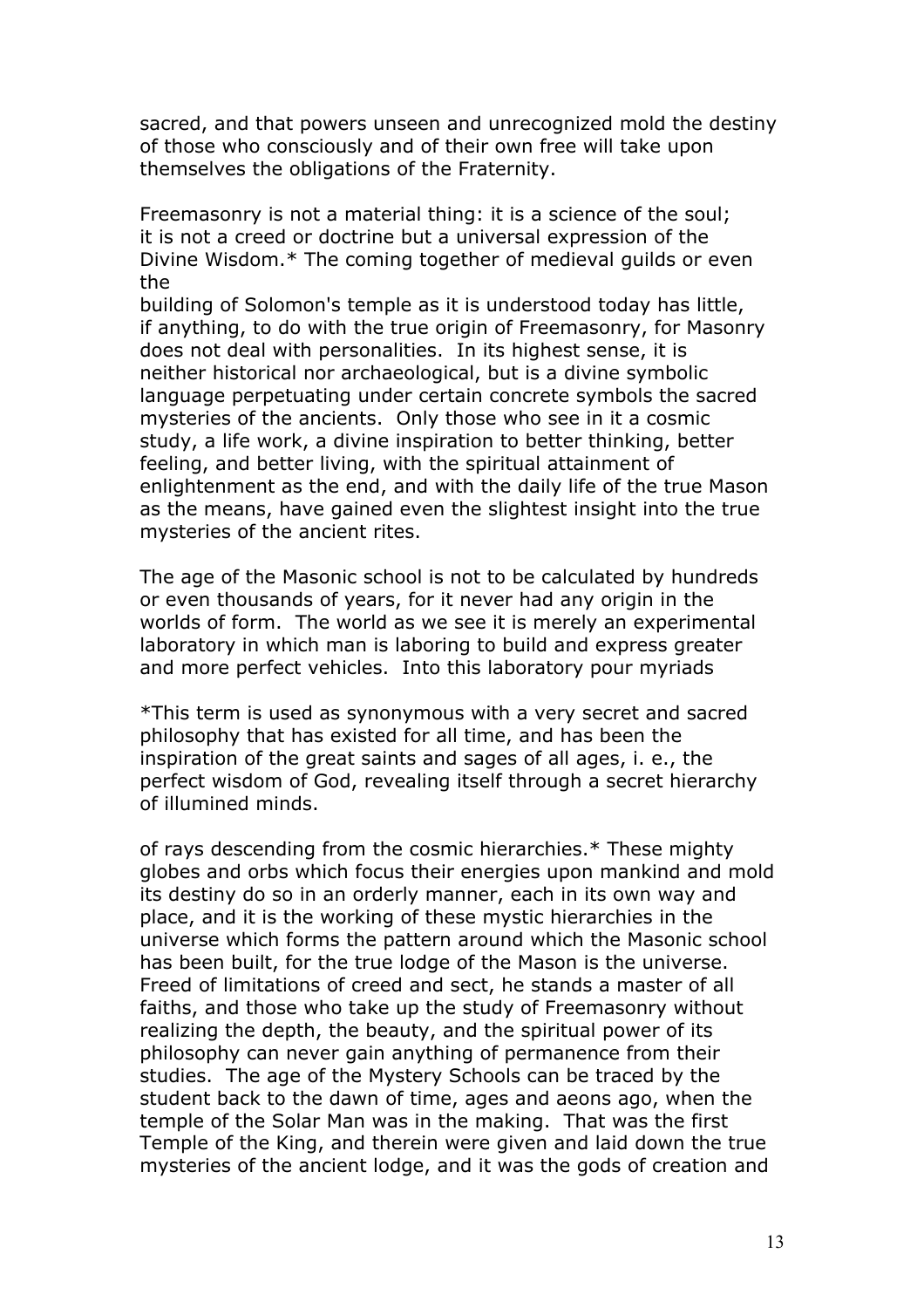sacred, and that powers unseen and unrecognized mold the destiny of those who consciously and of their own free will take upon themselves the obligations of the Fraternity.

Freemasonry is not a material thing: it is a science of the soul; it is not a creed or doctrine but a universal expression of the Divine Wisdom.\* The coming together of medieval guilds or even the

building of Solomon's temple as it is understood today has little, if anything, to do with the true origin of Freemasonry, for Masonry does not deal with personalities. In its highest sense, it is neither historical nor archaeological, but is a divine symbolic language perpetuating under certain concrete symbols the sacred mysteries of the ancients. Only those who see in it a cosmic study, a life work, a divine inspiration to better thinking, better feeling, and better living, with the spiritual attainment of enlightenment as the end, and with the daily life of the true Mason as the means, have gained even the slightest insight into the true mysteries of the ancient rites.

The age of the Masonic school is not to be calculated by hundreds or even thousands of years, for it never had any origin in the worlds of form. The world as we see it is merely an experimental laboratory in which man is laboring to build and express greater and more perfect vehicles. Into this laboratory pour myriads

\*This term is used as synonymous with a very secret and sacred philosophy that has existed for all time, and has been the inspiration of the great saints and sages of all ages, i. e., the perfect wisdom of God, revealing itself through a secret hierarchy of illumined minds.

of rays descending from the cosmic hierarchies.\* These mighty globes and orbs which focus their energies upon mankind and mold its destiny do so in an orderly manner, each in its own way and place, and it is the working of these mystic hierarchies in the universe which forms the pattern around which the Masonic school has been built, for the true lodge of the Mason is the universe. Freed of limitations of creed and sect, he stands a master of all faiths, and those who take up the study of Freemasonry without realizing the depth, the beauty, and the spiritual power of its philosophy can never gain anything of permanence from their studies. The age of the Mystery Schools can be traced by the student back to the dawn of time, ages and aeons ago, when the temple of the Solar Man was in the making. That was the first Temple of the King, and therein were given and laid down the true mysteries of the ancient lodge, and it was the gods of creation and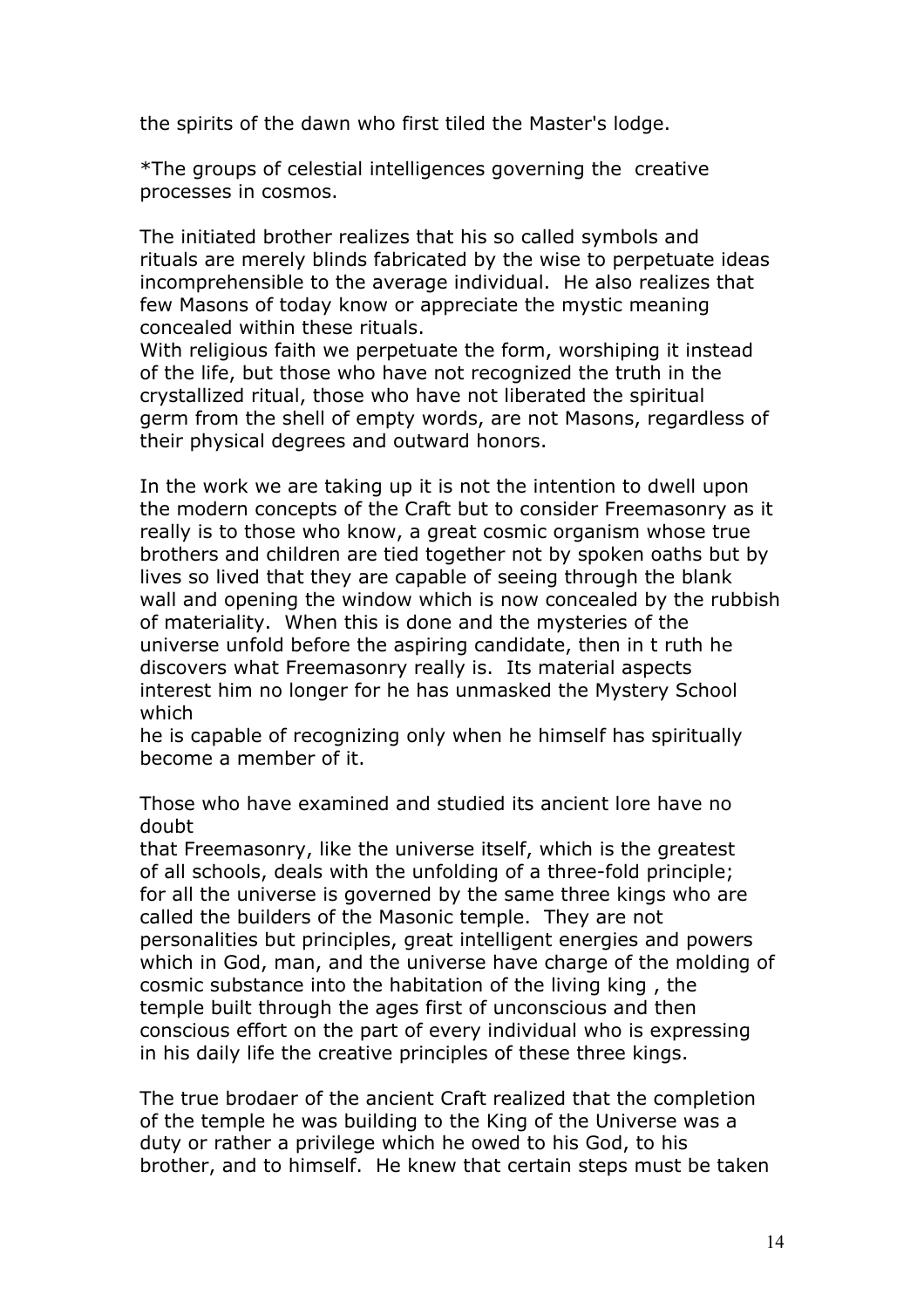the spirits of the dawn who first tiled the Master's lodge.

\*The groups of celestial intelligences governing the creative processes in cosmos.

The initiated brother realizes that his so called symbols and rituals are merely blinds fabricated by the wise to perpetuate ideas incomprehensible to the average individual. He also realizes that few Masons of today know or appreciate the mystic meaning concealed within these rituals.

With religious faith we perpetuate the form, worshiping it instead of the life, but those who have not recognized the truth in the crystallized ritual, those who have not liberated the spiritual germ from the shell of empty words, are not Masons, regardless of their physical degrees and outward honors.

In the work we are taking up it is not the intention to dwell upon the modern concepts of the Craft but to consider Freemasonry as it really is to those who know, a great cosmic organism whose true brothers and children are tied together not by spoken oaths but by lives so lived that they are capable of seeing through the blank wall and opening the window which is now concealed by the rubbish of materiality. When this is done and the mysteries of the universe unfold before the aspiring candidate, then in t ruth he discovers what Freemasonry really is. Its material aspects interest him no longer for he has unmasked the Mystery School which

he is capable of recognizing only when he himself has spiritually become a member of it.

Those who have examined and studied its ancient lore have no doubt

that Freemasonry, like the universe itself, which is the greatest of all schools, deals with the unfolding of a three-fold principle; for all the universe is governed by the same three kings who are called the builders of the Masonic temple. They are not personalities but principles, great intelligent energies and powers which in God, man, and the universe have charge of the molding of cosmic substance into the habitation of the living king , the temple built through the ages first of unconscious and then conscious effort on the part of every individual who is expressing in his daily life the creative principles of these three kings.

The true brodaer of the ancient Craft realized that the completion of the temple he was building to the King of the Universe was a duty or rather a privilege which he owed to his God, to his brother, and to himself. He knew that certain steps must be taken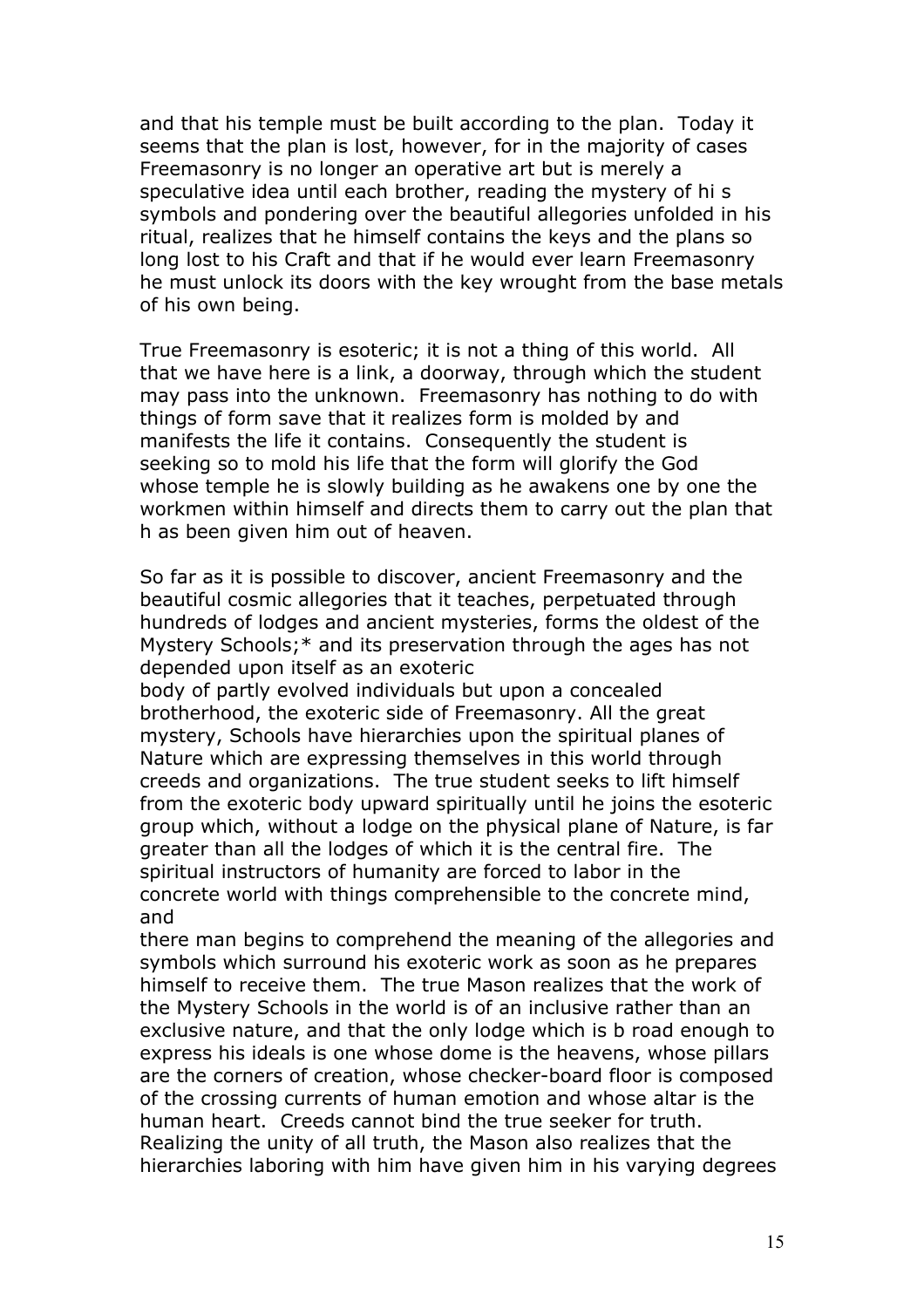and that his temple must be built according to the plan. Today it seems that the plan is lost, however, for in the majority of cases Freemasonry is no longer an operative art but is merely a speculative idea until each brother, reading the mystery of hi s symbols and pondering over the beautiful allegories unfolded in his ritual, realizes that he himself contains the keys and the plans so long lost to his Craft and that if he would ever learn Freemasonry he must unlock its doors with the key wrought from the base metals of his own being.

True Freemasonry is esoteric; it is not a thing of this world. All that we have here is a link, a doorway, through which the student may pass into the unknown. Freemasonry has nothing to do with things of form save that it realizes form is molded by and manifests the life it contains. Consequently the student is seeking so to mold his life that the form will glorify the God whose temple he is slowly building as he awakens one by one the workmen within himself and directs them to carry out the plan that h as been given him out of heaven.

So far as it is possible to discover, ancient Freemasonry and the beautiful cosmic allegories that it teaches, perpetuated through hundreds of lodges and ancient mysteries, forms the oldest of the Mystery Schools;\* and its preservation through the ages has not depended upon itself as an exoteric

body of partly evolved individuals but upon a concealed brotherhood, the exoteric side of Freemasonry. All the great mystery, Schools have hierarchies upon the spiritual planes of Nature which are expressing themselves in this world through creeds and organizations. The true student seeks to lift himself from the exoteric body upward spiritually until he joins the esoteric group which, without a lodge on the physical plane of Nature, is far greater than all the lodges of which it is the central fire. The spiritual instructors of humanity are forced to labor in the concrete world with things comprehensible to the concrete mind, and

there man begins to comprehend the meaning of the allegories and symbols which surround his exoteric work as soon as he prepares himself to receive them. The true Mason realizes that the work of the Mystery Schools in the world is of an inclusive rather than an exclusive nature, and that the only lodge which is b road enough to express his ideals is one whose dome is the heavens, whose pillars are the corners of creation, whose checker-board floor is composed of the crossing currents of human emotion and whose altar is the human heart. Creeds cannot bind the true seeker for truth. Realizing the unity of all truth, the Mason also realizes that the hierarchies laboring with him have given him in his varying degrees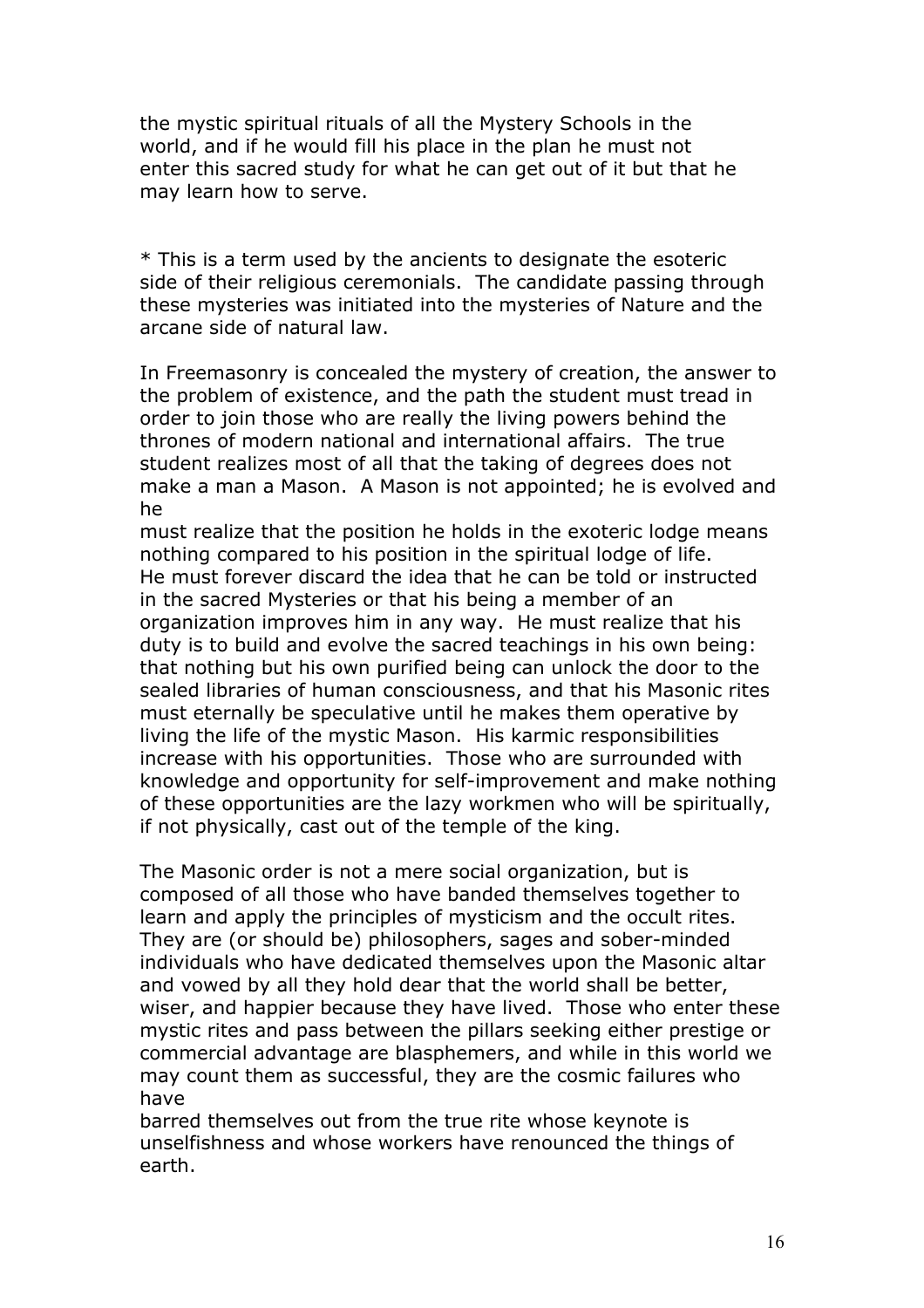the mystic spiritual rituals of all the Mystery Schools in the world, and if he would fill his place in the plan he must not enter this sacred study for what he can get out of it but that he may learn how to serve.

\* This is a term used by the ancients to designate the esoteric side of their religious ceremonials. The candidate passing through these mysteries was initiated into the mysteries of Nature and the arcane side of natural law.

In Freemasonry is concealed the mystery of creation, the answer to the problem of existence, and the path the student must tread in order to join those who are really the living powers behind the thrones of modern national and international affairs. The true student realizes most of all that the taking of degrees does not make a man a Mason. A Mason is not appointed; he is evolved and he

must realize that the position he holds in the exoteric lodge means nothing compared to his position in the spiritual lodge of life. He must forever discard the idea that he can be told or instructed in the sacred Mysteries or that his being a member of an organization improves him in any way. He must realize that his duty is to build and evolve the sacred teachings in his own being: that nothing but his own purified being can unlock the door to the sealed libraries of human consciousness, and that his Masonic rites must eternally be speculative until he makes them operative by living the life of the mystic Mason. His karmic responsibilities increase with his opportunities. Those who are surrounded with knowledge and opportunity for self-improvement and make nothing of these opportunities are the lazy workmen who will be spiritually, if not physically, cast out of the temple of the king.

The Masonic order is not a mere social organization, but is composed of all those who have banded themselves together to learn and apply the principles of mysticism and the occult rites. They are (or should be) philosophers, sages and sober-minded individuals who have dedicated themselves upon the Masonic altar and vowed by all they hold dear that the world shall be better, wiser, and happier because they have lived. Those who enter these mystic rites and pass between the pillars seeking either prestige or commercial advantage are blasphemers, and while in this world we may count them as successful, they are the cosmic failures who have

barred themselves out from the true rite whose keynote is unselfishness and whose workers have renounced the things of earth.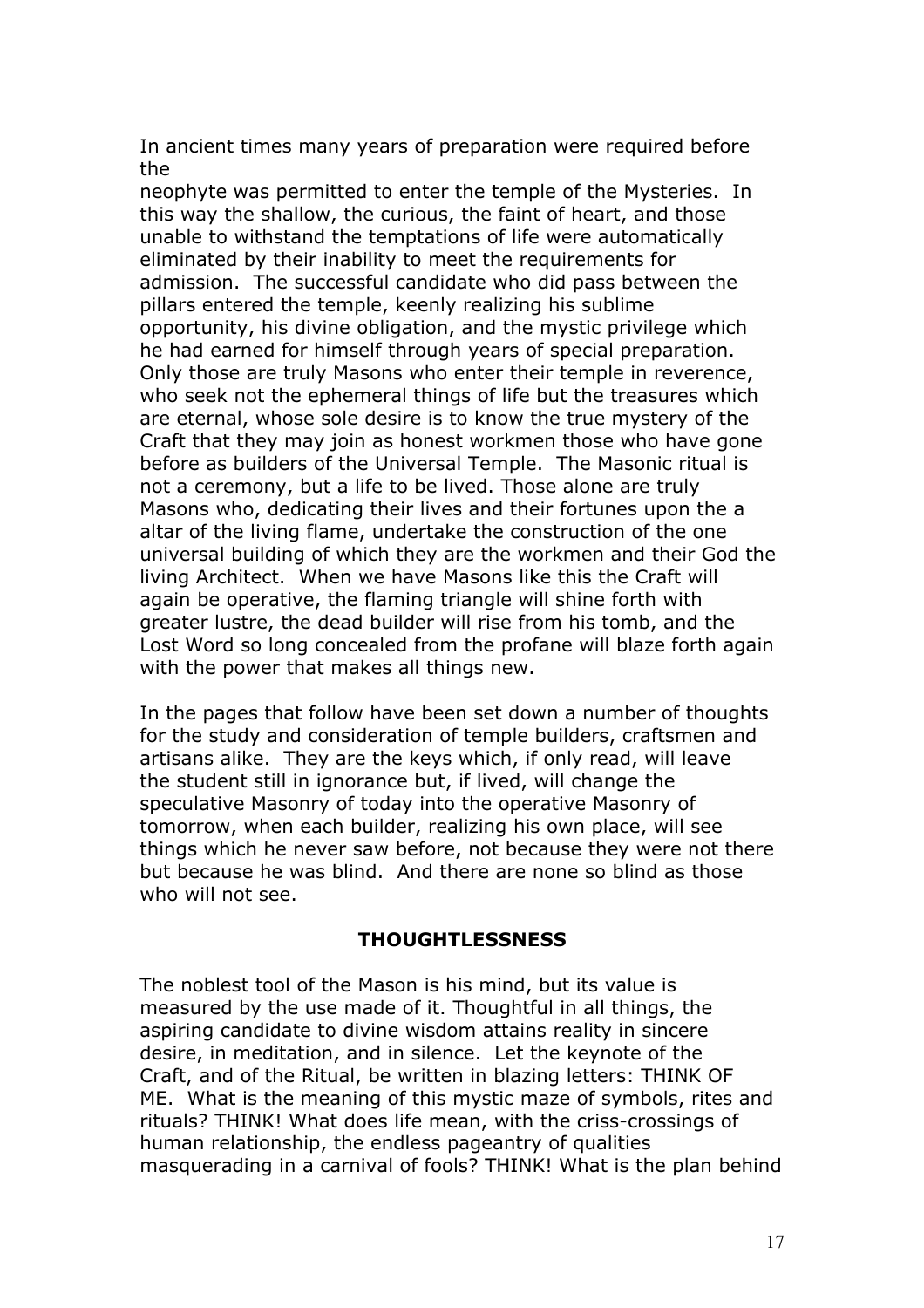In ancient times many years of preparation were required before the

neophyte was permitted to enter the temple of the Mysteries. In this way the shallow, the curious, the faint of heart, and those unable to withstand the temptations of life were automatically eliminated by their inability to meet the requirements for admission. The successful candidate who did pass between the pillars entered the temple, keenly realizing his sublime opportunity, his divine obligation, and the mystic privilege which he had earned for himself through years of special preparation. Only those are truly Masons who enter their temple in reverence, who seek not the ephemeral things of life but the treasures which are eternal, whose sole desire is to know the true mystery of the Craft that they may join as honest workmen those who have gone before as builders of the Universal Temple. The Masonic ritual is not a ceremony, but a life to be lived. Those alone are truly Masons who, dedicating their lives and their fortunes upon the a altar of the living flame, undertake the construction of the one universal building of which they are the workmen and their God the living Architect. When we have Masons like this the Craft will again be operative, the flaming triangle will shine forth with greater lustre, the dead builder will rise from his tomb, and the Lost Word so long concealed from the profane will blaze forth again with the power that makes all things new.

In the pages that follow have been set down a number of thoughts for the study and consideration of temple builders, craftsmen and artisans alike. They are the keys which, if only read, will leave the student still in ignorance but, if lived, will change the speculative Masonry of today into the operative Masonry of tomorrow, when each builder, realizing his own place, will see things which he never saw before, not because they were not there but because he was blind. And there are none so blind as those who will not see.

## **THOUGHTLESSNESS**

The noblest tool of the Mason is his mind, but its value is measured by the use made of it. Thoughtful in all things, the aspiring candidate to divine wisdom attains reality in sincere desire, in meditation, and in silence. Let the keynote of the Craft, and of the Ritual, be written in blazing letters: THINK OF ME. What is the meaning of this mystic maze of symbols, rites and rituals? THINK! What does life mean, with the criss-crossings of human relationship, the endless pageantry of qualities masquerading in a carnival of fools? THINK! What is the plan behind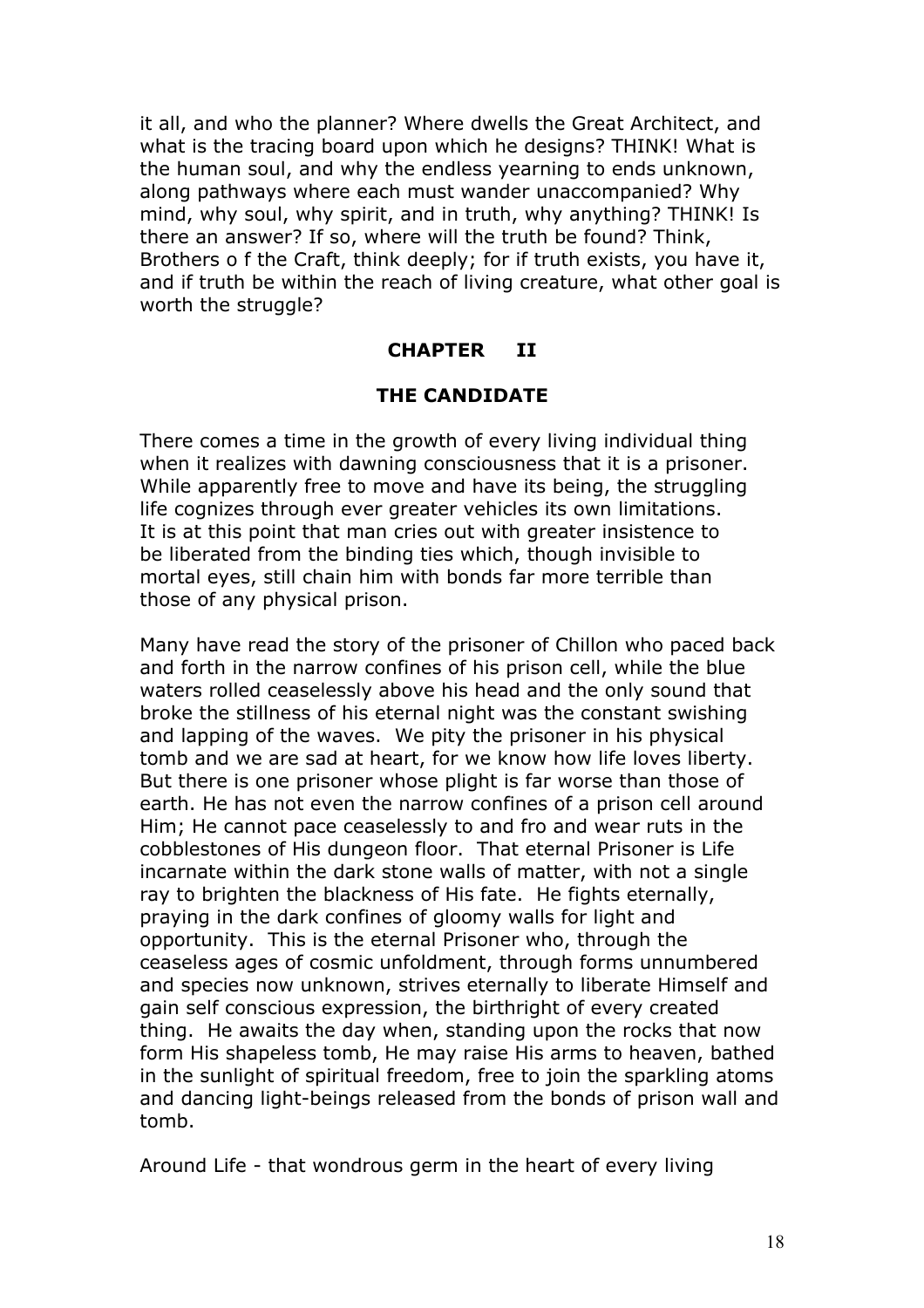it all, and who the planner? Where dwells the Great Architect, and what is the tracing board upon which he designs? THINK! What is the human soul, and why the endless yearning to ends unknown, along pathways where each must wander unaccompanied? Why mind, why soul, why spirit, and in truth, why anything? THINK! Is there an answer? If so, where will the truth be found? Think, Brothers o f the Craft, think deeply; for if truth exists, you have it, and if truth be within the reach of living creature, what other goal is worth the struggle?

## **CHAPTER II**

## **THE CANDIDATE**

There comes a time in the growth of every living individual thing when it realizes with dawning consciousness that it is a prisoner. While apparently free to move and have its being, the struggling life cognizes through ever greater vehicles its own limitations. It is at this point that man cries out with greater insistence to be liberated from the binding ties which, though invisible to mortal eyes, still chain him with bonds far more terrible than those of any physical prison.

Many have read the story of the prisoner of Chillon who paced back and forth in the narrow confines of his prison cell, while the blue waters rolled ceaselessly above his head and the only sound that broke the stillness of his eternal night was the constant swishing and lapping of the waves. We pity the prisoner in his physical tomb and we are sad at heart, for we know how life loves liberty. But there is one prisoner whose plight is far worse than those of earth. He has not even the narrow confines of a prison cell around Him; He cannot pace ceaselessly to and fro and wear ruts in the cobblestones of His dungeon floor. That eternal Prisoner is Life incarnate within the dark stone walls of matter, with not a single ray to brighten the blackness of His fate. He fights eternally, praying in the dark confines of gloomy walls for light and opportunity. This is the eternal Prisoner who, through the ceaseless ages of cosmic unfoldment, through forms unnumbered and species now unknown, strives eternally to liberate Himself and gain self conscious expression, the birthright of every created thing. He awaits the day when, standing upon the rocks that now form His shapeless tomb, He may raise His arms to heaven, bathed in the sunlight of spiritual freedom, free to join the sparkling atoms and dancing light-beings released from the bonds of prison wall and tomb.

Around Life - that wondrous germ in the heart of every living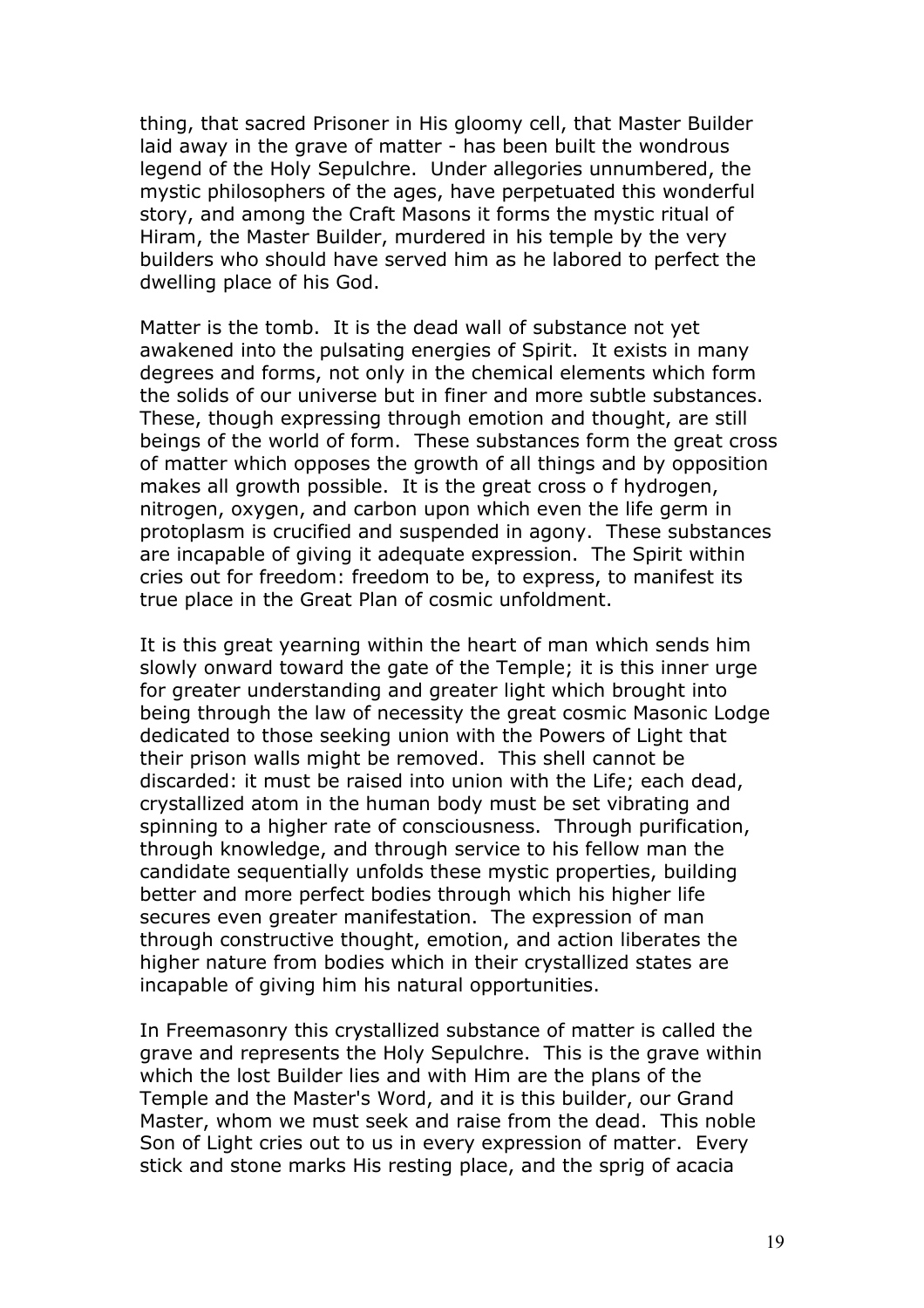thing, that sacred Prisoner in His gloomy cell, that Master Builder laid away in the grave of matter - has been built the wondrous legend of the Holy Sepulchre. Under allegories unnumbered, the mystic philosophers of the ages, have perpetuated this wonderful story, and among the Craft Masons it forms the mystic ritual of Hiram, the Master Builder, murdered in his temple by the very builders who should have served him as he labored to perfect the dwelling place of his God.

Matter is the tomb. It is the dead wall of substance not yet awakened into the pulsating energies of Spirit. It exists in many degrees and forms, not only in the chemical elements which form the solids of our universe but in finer and more subtle substances. These, though expressing through emotion and thought, are still beings of the world of form. These substances form the great cross of matter which opposes the growth of all things and by opposition makes all growth possible. It is the great cross o f hydrogen, nitrogen, oxygen, and carbon upon which even the life germ in protoplasm is crucified and suspended in agony. These substances are incapable of giving it adequate expression. The Spirit within cries out for freedom: freedom to be, to express, to manifest its true place in the Great Plan of cosmic unfoldment.

It is this great yearning within the heart of man which sends him slowly onward toward the gate of the Temple; it is this inner urge for greater understanding and greater light which brought into being through the law of necessity the great cosmic Masonic Lodge dedicated to those seeking union with the Powers of Light that their prison walls might be removed. This shell cannot be discarded: it must be raised into union with the Life; each dead, crystallized atom in the human body must be set vibrating and spinning to a higher rate of consciousness. Through purification, through knowledge, and through service to his fellow man the candidate sequentially unfolds these mystic properties, building better and more perfect bodies through which his higher life secures even greater manifestation. The expression of man through constructive thought, emotion, and action liberates the higher nature from bodies which in their crystallized states are incapable of giving him his natural opportunities.

In Freemasonry this crystallized substance of matter is called the grave and represents the Holy Sepulchre. This is the grave within which the lost Builder lies and with Him are the plans of the Temple and the Master's Word, and it is this builder, our Grand Master, whom we must seek and raise from the dead. This noble Son of Light cries out to us in every expression of matter. Every stick and stone marks His resting place, and the sprig of acacia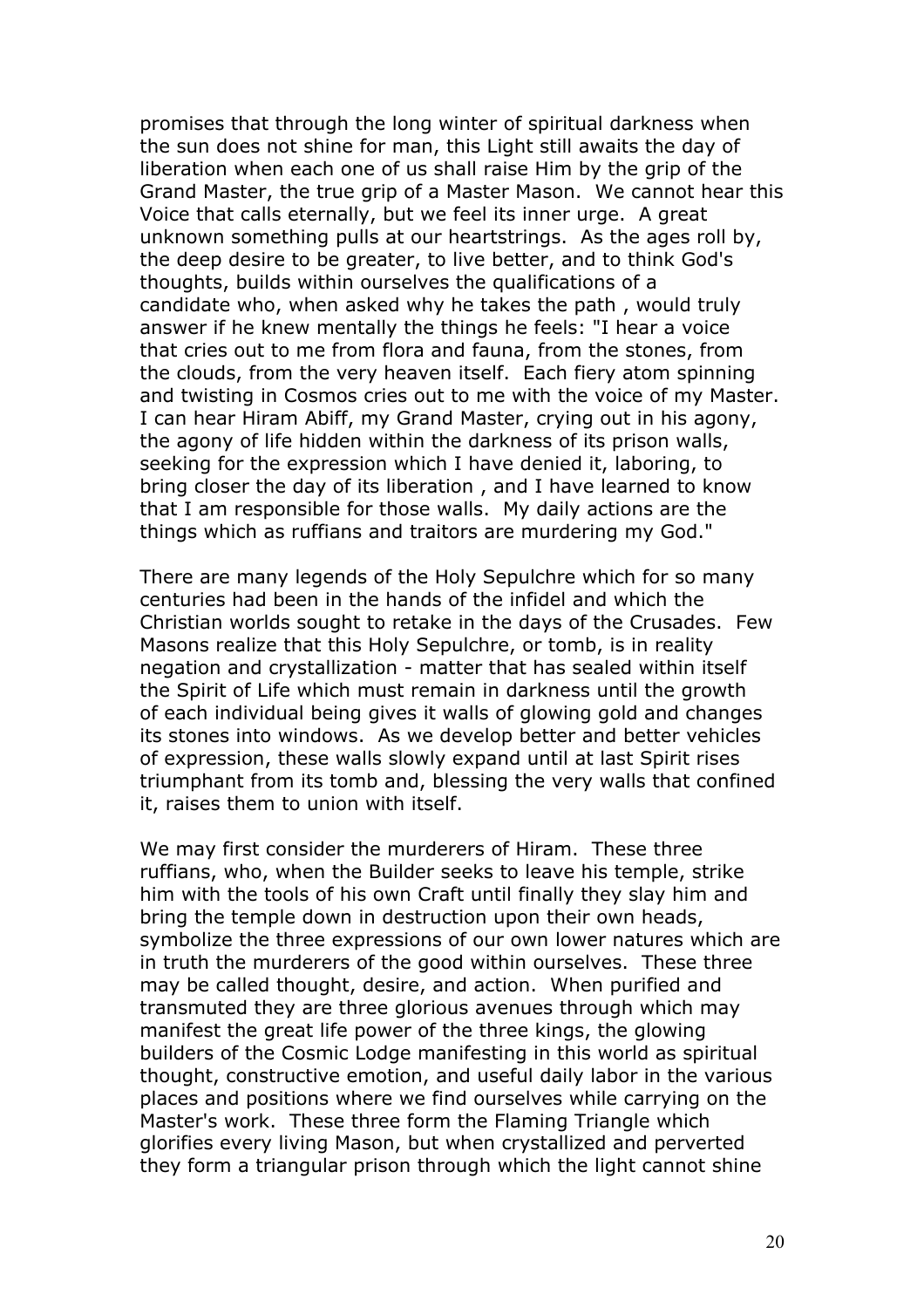promises that through the long winter of spiritual darkness when the sun does not shine for man, this Light still awaits the day of liberation when each one of us shall raise Him by the grip of the Grand Master, the true grip of a Master Mason. We cannot hear this Voice that calls eternally, but we feel its inner urge. A great unknown something pulls at our heartstrings. As the ages roll by, the deep desire to be greater, to live better, and to think God's thoughts, builds within ourselves the qualifications of a candidate who, when asked why he takes the path , would truly answer if he knew mentally the things he feels: "I hear a voice that cries out to me from flora and fauna, from the stones, from the clouds, from the very heaven itself. Each fiery atom spinning and twisting in Cosmos cries out to me with the voice of my Master. I can hear Hiram Abiff, my Grand Master, crying out in his agony, the agony of life hidden within the darkness of its prison walls, seeking for the expression which I have denied it, laboring, to bring closer the day of its liberation , and I have learned to know that I am responsible for those walls. My daily actions are the things which as ruffians and traitors are murdering my God."

There are many legends of the Holy Sepulchre which for so many centuries had been in the hands of the infidel and which the Christian worlds sought to retake in the days of the Crusades. Few Masons realize that this Holy Sepulchre, or tomb, is in reality negation and crystallization - matter that has sealed within itself the Spirit of Life which must remain in darkness until the growth of each individual being gives it walls of glowing gold and changes its stones into windows. As we develop better and better vehicles of expression, these walls slowly expand until at last Spirit rises triumphant from its tomb and, blessing the very walls that confined it, raises them to union with itself.

We may first consider the murderers of Hiram. These three ruffians, who, when the Builder seeks to leave his temple, strike him with the tools of his own Craft until finally they slay him and bring the temple down in destruction upon their own heads, symbolize the three expressions of our own lower natures which are in truth the murderers of the good within ourselves. These three may be called thought, desire, and action. When purified and transmuted they are three glorious avenues through which may manifest the great life power of the three kings, the glowing builders of the Cosmic Lodge manifesting in this world as spiritual thought, constructive emotion, and useful daily labor in the various places and positions where we find ourselves while carrying on the Master's work. These three form the Flaming Triangle which glorifies every living Mason, but when crystallized and perverted they form a triangular prison through which the light cannot shine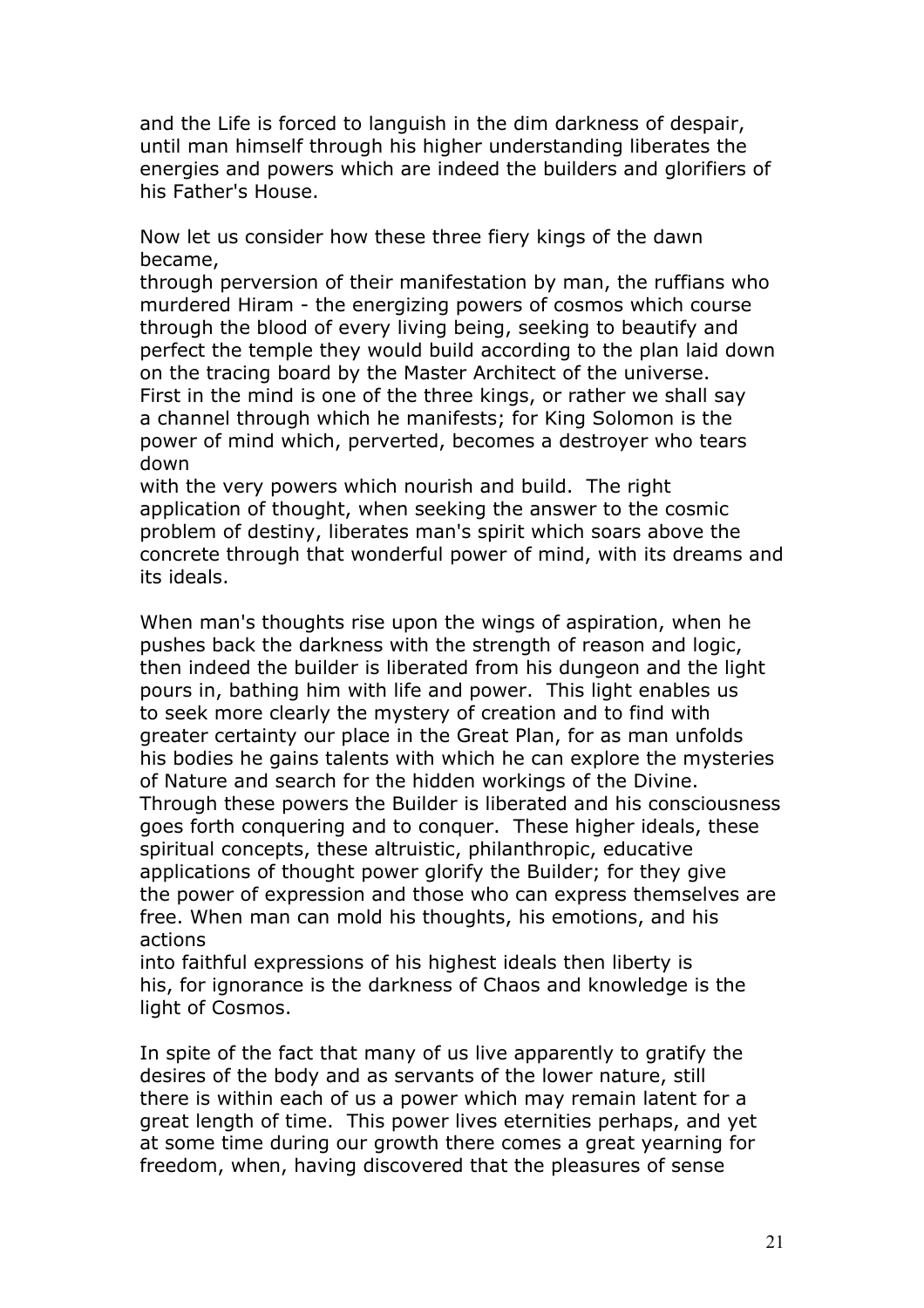and the Life is forced to languish in the dim darkness of despair, until man himself through his higher understanding liberates the energies and powers which are indeed the builders and glorifiers of his Father's House.

Now let us consider how these three fiery kings of the dawn became,

through perversion of their manifestation by man, the ruffians who murdered Hiram - the energizing powers of cosmos which course through the blood of every living being, seeking to beautify and perfect the temple they would build according to the plan laid down on the tracing board by the Master Architect of the universe. First in the mind is one of the three kings, or rather we shall say a channel through which he manifests; for King Solomon is the power of mind which, perverted, becomes a destroyer who tears down

with the very powers which nourish and build. The right application of thought, when seeking the answer to the cosmic problem of destiny, liberates man's spirit which soars above the concrete through that wonderful power of mind, with its dreams and its ideals.

When man's thoughts rise upon the wings of aspiration, when he pushes back the darkness with the strength of reason and logic, then indeed the builder is liberated from his dungeon and the light pours in, bathing him with life and power. This light enables us to seek more clearly the mystery of creation and to find with greater certainty our place in the Great Plan, for as man unfolds his bodies he gains talents with which he can explore the mysteries of Nature and search for the hidden workings of the Divine. Through these powers the Builder is liberated and his consciousness goes forth conquering and to conquer. These higher ideals, these spiritual concepts, these altruistic, philanthropic, educative applications of thought power glorify the Builder; for they give the power of expression and those who can express themselves are free. When man can mold his thoughts, his emotions, and his actions

into faithful expressions of his highest ideals then liberty is his, for ignorance is the darkness of Chaos and knowledge is the light of Cosmos.

In spite of the fact that many of us live apparently to gratify the desires of the body and as servants of the lower nature, still there is within each of us a power which may remain latent for a great length of time. This power lives eternities perhaps, and yet at some time during our growth there comes a great yearning for freedom, when, having discovered that the pleasures of sense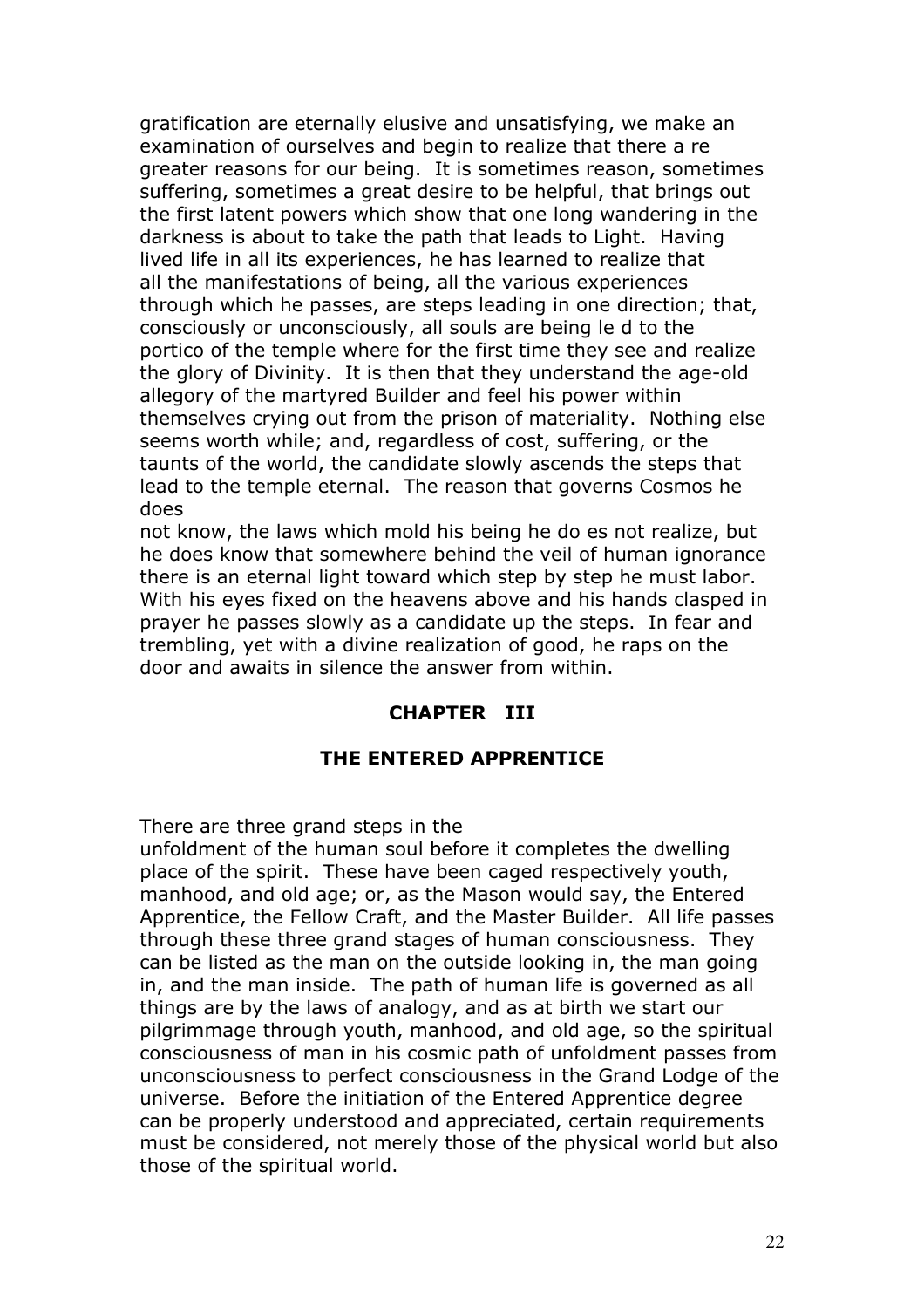gratification are eternally elusive and unsatisfying, we make an examination of ourselves and begin to realize that there a re greater reasons for our being. It is sometimes reason, sometimes suffering, sometimes a great desire to be helpful, that brings out the first latent powers which show that one long wandering in the darkness is about to take the path that leads to Light. Having lived life in all its experiences, he has learned to realize that all the manifestations of being, all the various experiences through which he passes, are steps leading in one direction; that, consciously or unconsciously, all souls are being le d to the portico of the temple where for the first time they see and realize the glory of Divinity. It is then that they understand the age-old allegory of the martyred Builder and feel his power within themselves crying out from the prison of materiality. Nothing else seems worth while; and, regardless of cost, suffering, or the taunts of the world, the candidate slowly ascends the steps that lead to the temple eternal. The reason that governs Cosmos he does

not know, the laws which mold his being he do es not realize, but he does know that somewhere behind the veil of human ignorance there is an eternal light toward which step by step he must labor. With his eyes fixed on the heavens above and his hands clasped in prayer he passes slowly as a candidate up the steps. In fear and trembling, yet with a divine realization of good, he raps on the door and awaits in silence the answer from within.

## **CHAPTER III**

## **THE ENTERED APPRENTICE**

There are three grand steps in the

unfoldment of the human soul before it completes the dwelling place of the spirit. These have been caged respectively youth, manhood, and old age; or, as the Mason would say, the Entered Apprentice, the Fellow Craft, and the Master Builder. All life passes through these three grand stages of human consciousness. They can be listed as the man on the outside looking in, the man going in, and the man inside. The path of human life is governed as all things are by the laws of analogy, and as at birth we start our pilgrimmage through youth, manhood, and old age, so the spiritual consciousness of man in his cosmic path of unfoldment passes from unconsciousness to perfect consciousness in the Grand Lodge of the universe. Before the initiation of the Entered Apprentice degree can be properly understood and appreciated, certain requirements must be considered, not merely those of the physical world but also those of the spiritual world.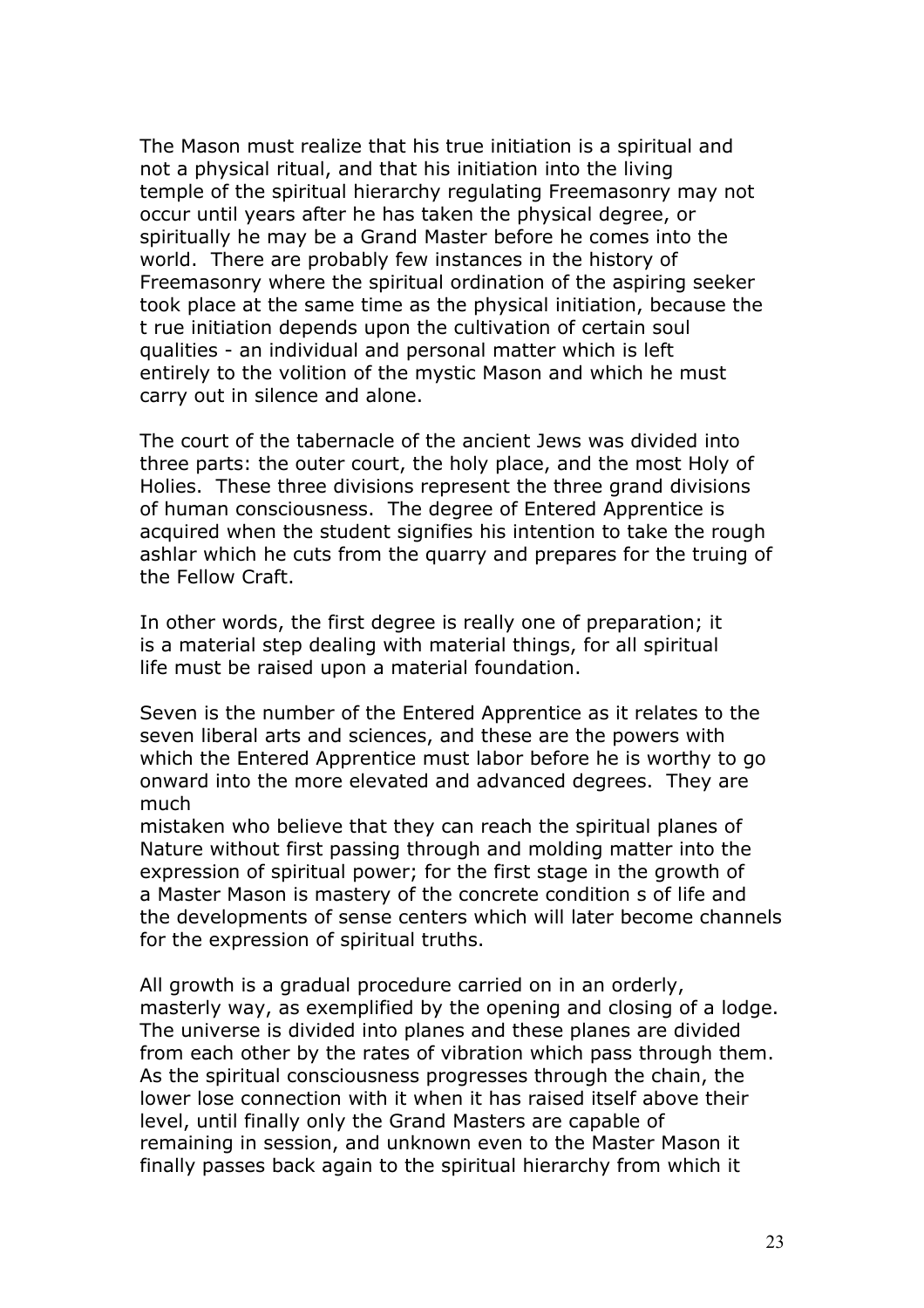The Mason must realize that his true initiation is a spiritual and not a physical ritual, and that his initiation into the living temple of the spiritual hierarchy regulating Freemasonry may not occur until years after he has taken the physical degree, or spiritually he may be a Grand Master before he comes into the world. There are probably few instances in the history of Freemasonry where the spiritual ordination of the aspiring seeker took place at the same time as the physical initiation, because the t rue initiation depends upon the cultivation of certain soul qualities - an individual and personal matter which is left entirely to the volition of the mystic Mason and which he must carry out in silence and alone.

The court of the tabernacle of the ancient Jews was divided into three parts: the outer court, the holy place, and the most Holy of Holies. These three divisions represent the three grand divisions of human consciousness. The degree of Entered Apprentice is acquired when the student signifies his intention to take the rough ashlar which he cuts from the quarry and prepares for the truing of the Fellow Craft.

In other words, the first degree is really one of preparation; it is a material step dealing with material things, for all spiritual life must be raised upon a material foundation.

Seven is the number of the Entered Apprentice as it relates to the seven liberal arts and sciences, and these are the powers with which the Entered Apprentice must labor before he is worthy to go onward into the more elevated and advanced degrees. They are much

mistaken who believe that they can reach the spiritual planes of Nature without first passing through and molding matter into the expression of spiritual power; for the first stage in the growth of a Master Mason is mastery of the concrete condition s of life and the developments of sense centers which will later become channels for the expression of spiritual truths.

All growth is a gradual procedure carried on in an orderly, masterly way, as exemplified by the opening and closing of a lodge. The universe is divided into planes and these planes are divided from each other by the rates of vibration which pass through them. As the spiritual consciousness progresses through the chain, the lower lose connection with it when it has raised itself above their level, until finally only the Grand Masters are capable of remaining in session, and unknown even to the Master Mason it finally passes back again to the spiritual hierarchy from which it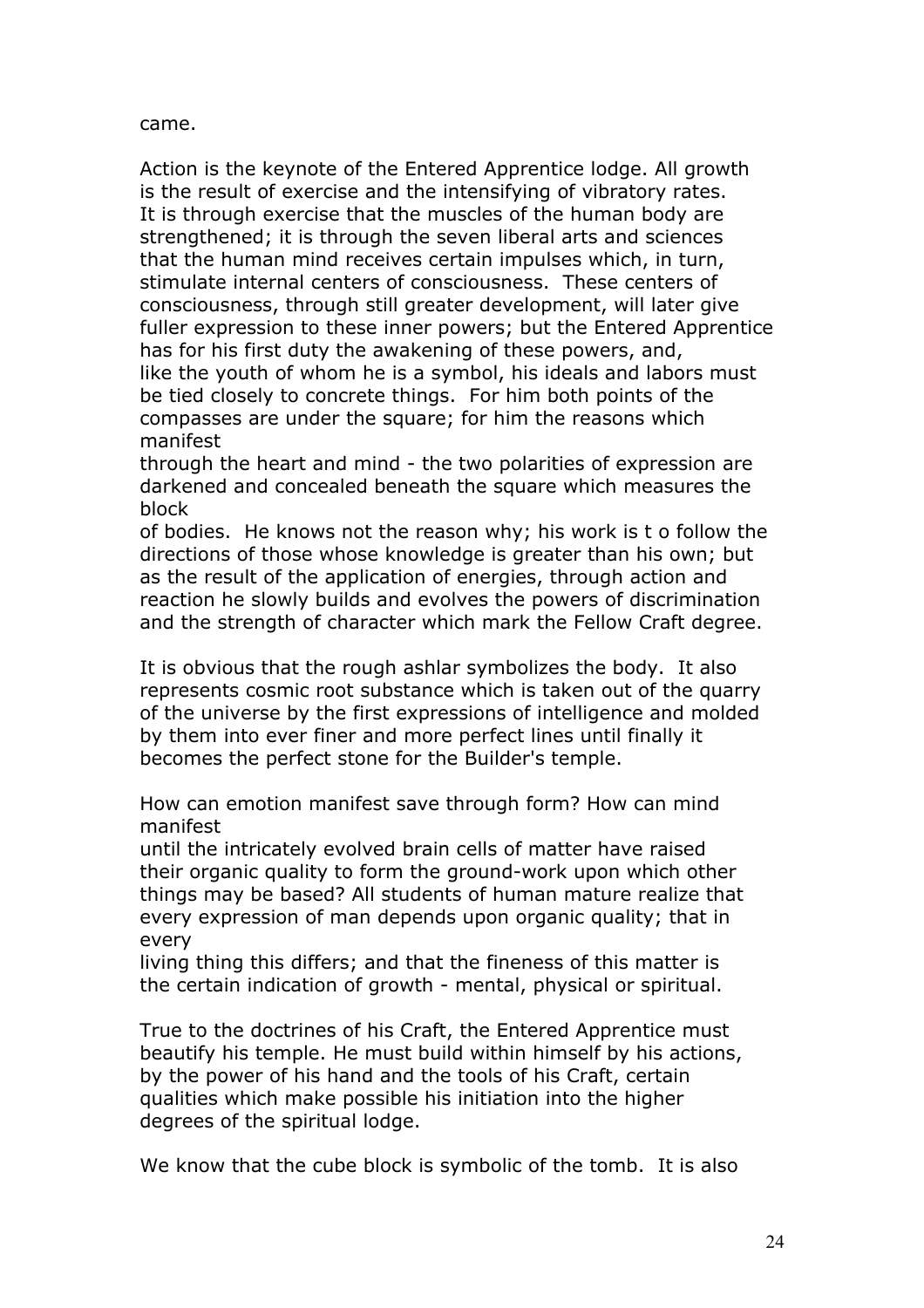came.

Action is the keynote of the Entered Apprentice lodge. All growth is the result of exercise and the intensifying of vibratory rates. It is through exercise that the muscles of the human body are strengthened; it is through the seven liberal arts and sciences that the human mind receives certain impulses which, in turn, stimulate internal centers of consciousness. These centers of consciousness, through still greater development, will later give fuller expression to these inner powers; but the Entered Apprentice has for his first duty the awakening of these powers, and, like the youth of whom he is a symbol, his ideals and labors must be tied closely to concrete things. For him both points of the compasses are under the square; for him the reasons which manifest

through the heart and mind - the two polarities of expression are darkened and concealed beneath the square which measures the block

of bodies. He knows not the reason why; his work is t o follow the directions of those whose knowledge is greater than his own; but as the result of the application of energies, through action and reaction he slowly builds and evolves the powers of discrimination and the strength of character which mark the Fellow Craft degree.

It is obvious that the rough ashlar symbolizes the body. It also represents cosmic root substance which is taken out of the quarry of the universe by the first expressions of intelligence and molded by them into ever finer and more perfect lines until finally it becomes the perfect stone for the Builder's temple.

How can emotion manifest save through form? How can mind manifest

until the intricately evolved brain cells of matter have raised their organic quality to form the ground-work upon which other things may be based? All students of human mature realize that every expression of man depends upon organic quality; that in every

living thing this differs; and that the fineness of this matter is the certain indication of growth - mental, physical or spiritual.

True to the doctrines of his Craft, the Entered Apprentice must beautify his temple. He must build within himself by his actions, by the power of his hand and the tools of his Craft, certain qualities which make possible his initiation into the higher degrees of the spiritual lodge.

We know that the cube block is symbolic of the tomb. It is also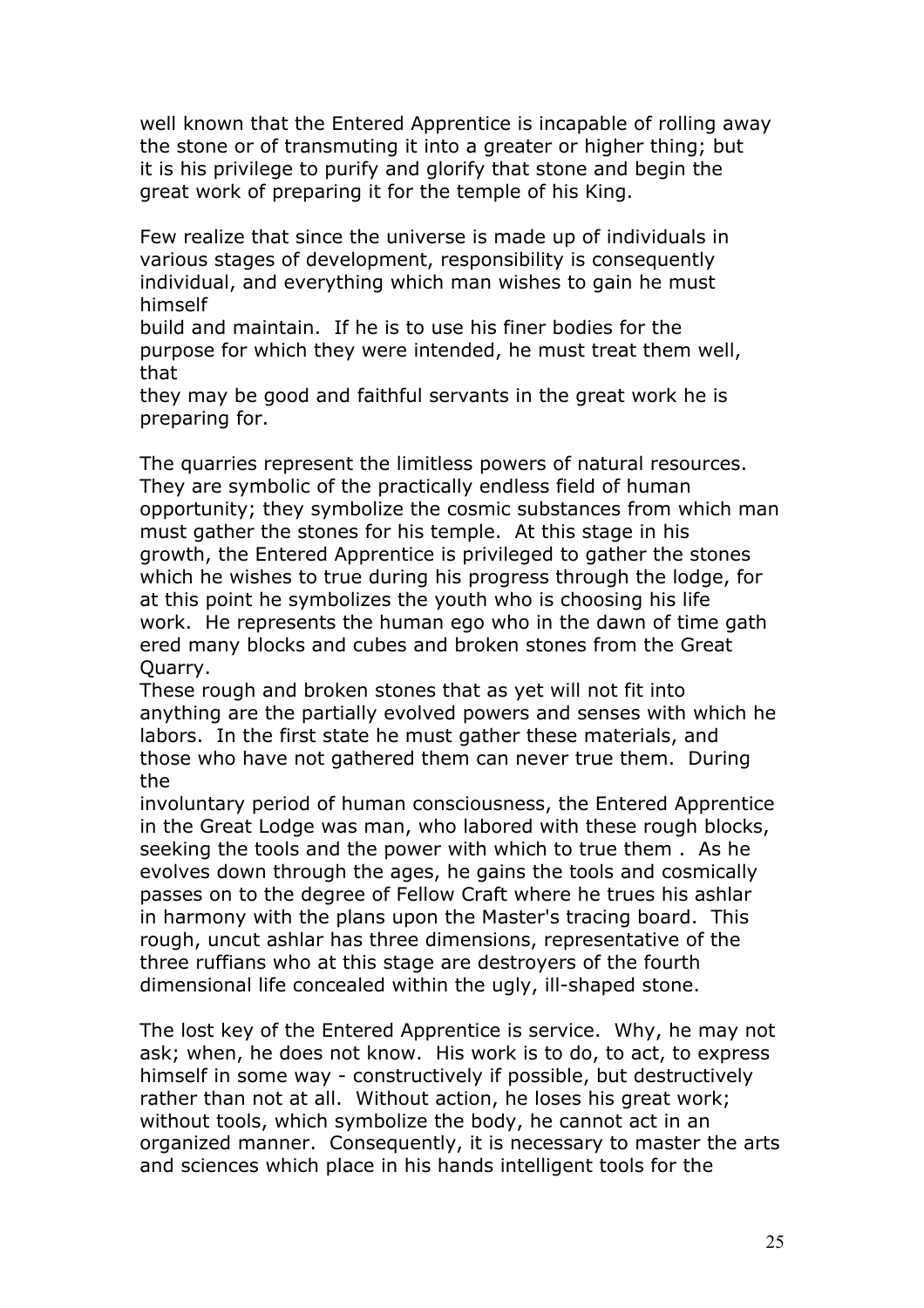well known that the Entered Apprentice is incapable of rolling away the stone or of transmuting it into a greater or higher thing; but it is his privilege to purify and glorify that stone and begin the great work of preparing it for the temple of his King.

Few realize that since the universe is made up of individuals in various stages of development, responsibility is consequently individual, and everything which man wishes to gain he must himself

build and maintain. If he is to use his finer bodies for the purpose for which they were intended, he must treat them well, that

they may be good and faithful servants in the great work he is preparing for.

The quarries represent the limitless powers of natural resources. They are symbolic of the practically endless field of human opportunity; they symbolize the cosmic substances from which man must gather the stones for his temple. At this stage in his growth, the Entered Apprentice is privileged to gather the stones which he wishes to true during his progress through the lodge, for at this point he symbolizes the youth who is choosing his life work. He represents the human ego who in the dawn of time gath ered many blocks and cubes and broken stones from the Great Quarry.

These rough and broken stones that as yet will not fit into anything are the partially evolved powers and senses with which he labors. In the first state he must gather these materials, and those who have not gathered them can never true them. During the

involuntary period of human consciousness, the Entered Apprentice in the Great Lodge was man, who labored with these rough blocks, seeking the tools and the power with which to true them . As he evolves down through the ages, he gains the tools and cosmically passes on to the degree of Fellow Craft where he trues his ashlar in harmony with the plans upon the Master's tracing board. This rough, uncut ashlar has three dimensions, representative of the three ruffians who at this stage are destroyers of the fourth dimensional life concealed within the ugly, ill-shaped stone.

The lost key of the Entered Apprentice is service. Why, he may not ask; when, he does not know. His work is to do, to act, to express himself in some way - constructively if possible, but destructively rather than not at all. Without action, he loses his great work; without tools, which symbolize the body, he cannot act in an organized manner. Consequently, it is necessary to master the arts and sciences which place in his hands intelligent tools for the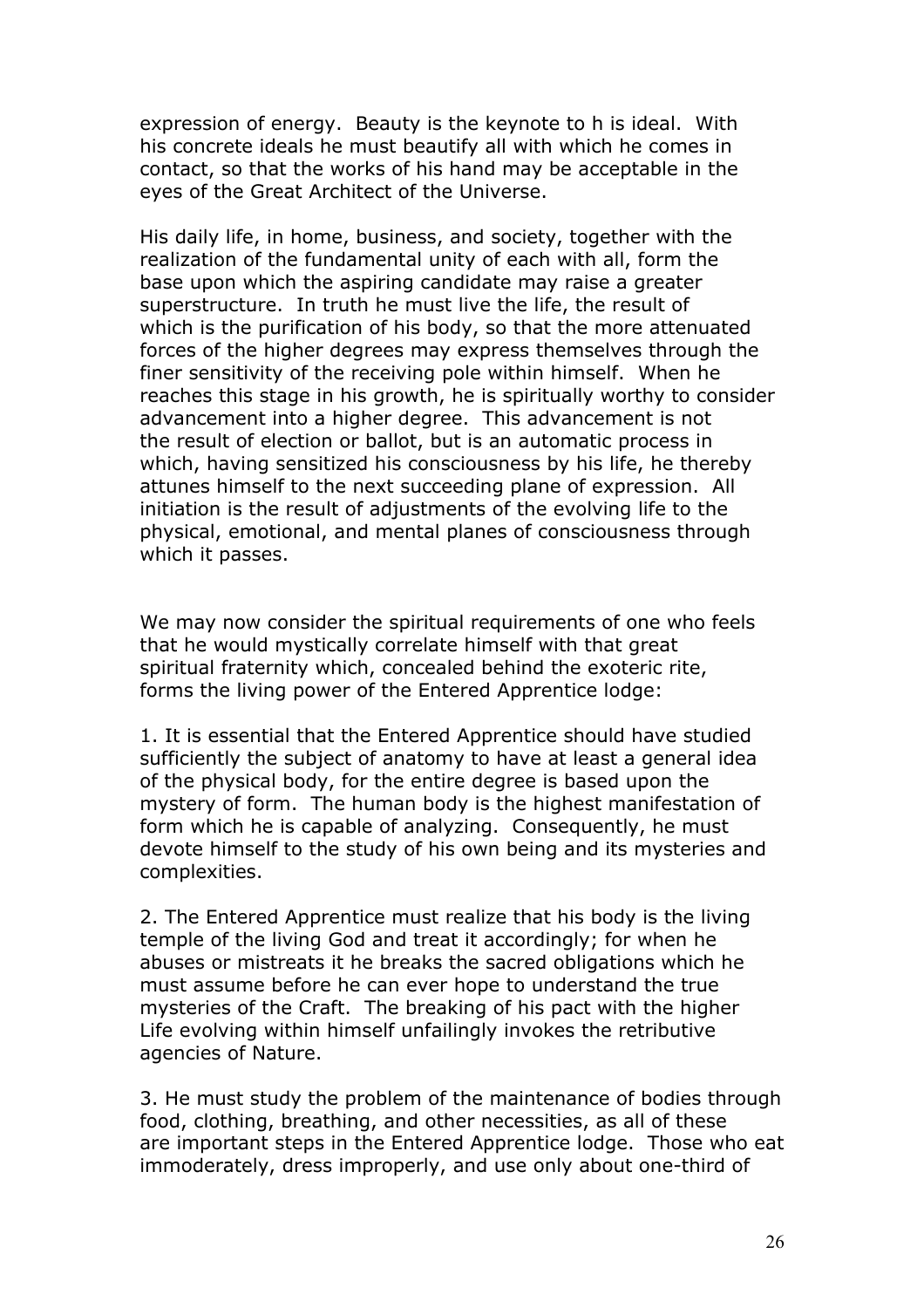expression of energy. Beauty is the keynote to h is ideal. With his concrete ideals he must beautify all with which he comes in contact, so that the works of his hand may be acceptable in the eyes of the Great Architect of the Universe.

His daily life, in home, business, and society, together with the realization of the fundamental unity of each with all, form the base upon which the aspiring candidate may raise a greater superstructure. In truth he must live the life, the result of which is the purification of his body, so that the more attenuated forces of the higher degrees may express themselves through the finer sensitivity of the receiving pole within himself. When he reaches this stage in his growth, he is spiritually worthy to consider advancement into a higher degree. This advancement is not the result of election or ballot, but is an automatic process in which, having sensitized his consciousness by his life, he thereby attunes himself to the next succeeding plane of expression. All initiation is the result of adjustments of the evolving life to the physical, emotional, and mental planes of consciousness through which it passes.

We may now consider the spiritual requirements of one who feels that he would mystically correlate himself with that great spiritual fraternity which, concealed behind the exoteric rite, forms the living power of the Entered Apprentice lodge:

1. It is essential that the Entered Apprentice should have studied sufficiently the subject of anatomy to have at least a general idea of the physical body, for the entire degree is based upon the mystery of form. The human body is the highest manifestation of form which he is capable of analyzing. Consequently, he must devote himself to the study of his own being and its mysteries and complexities.

2. The Entered Apprentice must realize that his body is the living temple of the living God and treat it accordingly; for when he abuses or mistreats it he breaks the sacred obligations which he must assume before he can ever hope to understand the true mysteries of the Craft. The breaking of his pact with the higher Life evolving within himself unfailingly invokes the retributive agencies of Nature.

3. He must study the problem of the maintenance of bodies through food, clothing, breathing, and other necessities, as all of these are important steps in the Entered Apprentice lodge. Those who eat immoderately, dress improperly, and use only about one-third of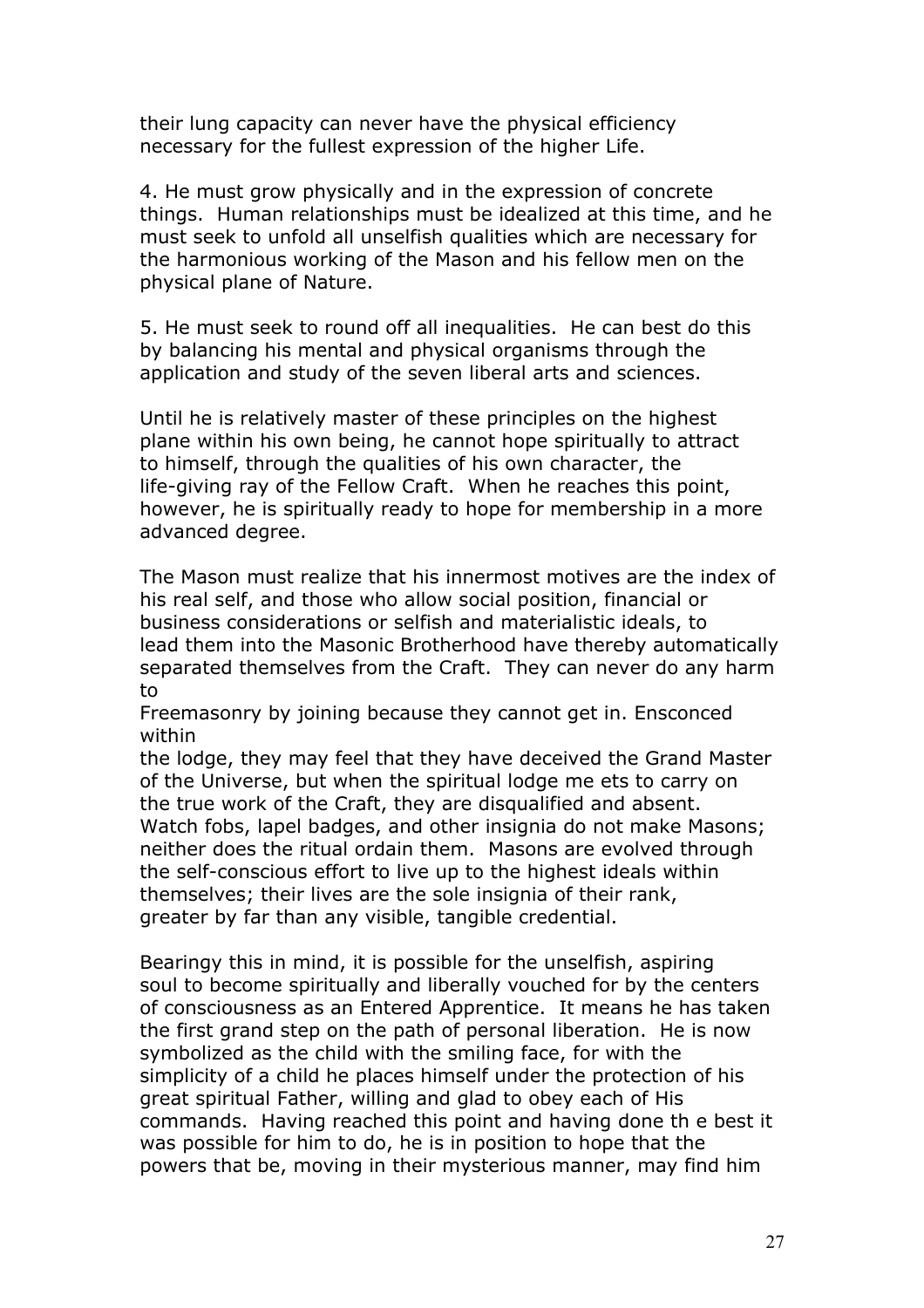their lung capacity can never have the physical efficiency necessary for the fullest expression of the higher Life.

4. He must grow physically and in the expression of concrete things. Human relationships must be idealized at this time, and he must seek to unfold all unselfish qualities which are necessary for the harmonious working of the Mason and his fellow men on the physical plane of Nature.

5. He must seek to round off all inequalities. He can best do this by balancing his mental and physical organisms through the application and study of the seven liberal arts and sciences.

Until he is relatively master of these principles on the highest plane within his own being, he cannot hope spiritually to attract to himself, through the qualities of his own character, the life-giving ray of the Fellow Craft. When he reaches this point, however, he is spiritually ready to hope for membership in a more advanced degree.

The Mason must realize that his innermost motives are the index of his real self, and those who allow social position, financial or business considerations or selfish and materialistic ideals, to lead them into the Masonic Brotherhood have thereby automatically separated themselves from the Craft. They can never do any harm to

Freemasonry by joining because they cannot get in. Ensconced within

the lodge, they may feel that they have deceived the Grand Master of the Universe, but when the spiritual lodge me ets to carry on the true work of the Craft, they are disqualified and absent. Watch fobs, lapel badges, and other insignia do not make Masons; neither does the ritual ordain them. Masons are evolved through the self-conscious effort to live up to the highest ideals within themselves; their lives are the sole insignia of their rank, greater by far than any visible, tangible credential.

Bearingy this in mind, it is possible for the unselfish, aspiring soul to become spiritually and liberally vouched for by the centers of consciousness as an Entered Apprentice. It means he has taken the first grand step on the path of personal liberation. He is now symbolized as the child with the smiling face, for with the simplicity of a child he places himself under the protection of his great spiritual Father, willing and glad to obey each of His commands. Having reached this point and having done th e best it was possible for him to do, he is in position to hope that the powers that be, moving in their mysterious manner, may find him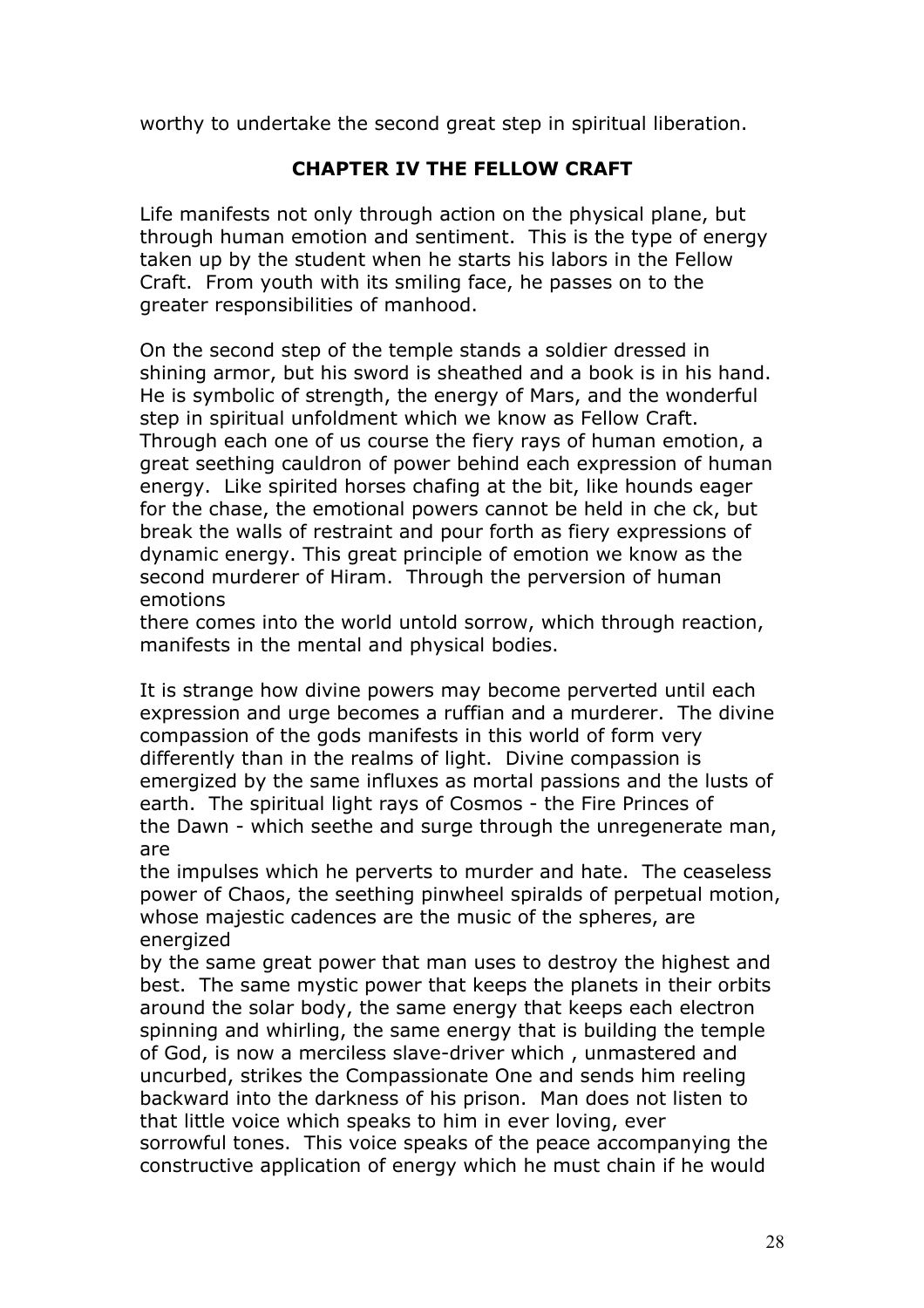worthy to undertake the second great step in spiritual liberation.

## **CHAPTER IV THE FELLOW CRAFT**

Life manifests not only through action on the physical plane, but through human emotion and sentiment. This is the type of energy taken up by the student when he starts his labors in the Fellow Craft. From youth with its smiling face, he passes on to the greater responsibilities of manhood.

On the second step of the temple stands a soldier dressed in shining armor, but his sword is sheathed and a book is in his hand. He is symbolic of strength, the energy of Mars, and the wonderful step in spiritual unfoldment which we know as Fellow Craft. Through each one of us course the fiery rays of human emotion, a great seething cauldron of power behind each expression of human energy. Like spirited horses chafing at the bit, like hounds eager for the chase, the emotional powers cannot be held in che ck, but break the walls of restraint and pour forth as fiery expressions of dynamic energy. This great principle of emotion we know as the second murderer of Hiram. Through the perversion of human emotions

there comes into the world untold sorrow, which through reaction, manifests in the mental and physical bodies.

It is strange how divine powers may become perverted until each expression and urge becomes a ruffian and a murderer. The divine compassion of the gods manifests in this world of form very differently than in the realms of light. Divine compassion is emergized by the same influxes as mortal passions and the lusts of earth. The spiritual light rays of Cosmos - the Fire Princes of the Dawn - which seethe and surge through the unregenerate man, are

the impulses which he perverts to murder and hate. The ceaseless power of Chaos, the seething pinwheel spiralds of perpetual motion, whose majestic cadences are the music of the spheres, are energized

by the same great power that man uses to destroy the highest and best. The same mystic power that keeps the planets in their orbits around the solar body, the same energy that keeps each electron spinning and whirling, the same energy that is building the temple of God, is now a merciless slave-driver which , unmastered and uncurbed, strikes the Compassionate One and sends him reeling backward into the darkness of his prison. Man does not listen to that little voice which speaks to him in ever loving, ever sorrowful tones. This voice speaks of the peace accompanying the constructive application of energy which he must chain if he would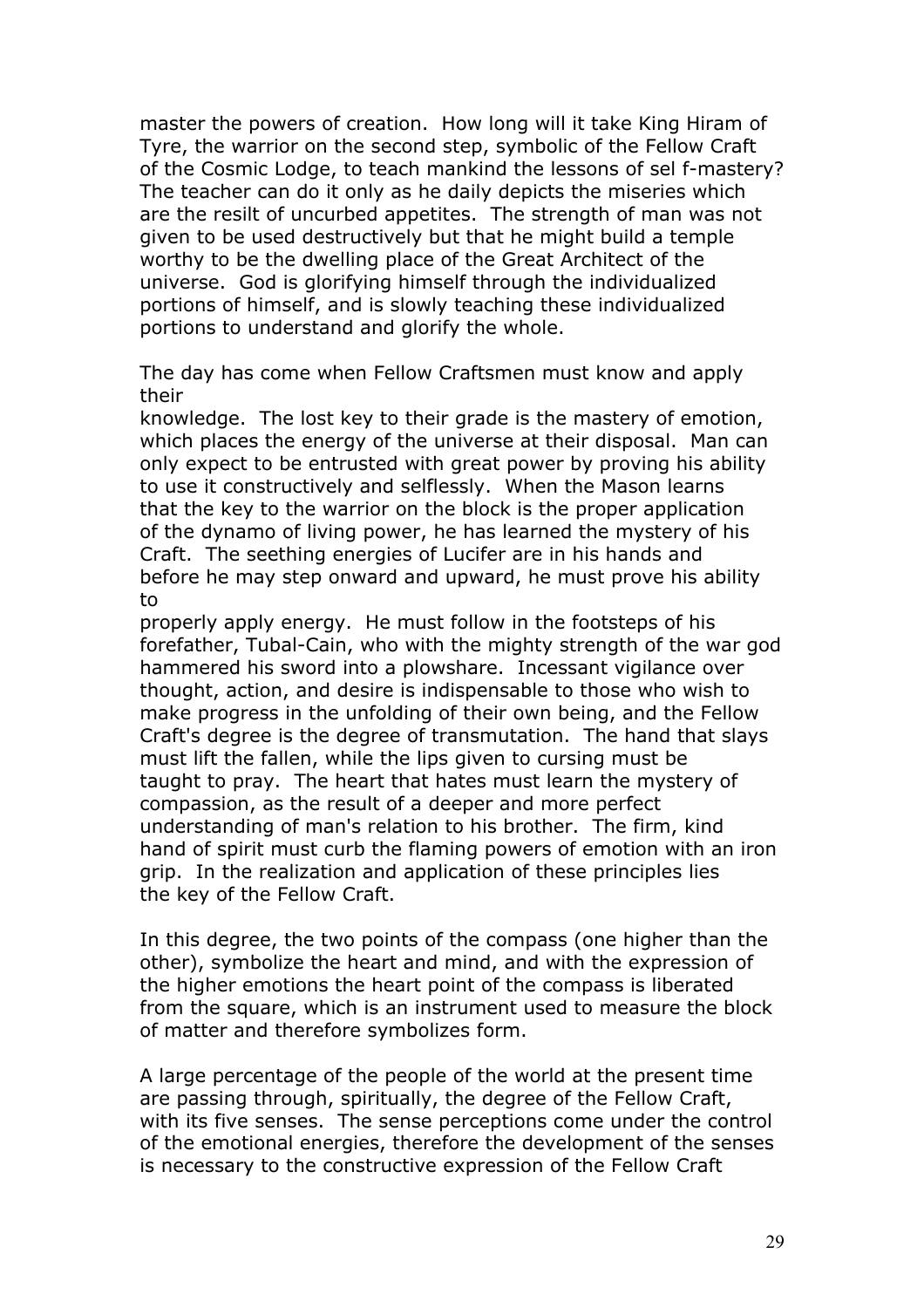master the powers of creation. How long will it take King Hiram of Tyre, the warrior on the second step, symbolic of the Fellow Craft of the Cosmic Lodge, to teach mankind the lessons of sel f-mastery? The teacher can do it only as he daily depicts the miseries which are the resilt of uncurbed appetites. The strength of man was not given to be used destructively but that he might build a temple worthy to be the dwelling place of the Great Architect of the universe. God is glorifying himself through the individualized portions of himself, and is slowly teaching these individualized portions to understand and glorify the whole.

The day has come when Fellow Craftsmen must know and apply their

knowledge. The lost key to their grade is the mastery of emotion, which places the energy of the universe at their disposal. Man can only expect to be entrusted with great power by proving his ability to use it constructively and selflessly. When the Mason learns that the key to the warrior on the block is the proper application of the dynamo of living power, he has learned the mystery of his Craft. The seething energies of Lucifer are in his hands and before he may step onward and upward, he must prove his ability to

properly apply energy. He must follow in the footsteps of his forefather, Tubal-Cain, who with the mighty strength of the war god hammered his sword into a plowshare. Incessant vigilance over thought, action, and desire is indispensable to those who wish to make progress in the unfolding of their own being, and the Fellow Craft's degree is the degree of transmutation. The hand that slays must lift the fallen, while the lips given to cursing must be taught to pray. The heart that hates must learn the mystery of compassion, as the result of a deeper and more perfect understanding of man's relation to his brother. The firm, kind hand of spirit must curb the flaming powers of emotion with an iron grip. In the realization and application of these principles lies the key of the Fellow Craft.

In this degree, the two points of the compass (one higher than the other), symbolize the heart and mind, and with the expression of the higher emotions the heart point of the compass is liberated from the square, which is an instrument used to measure the block of matter and therefore symbolizes form.

A large percentage of the people of the world at the present time are passing through, spiritually, the degree of the Fellow Craft, with its five senses. The sense perceptions come under the control of the emotional energies, therefore the development of the senses is necessary to the constructive expression of the Fellow Craft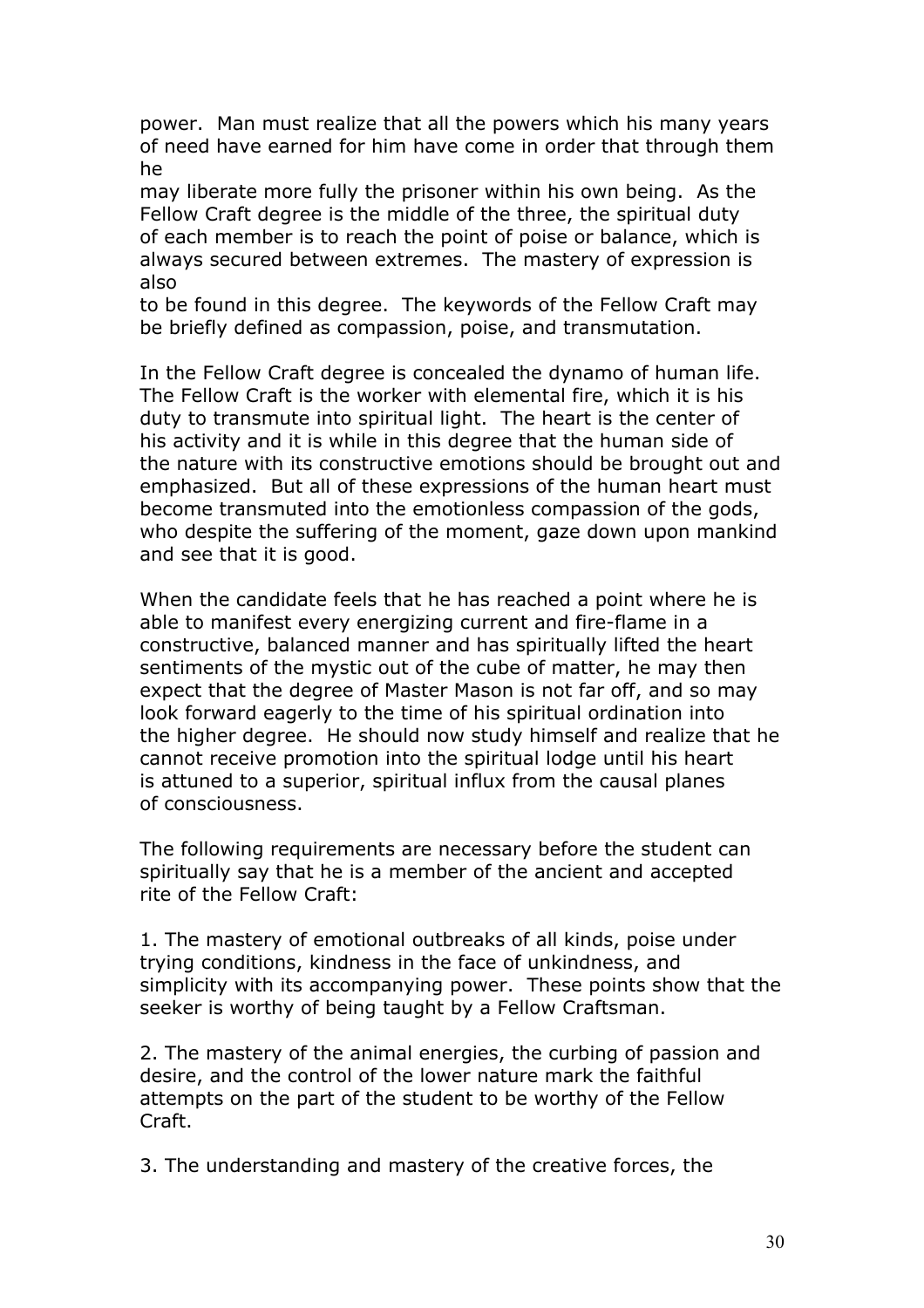power. Man must realize that all the powers which his many years of need have earned for him have come in order that through them he

may liberate more fully the prisoner within his own being. As the Fellow Craft degree is the middle of the three, the spiritual duty of each member is to reach the point of poise or balance, which is always secured between extremes. The mastery of expression is also

to be found in this degree. The keywords of the Fellow Craft may be briefly defined as compassion, poise, and transmutation.

In the Fellow Craft degree is concealed the dynamo of human life. The Fellow Craft is the worker with elemental fire, which it is his duty to transmute into spiritual light. The heart is the center of his activity and it is while in this degree that the human side of the nature with its constructive emotions should be brought out and emphasized. But all of these expressions of the human heart must become transmuted into the emotionless compassion of the gods, who despite the suffering of the moment, gaze down upon mankind and see that it is good.

When the candidate feels that he has reached a point where he is able to manifest every energizing current and fire-flame in a constructive, balanced manner and has spiritually lifted the heart sentiments of the mystic out of the cube of matter, he may then expect that the degree of Master Mason is not far off, and so may look forward eagerly to the time of his spiritual ordination into the higher degree. He should now study himself and realize that he cannot receive promotion into the spiritual lodge until his heart is attuned to a superior, spiritual influx from the causal planes of consciousness.

The following requirements are necessary before the student can spiritually say that he is a member of the ancient and accepted rite of the Fellow Craft:

1. The mastery of emotional outbreaks of all kinds, poise under trying conditions, kindness in the face of unkindness, and simplicity with its accompanying power. These points show that the seeker is worthy of being taught by a Fellow Craftsman.

2. The mastery of the animal energies, the curbing of passion and desire, and the control of the lower nature mark the faithful attempts on the part of the student to be worthy of the Fellow Craft.

3. The understanding and mastery of the creative forces, the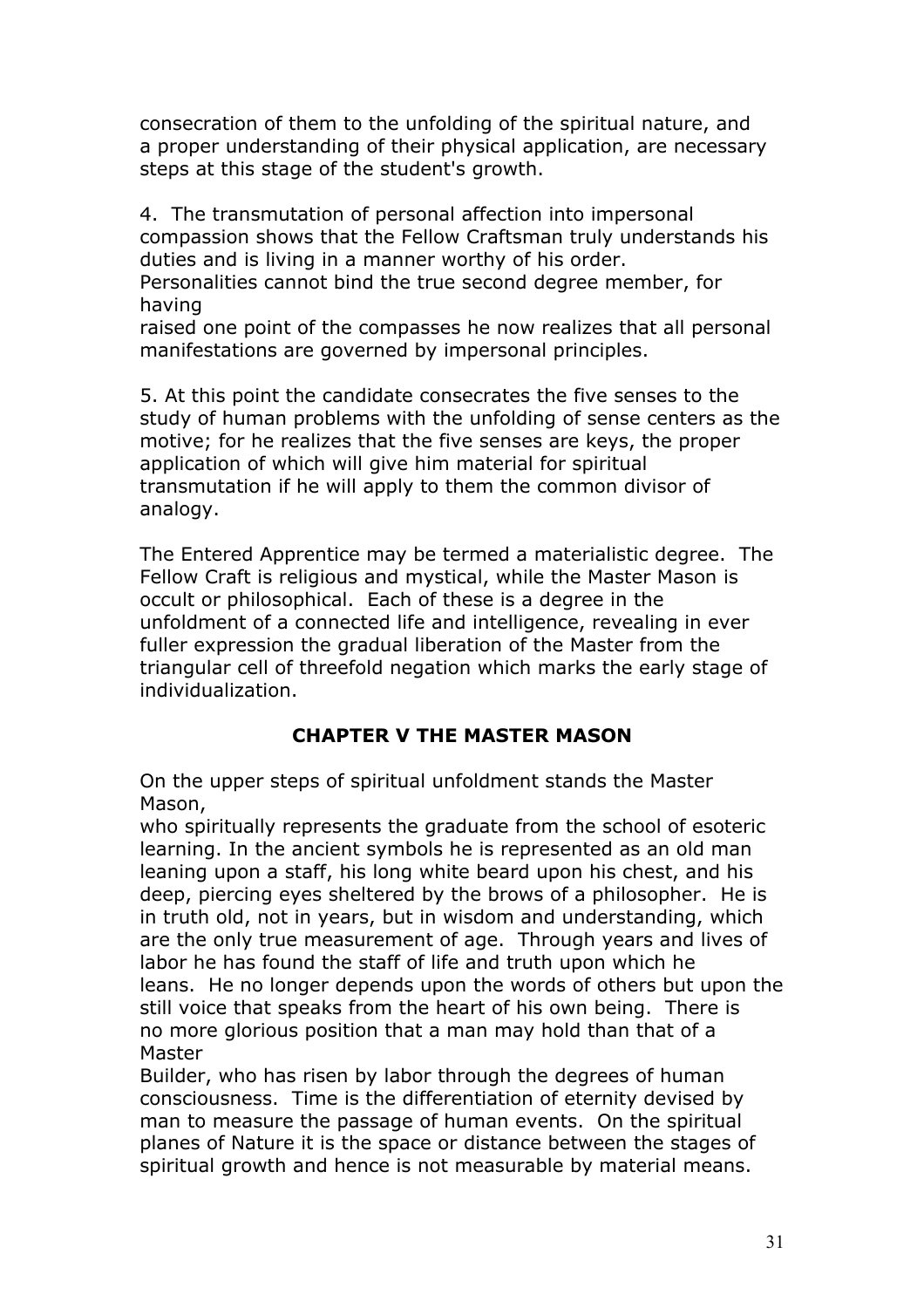consecration of them to the unfolding of the spiritual nature, and a proper understanding of their physical application, are necessary steps at this stage of the student's growth.

4. The transmutation of personal affection into impersonal compassion shows that the Fellow Craftsman truly understands his duties and is living in a manner worthy of his order. Personalities cannot bind the true second degree member, for having

raised one point of the compasses he now realizes that all personal manifestations are governed by impersonal principles.

5. At this point the candidate consecrates the five senses to the study of human problems with the unfolding of sense centers as the motive; for he realizes that the five senses are keys, the proper application of which will give him material for spiritual transmutation if he will apply to them the common divisor of analogy.

The Entered Apprentice may be termed a materialistic degree. The Fellow Craft is religious and mystical, while the Master Mason is occult or philosophical. Each of these is a degree in the unfoldment of a connected life and intelligence, revealing in ever fuller expression the gradual liberation of the Master from the triangular cell of threefold negation which marks the early stage of individualization.

## **CHAPTER V THE MASTER MASON**

On the upper steps of spiritual unfoldment stands the Master Mason,

who spiritually represents the graduate from the school of esoteric learning. In the ancient symbols he is represented as an old man leaning upon a staff, his long white beard upon his chest, and his deep, piercing eyes sheltered by the brows of a philosopher. He is in truth old, not in years, but in wisdom and understanding, which are the only true measurement of age. Through years and lives of labor he has found the staff of life and truth upon which he leans. He no longer depends upon the words of others but upon the still voice that speaks from the heart of his own being. There is no more glorious position that a man may hold than that of a Master

Builder, who has risen by labor through the degrees of human consciousness. Time is the differentiation of eternity devised by man to measure the passage of human events. On the spiritual planes of Nature it is the space or distance between the stages of spiritual growth and hence is not measurable by material means.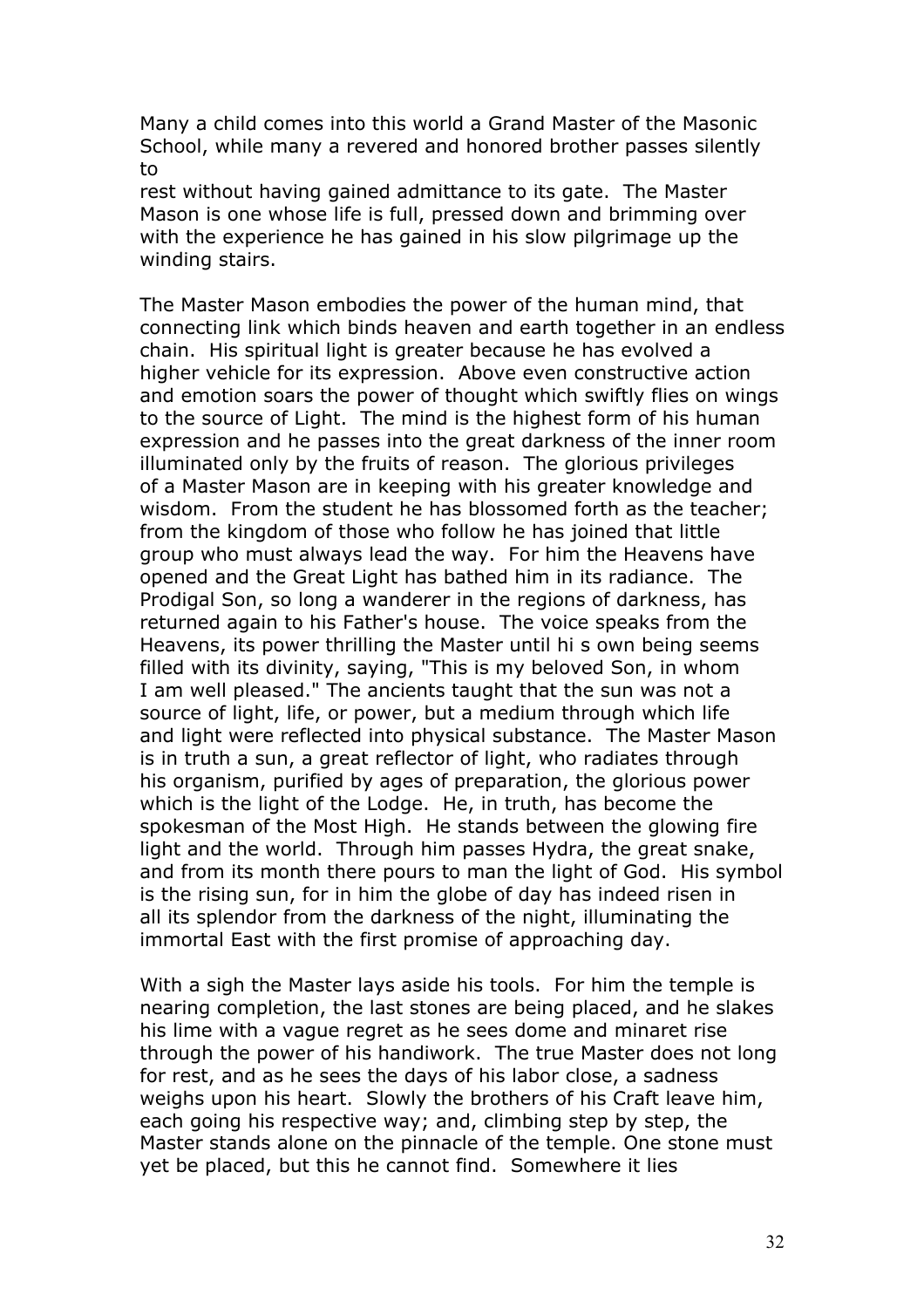Many a child comes into this world a Grand Master of the Masonic School, while many a revered and honored brother passes silently to

rest without having gained admittance to its gate. The Master Mason is one whose life is full, pressed down and brimming over with the experience he has gained in his slow pilgrimage up the winding stairs.

The Master Mason embodies the power of the human mind, that connecting link which binds heaven and earth together in an endless chain. His spiritual light is greater because he has evolved a higher vehicle for its expression. Above even constructive action and emotion soars the power of thought which swiftly flies on wings to the source of Light. The mind is the highest form of his human expression and he passes into the great darkness of the inner room illuminated only by the fruits of reason. The glorious privileges of a Master Mason are in keeping with his greater knowledge and wisdom. From the student he has blossomed forth as the teacher; from the kingdom of those who follow he has joined that little group who must always lead the way. For him the Heavens have opened and the Great Light has bathed him in its radiance. The Prodigal Son, so long a wanderer in the regions of darkness, has returned again to his Father's house. The voice speaks from the Heavens, its power thrilling the Master until hi s own being seems filled with its divinity, saying, "This is my beloved Son, in whom I am well pleased." The ancients taught that the sun was not a source of light, life, or power, but a medium through which life and light were reflected into physical substance. The Master Mason is in truth a sun, a great reflector of light, who radiates through his organism, purified by ages of preparation, the glorious power which is the light of the Lodge. He, in truth, has become the spokesman of the Most High. He stands between the glowing fire light and the world. Through him passes Hydra, the great snake, and from its month there pours to man the light of God. His symbol is the rising sun, for in him the globe of day has indeed risen in all its splendor from the darkness of the night, illuminating the immortal East with the first promise of approaching day.

With a sigh the Master lays aside his tools. For him the temple is nearing completion, the last stones are being placed, and he slakes his lime with a vague regret as he sees dome and minaret rise through the power of his handiwork. The true Master does not long for rest, and as he sees the days of his labor close, a sadness weighs upon his heart. Slowly the brothers of his Craft leave him, each going his respective way; and, climbing step by step, the Master stands alone on the pinnacle of the temple. One stone must yet be placed, but this he cannot find. Somewhere it lies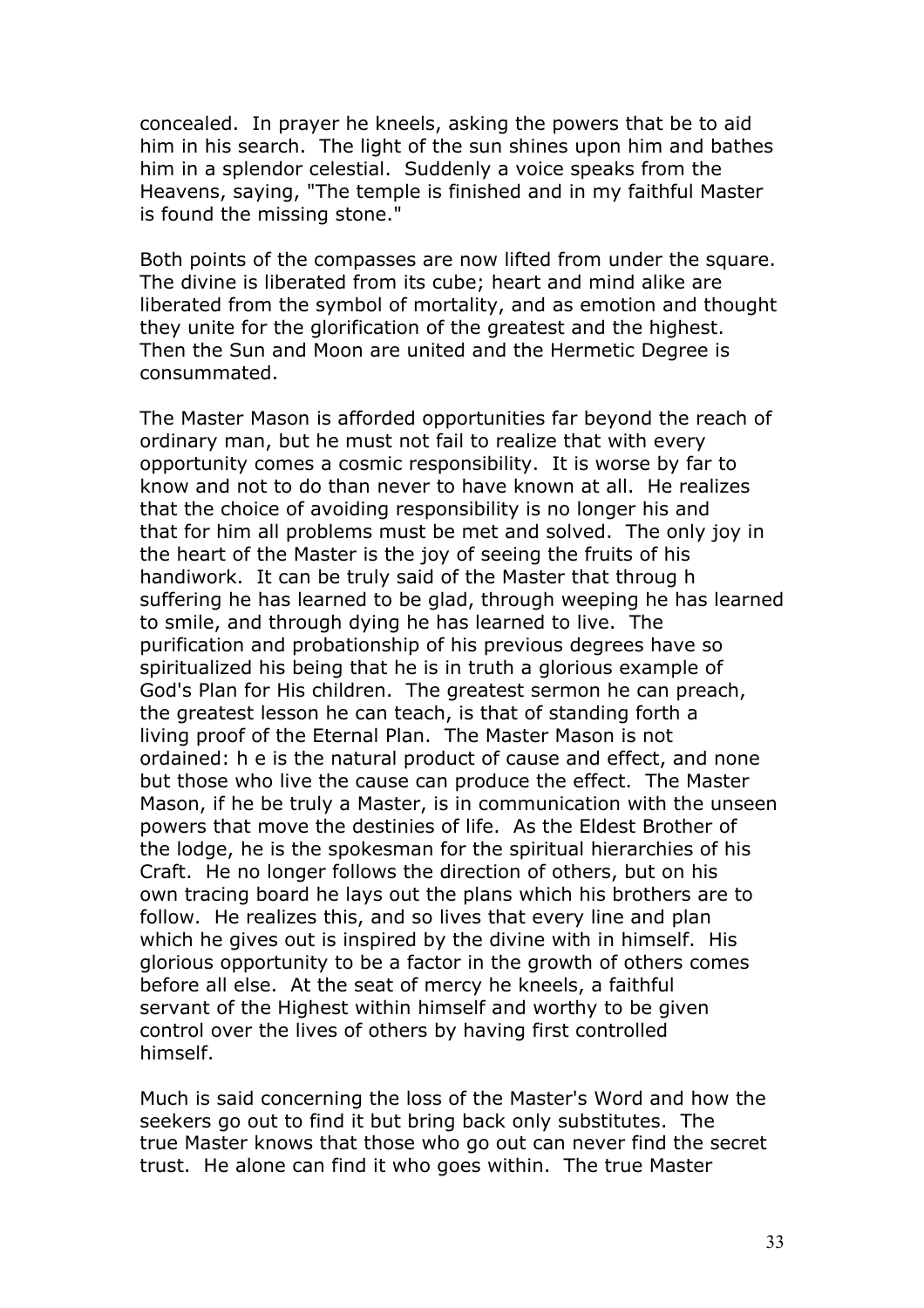concealed. In prayer he kneels, asking the powers that be to aid him in his search. The light of the sun shines upon him and bathes him in a splendor celestial. Suddenly a voice speaks from the Heavens, saying, "The temple is finished and in my faithful Master is found the missing stone."

Both points of the compasses are now lifted from under the square. The divine is liberated from its cube; heart and mind alike are liberated from the symbol of mortality, and as emotion and thought they unite for the glorification of the greatest and the highest. Then the Sun and Moon are united and the Hermetic Degree is consummated.

The Master Mason is afforded opportunities far beyond the reach of ordinary man, but he must not fail to realize that with every opportunity comes a cosmic responsibility. It is worse by far to know and not to do than never to have known at all. He realizes that the choice of avoiding responsibility is no longer his and that for him all problems must be met and solved. The only joy in the heart of the Master is the joy of seeing the fruits of his handiwork. It can be truly said of the Master that throug h suffering he has learned to be glad, through weeping he has learned to smile, and through dying he has learned to live. The purification and probationship of his previous degrees have so spiritualized his being that he is in truth a glorious example of God's Plan for His children. The greatest sermon he can preach, the greatest lesson he can teach, is that of standing forth a living proof of the Eternal Plan. The Master Mason is not ordained: h e is the natural product of cause and effect, and none but those who live the cause can produce the effect. The Master Mason, if he be truly a Master, is in communication with the unseen powers that move the destinies of life. As the Eldest Brother of the lodge, he is the spokesman for the spiritual hierarchies of his Craft. He no longer follows the direction of others, but on his own tracing board he lays out the plans which his brothers are to follow. He realizes this, and so lives that every line and plan which he gives out is inspired by the divine with in himself. His glorious opportunity to be a factor in the growth of others comes before all else. At the seat of mercy he kneels, a faithful servant of the Highest within himself and worthy to be given control over the lives of others by having first controlled himself.

Much is said concerning the loss of the Master's Word and how the seekers go out to find it but bring back only substitutes. The true Master knows that those who go out can never find the secret trust. He alone can find it who goes within. The true Master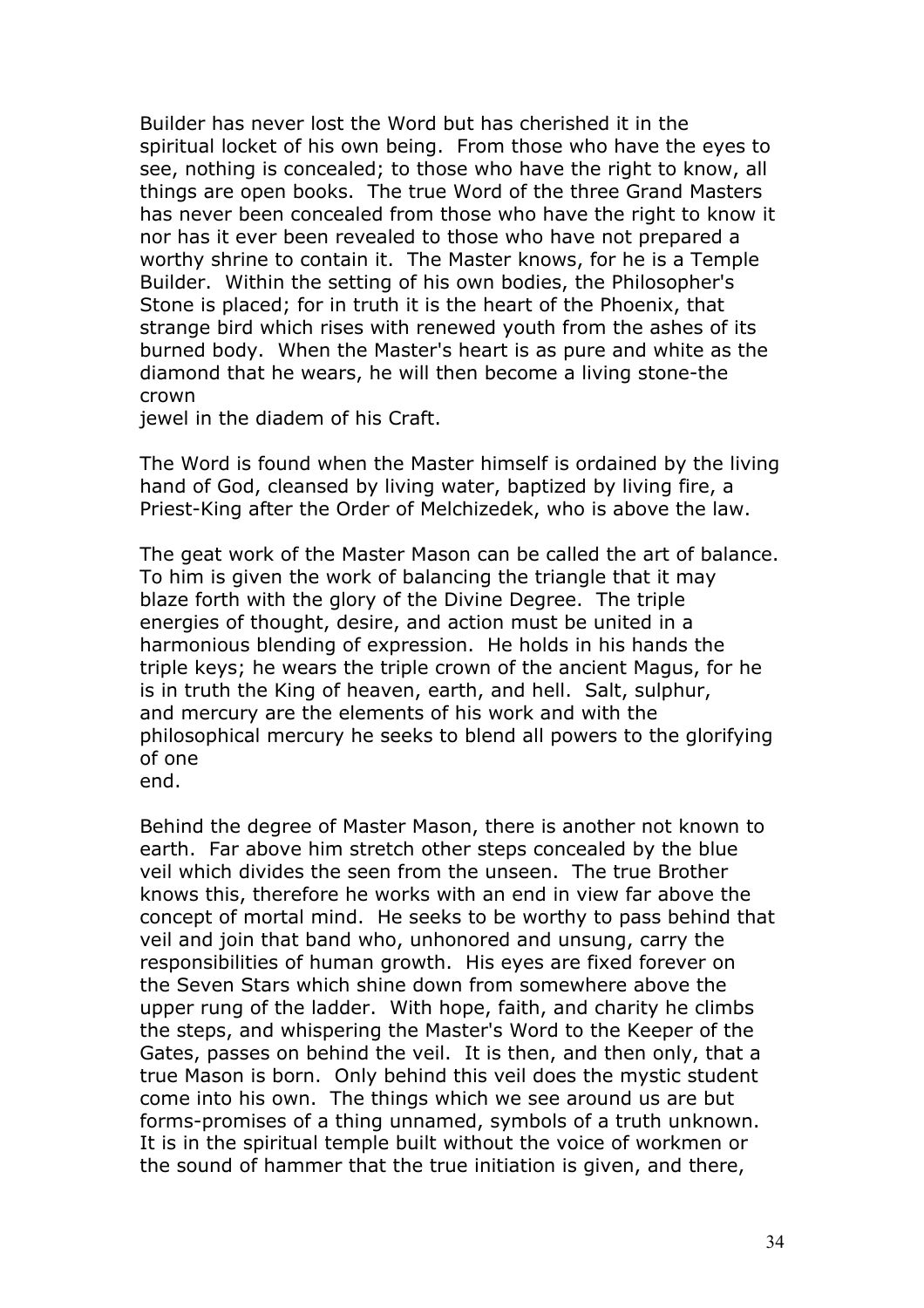Builder has never lost the Word but has cherished it in the spiritual locket of his own being. From those who have the eyes to see, nothing is concealed; to those who have the right to know, all things are open books. The true Word of the three Grand Masters has never been concealed from those who have the right to know it nor has it ever been revealed to those who have not prepared a worthy shrine to contain it. The Master knows, for he is a Temple Builder. Within the setting of his own bodies, the Philosopher's Stone is placed; for in truth it is the heart of the Phoenix, that strange bird which rises with renewed youth from the ashes of its burned body. When the Master's heart is as pure and white as the diamond that he wears, he will then become a living stone-the crown

jewel in the diadem of his Craft.

The Word is found when the Master himself is ordained by the living hand of God, cleansed by living water, baptized by living fire, a Priest-King after the Order of Melchizedek, who is above the law.

The geat work of the Master Mason can be called the art of balance. To him is given the work of balancing the triangle that it may blaze forth with the glory of the Divine Degree. The triple energies of thought, desire, and action must be united in a harmonious blending of expression. He holds in his hands the triple keys; he wears the triple crown of the ancient Magus, for he is in truth the King of heaven, earth, and hell. Salt, sulphur, and mercury are the elements of his work and with the philosophical mercury he seeks to blend all powers to the glorifying of one

end.

Behind the degree of Master Mason, there is another not known to earth. Far above him stretch other steps concealed by the blue veil which divides the seen from the unseen. The true Brother knows this, therefore he works with an end in view far above the concept of mortal mind. He seeks to be worthy to pass behind that veil and join that band who, unhonored and unsung, carry the responsibilities of human growth. His eyes are fixed forever on the Seven Stars which shine down from somewhere above the upper rung of the ladder. With hope, faith, and charity he climbs the steps, and whispering the Master's Word to the Keeper of the Gates, passes on behind the veil. It is then, and then only, that a true Mason is born. Only behind this veil does the mystic student come into his own. The things which we see around us are but forms-promises of a thing unnamed, symbols of a truth unknown. It is in the spiritual temple built without the voice of workmen or the sound of hammer that the true initiation is given, and there,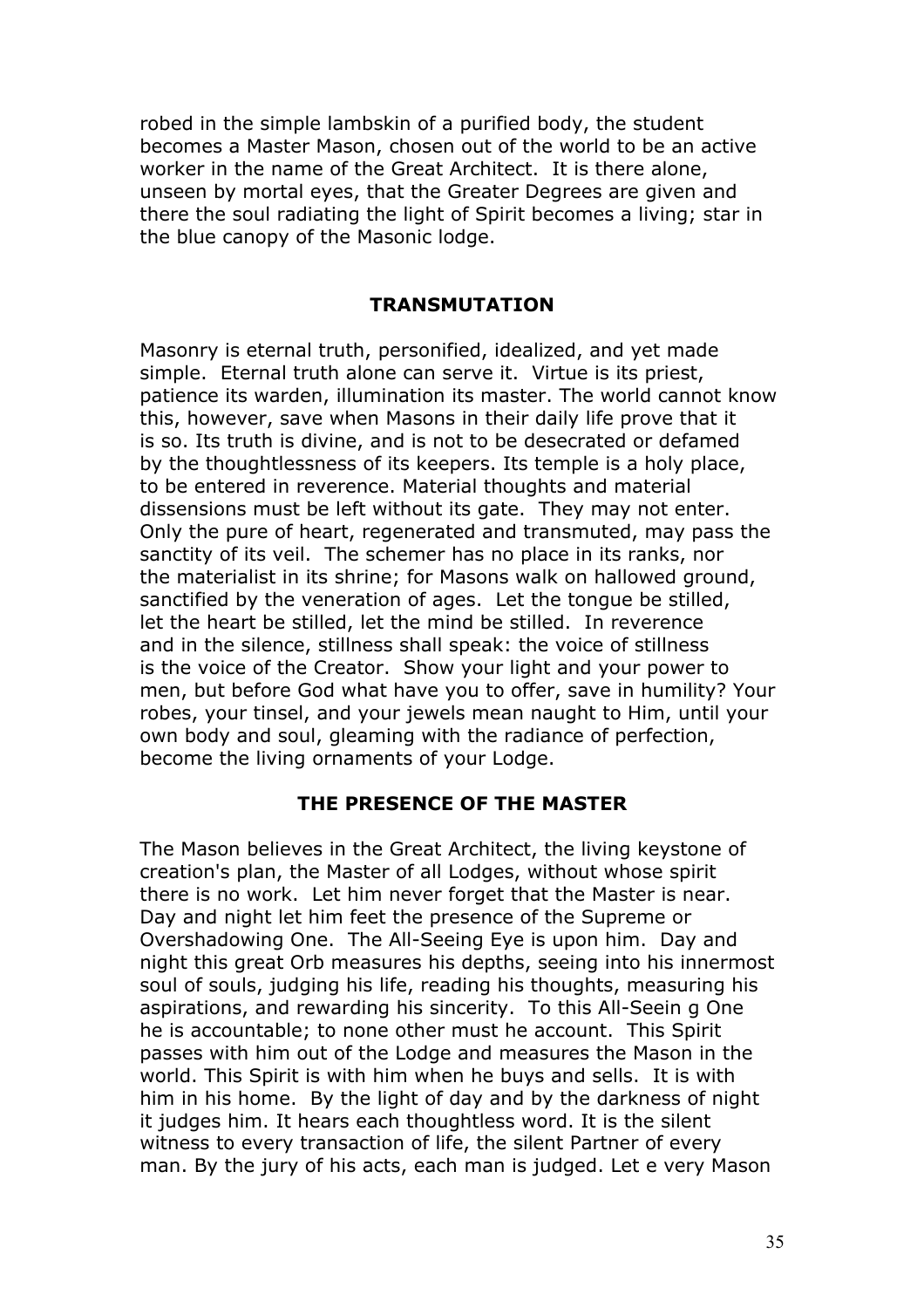robed in the simple lambskin of a purified body, the student becomes a Master Mason, chosen out of the world to be an active worker in the name of the Great Architect. It is there alone, unseen by mortal eyes, that the Greater Degrees are given and there the soul radiating the light of Spirit becomes a living; star in the blue canopy of the Masonic lodge.

#### **TRANSMUTATION**

Masonry is eternal truth, personified, idealized, and yet made simple. Eternal truth alone can serve it. Virtue is its priest, patience its warden, illumination its master. The world cannot know this, however, save when Masons in their daily life prove that it is so. Its truth is divine, and is not to be desecrated or defamed by the thoughtlessness of its keepers. Its temple is a holy place, to be entered in reverence. Material thoughts and material dissensions must be left without its gate. They may not enter. Only the pure of heart, regenerated and transmuted, may pass the sanctity of its veil. The schemer has no place in its ranks, nor the materialist in its shrine; for Masons walk on hallowed ground, sanctified by the veneration of ages. Let the tongue be stilled, let the heart be stilled, let the mind be stilled. In reverence and in the silence, stillness shall speak: the voice of stillness is the voice of the Creator. Show your light and your power to men, but before God what have you to offer, save in humility? Your robes, your tinsel, and your jewels mean naught to Him, until your own body and soul, gleaming with the radiance of perfection, become the living ornaments of your Lodge.

#### **THE PRESENCE OF THE MASTER**

The Mason believes in the Great Architect, the living keystone of creation's plan, the Master of all Lodges, without whose spirit there is no work. Let him never forget that the Master is near. Day and night let him feet the presence of the Supreme or Overshadowing One. The All-Seeing Eye is upon him. Day and night this great Orb measures his depths, seeing into his innermost soul of souls, judging his life, reading his thoughts, measuring his aspirations, and rewarding his sincerity. To this All-Seein g One he is accountable; to none other must he account. This Spirit passes with him out of the Lodge and measures the Mason in the world. This Spirit is with him when he buys and sells. It is with him in his home. By the light of day and by the darkness of night it judges him. It hears each thoughtless word. It is the silent witness to every transaction of life, the silent Partner of every man. By the jury of his acts, each man is judged. Let e very Mason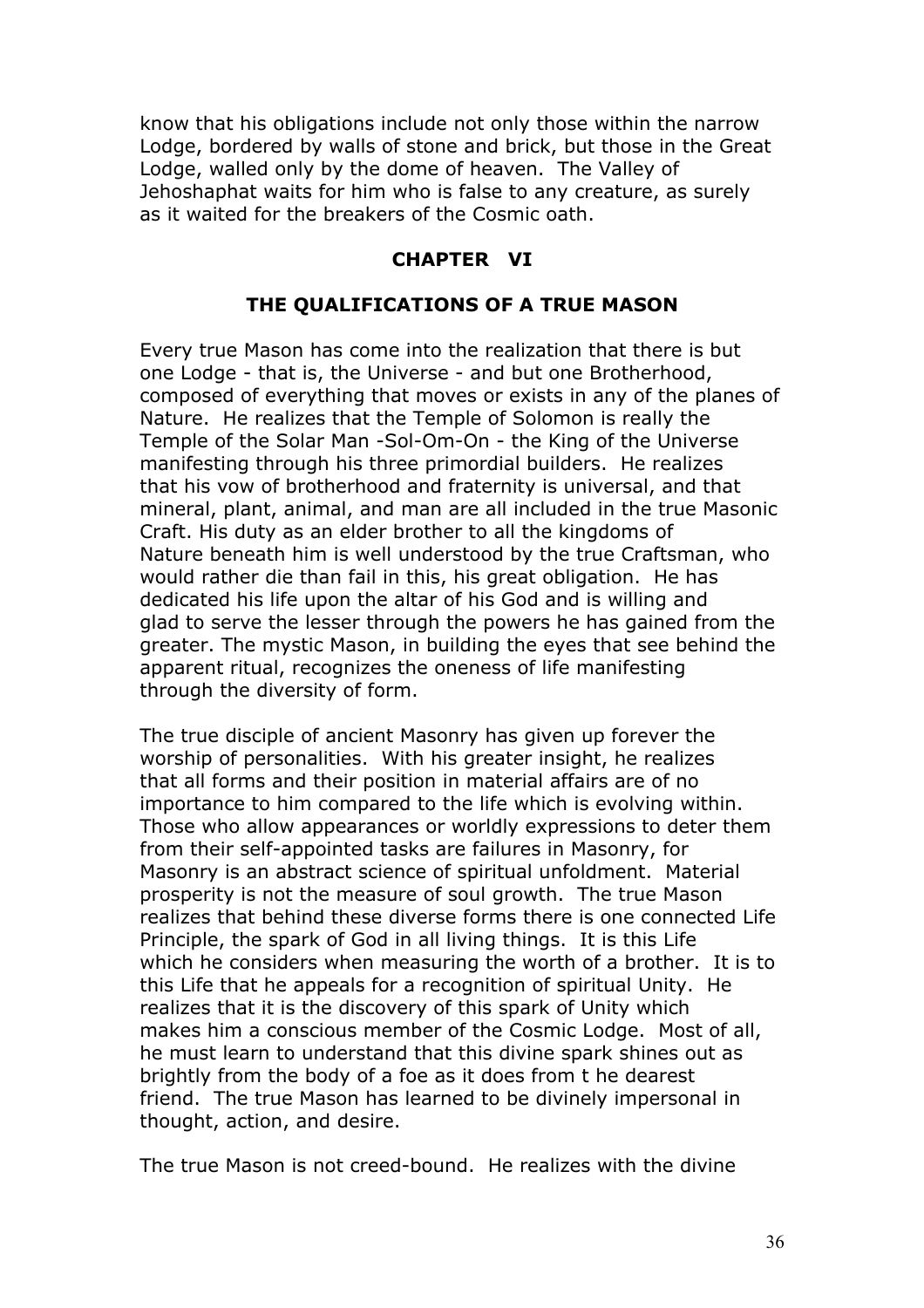know that his obligations include not only those within the narrow Lodge, bordered by walls of stone and brick, but those in the Great Lodge, walled only by the dome of heaven. The Valley of Jehoshaphat waits for him who is false to any creature, as surely as it waited for the breakers of the Cosmic oath.

### **CHAPTER VI**

#### **THE QUALIFICATIONS OF A TRUE MASON**

Every true Mason has come into the realization that there is but one Lodge - that is, the Universe - and but one Brotherhood, composed of everything that moves or exists in any of the planes of Nature. He realizes that the Temple of Solomon is really the Temple of the Solar Man -Sol-Om-On - the King of the Universe manifesting through his three primordial builders. He realizes that his vow of brotherhood and fraternity is universal, and that mineral, plant, animal, and man are all included in the true Masonic Craft. His duty as an elder brother to all the kingdoms of Nature beneath him is well understood by the true Craftsman, who would rather die than fail in this, his great obligation. He has dedicated his life upon the altar of his God and is willing and glad to serve the lesser through the powers he has gained from the greater. The mystic Mason, in building the eyes that see behind the apparent ritual, recognizes the oneness of life manifesting through the diversity of form.

The true disciple of ancient Masonry has given up forever the worship of personalities. With his greater insight, he realizes that all forms and their position in material affairs are of no importance to him compared to the life which is evolving within. Those who allow appearances or worldly expressions to deter them from their self-appointed tasks are failures in Masonry, for Masonry is an abstract science of spiritual unfoldment. Material prosperity is not the measure of soul growth. The true Mason realizes that behind these diverse forms there is one connected Life Principle, the spark of God in all living things. It is this Life which he considers when measuring the worth of a brother. It is to this Life that he appeals for a recognition of spiritual Unity. He realizes that it is the discovery of this spark of Unity which makes him a conscious member of the Cosmic Lodge. Most of all, he must learn to understand that this divine spark shines out as brightly from the body of a foe as it does from t he dearest friend. The true Mason has learned to be divinely impersonal in thought, action, and desire.

The true Mason is not creed-bound. He realizes with the divine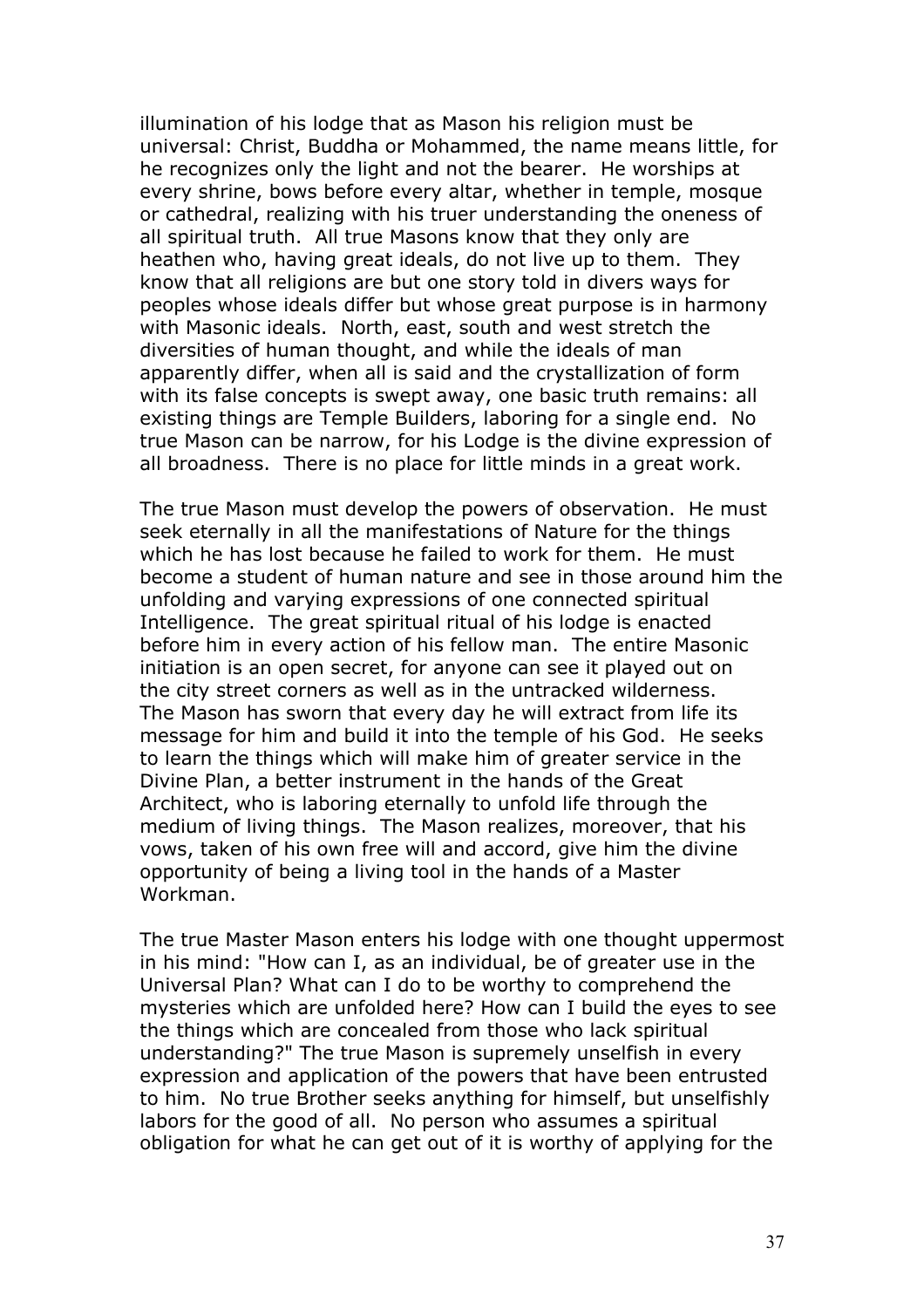illumination of his lodge that as Mason his religion must be universal: Christ, Buddha or Mohammed, the name means little, for he recognizes only the light and not the bearer. He worships at every shrine, bows before every altar, whether in temple, mosque or cathedral, realizing with his truer understanding the oneness of all spiritual truth. All true Masons know that they only are heathen who, having great ideals, do not live up to them. They know that all religions are but one story told in divers ways for peoples whose ideals differ but whose great purpose is in harmony with Masonic ideals. North, east, south and west stretch the diversities of human thought, and while the ideals of man apparently differ, when all is said and the crystallization of form with its false concepts is swept away, one basic truth remains: all existing things are Temple Builders, laboring for a single end. No true Mason can be narrow, for his Lodge is the divine expression of all broadness. There is no place for little minds in a great work.

The true Mason must develop the powers of observation. He must seek eternally in all the manifestations of Nature for the things which he has lost because he failed to work for them. He must become a student of human nature and see in those around him the unfolding and varying expressions of one connected spiritual Intelligence. The great spiritual ritual of his lodge is enacted before him in every action of his fellow man. The entire Masonic initiation is an open secret, for anyone can see it played out on the city street corners as well as in the untracked wilderness. The Mason has sworn that every day he will extract from life its message for him and build it into the temple of his God. He seeks to learn the things which will make him of greater service in the Divine Plan, a better instrument in the hands of the Great Architect, who is laboring eternally to unfold life through the medium of living things. The Mason realizes, moreover, that his vows, taken of his own free will and accord, give him the divine opportunity of being a living tool in the hands of a Master Workman.

The true Master Mason enters his lodge with one thought uppermost in his mind: "How can I, as an individual, be of greater use in the Universal Plan? What can I do to be worthy to comprehend the mysteries which are unfolded here? How can I build the eyes to see the things which are concealed from those who lack spiritual understanding?" The true Mason is supremely unselfish in every expression and application of the powers that have been entrusted to him. No true Brother seeks anything for himself, but unselfishly labors for the good of all. No person who assumes a spiritual obligation for what he can get out of it is worthy of applying for the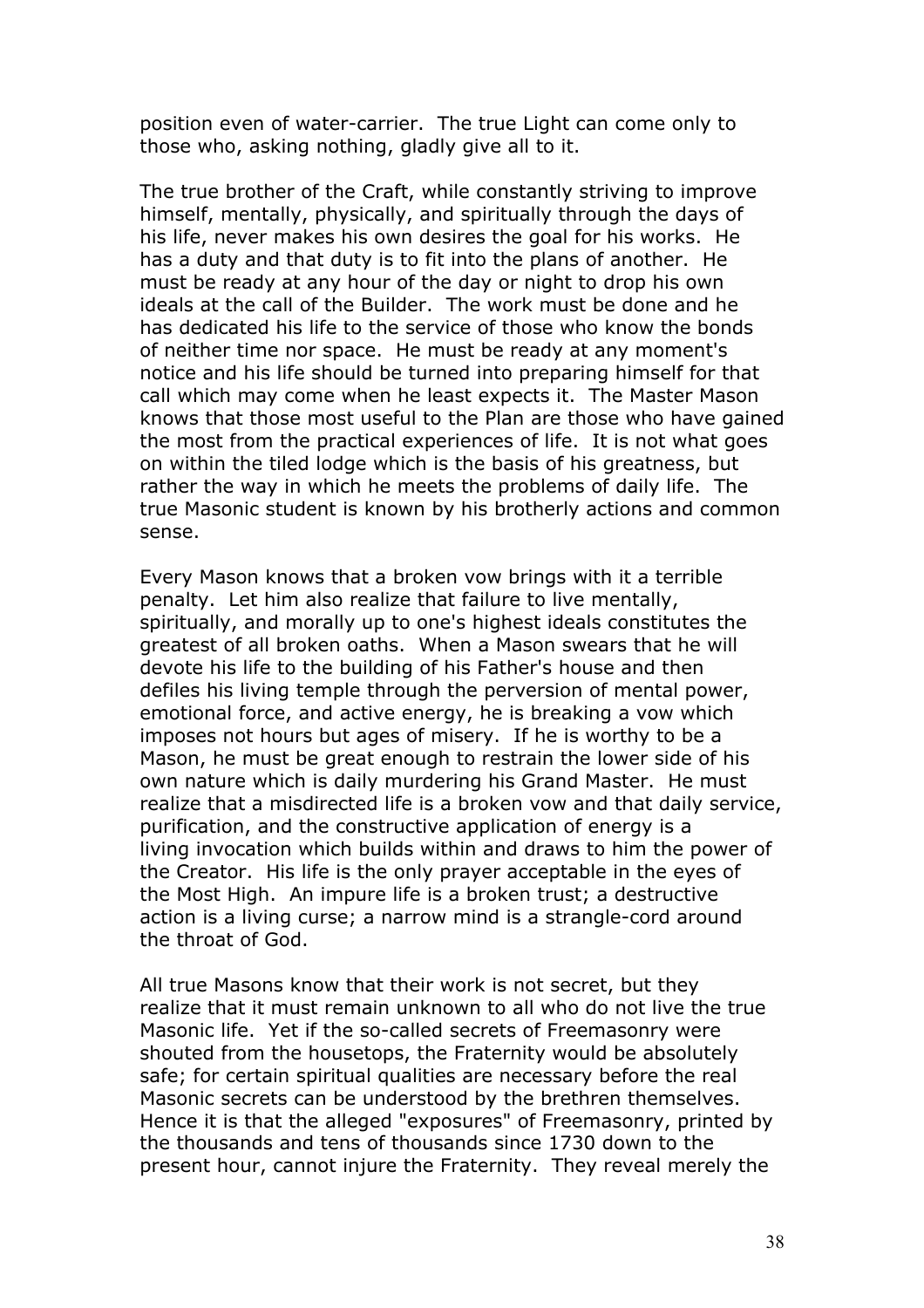position even of water-carrier. The true Light can come only to those who, asking nothing, gladly give all to it.

The true brother of the Craft, while constantly striving to improve himself, mentally, physically, and spiritually through the days of his life, never makes his own desires the goal for his works. He has a duty and that duty is to fit into the plans of another. He must be ready at any hour of the day or night to drop his own ideals at the call of the Builder. The work must be done and he has dedicated his life to the service of those who know the bonds of neither time nor space. He must be ready at any moment's notice and his life should be turned into preparing himself for that call which may come when he least expects it. The Master Mason knows that those most useful to the Plan are those who have gained the most from the practical experiences of life. It is not what goes on within the tiled lodge which is the basis of his greatness, but rather the way in which he meets the problems of daily life. The true Masonic student is known by his brotherly actions and common sense.

Every Mason knows that a broken vow brings with it a terrible penalty. Let him also realize that failure to live mentally, spiritually, and morally up to one's highest ideals constitutes the greatest of all broken oaths. When a Mason swears that he will devote his life to the building of his Father's house and then defiles his living temple through the perversion of mental power, emotional force, and active energy, he is breaking a vow which imposes not hours but ages of misery. If he is worthy to be a Mason, he must be great enough to restrain the lower side of his own nature which is daily murdering his Grand Master. He must realize that a misdirected life is a broken vow and that daily service, purification, and the constructive application of energy is a living invocation which builds within and draws to him the power of the Creator. His life is the only prayer acceptable in the eyes of the Most High. An impure life is a broken trust; a destructive action is a living curse; a narrow mind is a strangle-cord around the throat of God.

All true Masons know that their work is not secret, but they realize that it must remain unknown to all who do not live the true Masonic life. Yet if the so-called secrets of Freemasonry were shouted from the housetops, the Fraternity would be absolutely safe; for certain spiritual qualities are necessary before the real Masonic secrets can be understood by the brethren themselves. Hence it is that the alleged "exposures" of Freemasonry, printed by the thousands and tens of thousands since 1730 down to the present hour, cannot injure the Fraternity. They reveal merely the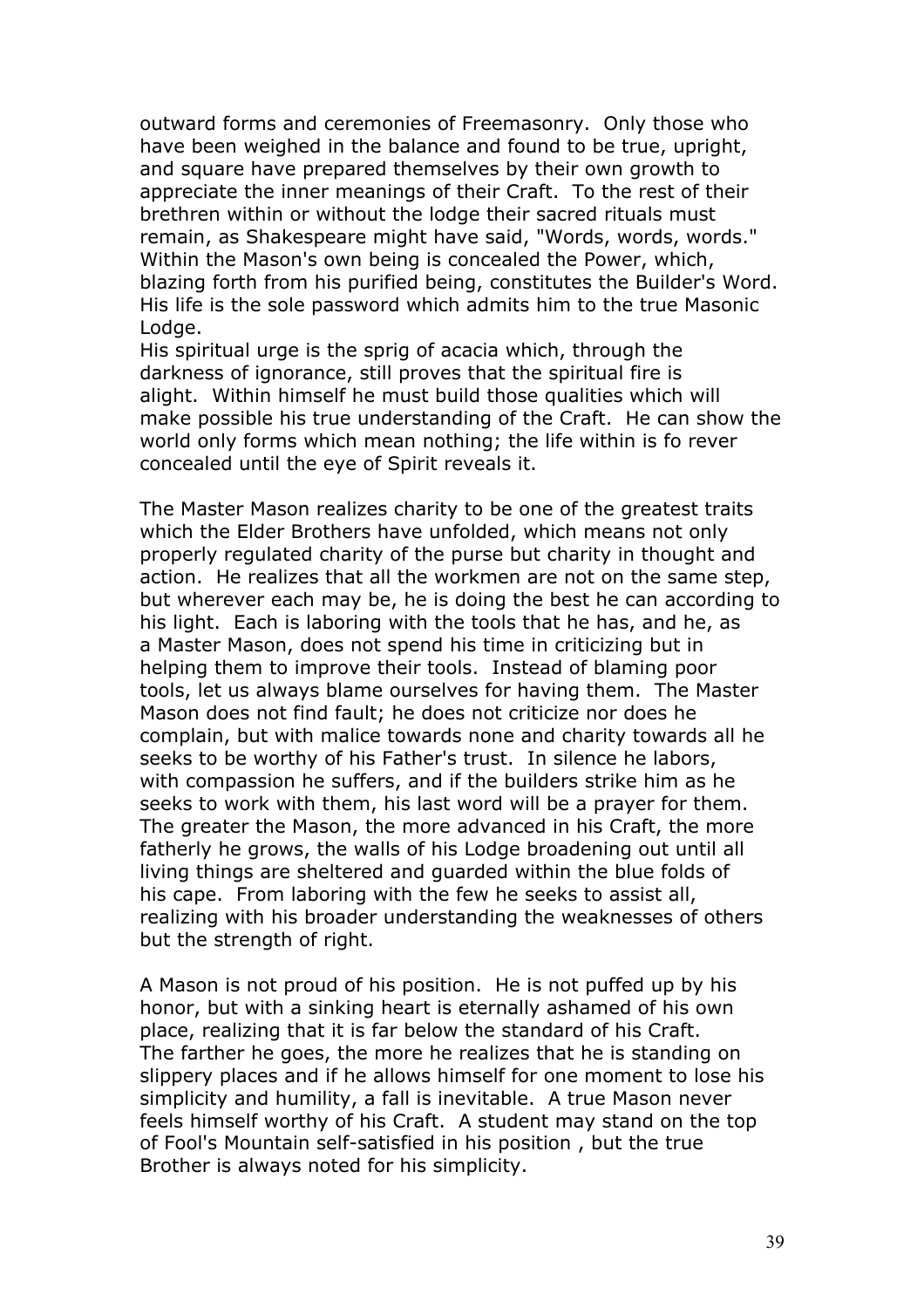outward forms and ceremonies of Freemasonry. Only those who have been weighed in the balance and found to be true, upright, and square have prepared themselves by their own growth to appreciate the inner meanings of their Craft. To the rest of their brethren within or without the lodge their sacred rituals must remain, as Shakespeare might have said, "Words, words, words." Within the Mason's own being is concealed the Power, which, blazing forth from his purified being, constitutes the Builder's Word. His life is the sole password which admits him to the true Masonic Lodge.

His spiritual urge is the sprig of acacia which, through the darkness of ignorance, still proves that the spiritual fire is alight. Within himself he must build those qualities which will make possible his true understanding of the Craft. He can show the world only forms which mean nothing; the life within is fo rever concealed until the eye of Spirit reveals it.

The Master Mason realizes charity to be one of the greatest traits which the Elder Brothers have unfolded, which means not only properly regulated charity of the purse but charity in thought and action. He realizes that all the workmen are not on the same step, but wherever each may be, he is doing the best he can according to his light. Each is laboring with the tools that he has, and he, as a Master Mason, does not spend his time in criticizing but in helping them to improve their tools. Instead of blaming poor tools, let us always blame ourselves for having them. The Master Mason does not find fault; he does not criticize nor does he complain, but with malice towards none and charity towards all he seeks to be worthy of his Father's trust. In silence he labors, with compassion he suffers, and if the builders strike him as he seeks to work with them, his last word will be a prayer for them. The greater the Mason, the more advanced in his Craft, the more fatherly he grows, the walls of his Lodge broadening out until all living things are sheltered and guarded within the blue folds of his cape. From laboring with the few he seeks to assist all, realizing with his broader understanding the weaknesses of others but the strength of right.

A Mason is not proud of his position. He is not puffed up by his honor, but with a sinking heart is eternally ashamed of his own place, realizing that it is far below the standard of his Craft. The farther he goes, the more he realizes that he is standing on slippery places and if he allows himself for one moment to lose his simplicity and humility, a fall is inevitable. A true Mason never feels himself worthy of his Craft. A student may stand on the top of Fool's Mountain self-satisfied in his position , but the true Brother is always noted for his simplicity.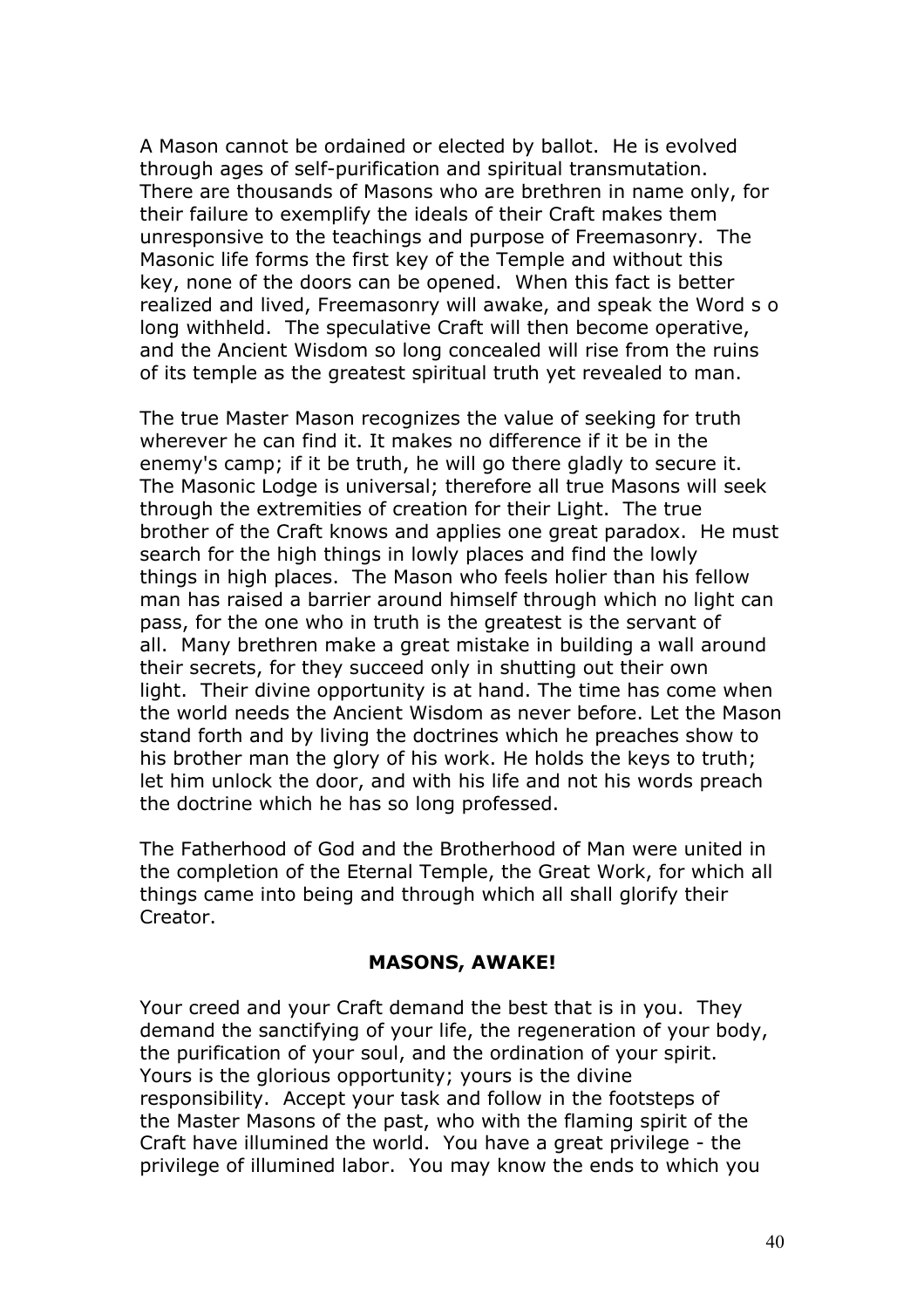A Mason cannot be ordained or elected by ballot. He is evolved through ages of self-purification and spiritual transmutation. There are thousands of Masons who are brethren in name only, for their failure to exemplify the ideals of their Craft makes them unresponsive to the teachings and purpose of Freemasonry. The Masonic life forms the first key of the Temple and without this key, none of the doors can be opened. When this fact is better realized and lived, Freemasonry will awake, and speak the Word s o long withheld. The speculative Craft will then become operative, and the Ancient Wisdom so long concealed will rise from the ruins of its temple as the greatest spiritual truth yet revealed to man.

The true Master Mason recognizes the value of seeking for truth wherever he can find it. It makes no difference if it be in the enemy's camp; if it be truth, he will go there gladly to secure it. The Masonic Lodge is universal; therefore all true Masons will seek through the extremities of creation for their Light. The true brother of the Craft knows and applies one great paradox. He must search for the high things in lowly places and find the lowly things in high places. The Mason who feels holier than his fellow man has raised a barrier around himself through which no light can pass, for the one who in truth is the greatest is the servant of all. Many brethren make a great mistake in building a wall around their secrets, for they succeed only in shutting out their own light. Their divine opportunity is at hand. The time has come when the world needs the Ancient Wisdom as never before. Let the Mason stand forth and by living the doctrines which he preaches show to his brother man the glory of his work. He holds the keys to truth; let him unlock the door, and with his life and not his words preach the doctrine which he has so long professed.

The Fatherhood of God and the Brotherhood of Man were united in the completion of the Eternal Temple, the Great Work, for which all things came into being and through which all shall glorify their Creator.

#### **MASONS, AWAKE!**

Your creed and your Craft demand the best that is in you. They demand the sanctifying of your life, the regeneration of your body, the purification of your soul, and the ordination of your spirit. Yours is the glorious opportunity; yours is the divine responsibility. Accept your task and follow in the footsteps of the Master Masons of the past, who with the flaming spirit of the Craft have illumined the world. You have a great privilege - the privilege of illumined labor. You may know the ends to which you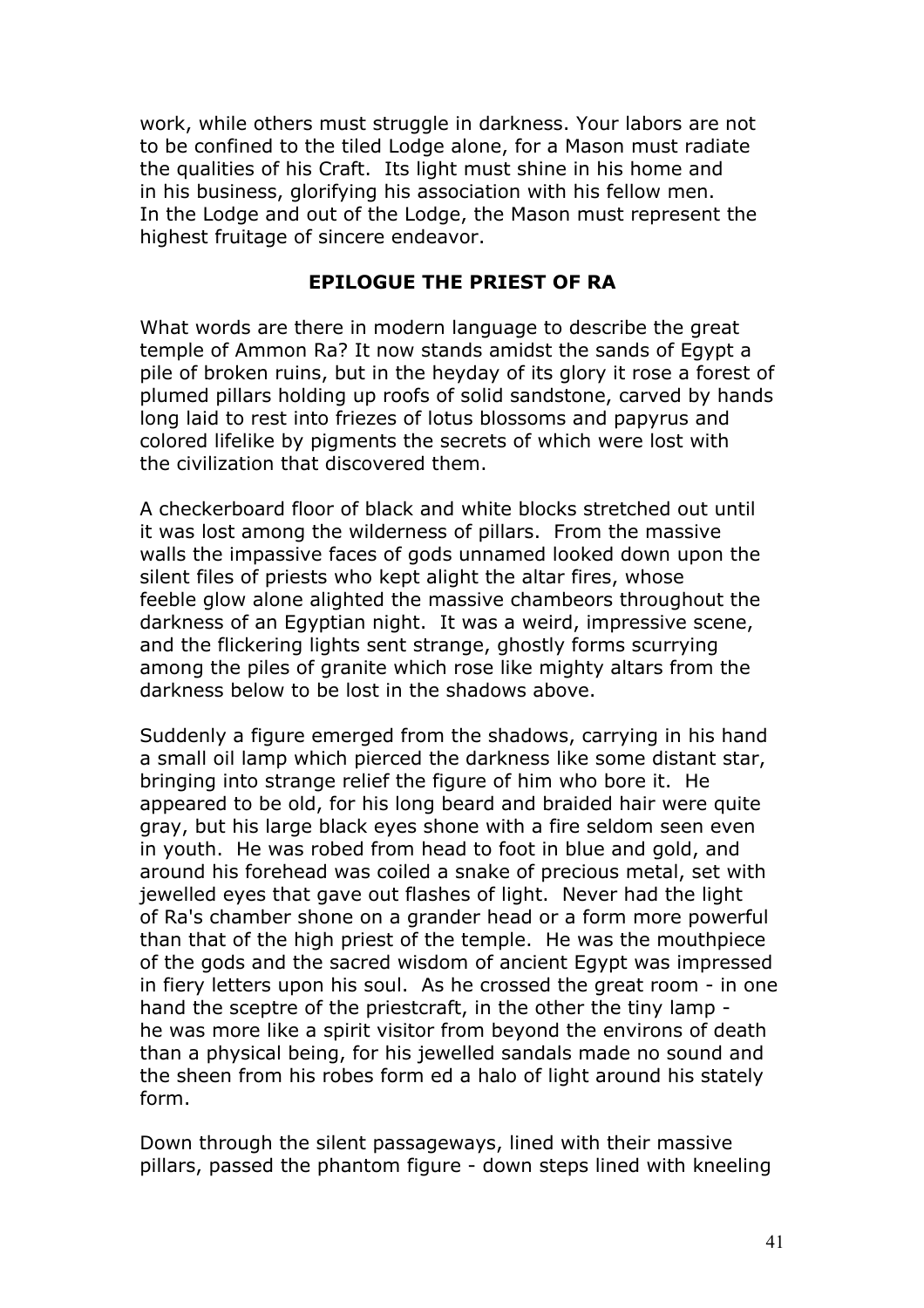work, while others must struggle in darkness. Your labors are not to be confined to the tiled Lodge alone, for a Mason must radiate the qualities of his Craft. Its light must shine in his home and in his business, glorifying his association with his fellow men. In the Lodge and out of the Lodge, the Mason must represent the highest fruitage of sincere endeavor.

### **EPILOGUE THE PRIEST OF RA**

What words are there in modern language to describe the great temple of Ammon Ra? It now stands amidst the sands of Egypt a pile of broken ruins, but in the heyday of its glory it rose a forest of plumed pillars holding up roofs of solid sandstone, carved by hands long laid to rest into friezes of lotus blossoms and papyrus and colored lifelike by pigments the secrets of which were lost with the civilization that discovered them.

A checkerboard floor of black and white blocks stretched out until it was lost among the wilderness of pillars. From the massive walls the impassive faces of gods unnamed looked down upon the silent files of priests who kept alight the altar fires, whose feeble glow alone alighted the massive chambeors throughout the darkness of an Egyptian night. It was a weird, impressive scene, and the flickering lights sent strange, ghostly forms scurrying among the piles of granite which rose like mighty altars from the darkness below to be lost in the shadows above.

Suddenly a figure emerged from the shadows, carrying in his hand a small oil lamp which pierced the darkness like some distant star, bringing into strange relief the figure of him who bore it. He appeared to be old, for his long beard and braided hair were quite gray, but his large black eyes shone with a fire seldom seen even in youth. He was robed from head to foot in blue and gold, and around his forehead was coiled a snake of precious metal, set with jewelled eyes that gave out flashes of light. Never had the light of Ra's chamber shone on a grander head or a form more powerful than that of the high priest of the temple. He was the mouthpiece of the gods and the sacred wisdom of ancient Egypt was impressed in fiery letters upon his soul. As he crossed the great room - in one hand the sceptre of the priestcraft, in the other the tiny lamp he was more like a spirit visitor from beyond the environs of death than a physical being, for his jewelled sandals made no sound and the sheen from his robes form ed a halo of light around his stately form.

Down through the silent passageways, lined with their massive pillars, passed the phantom figure - down steps lined with kneeling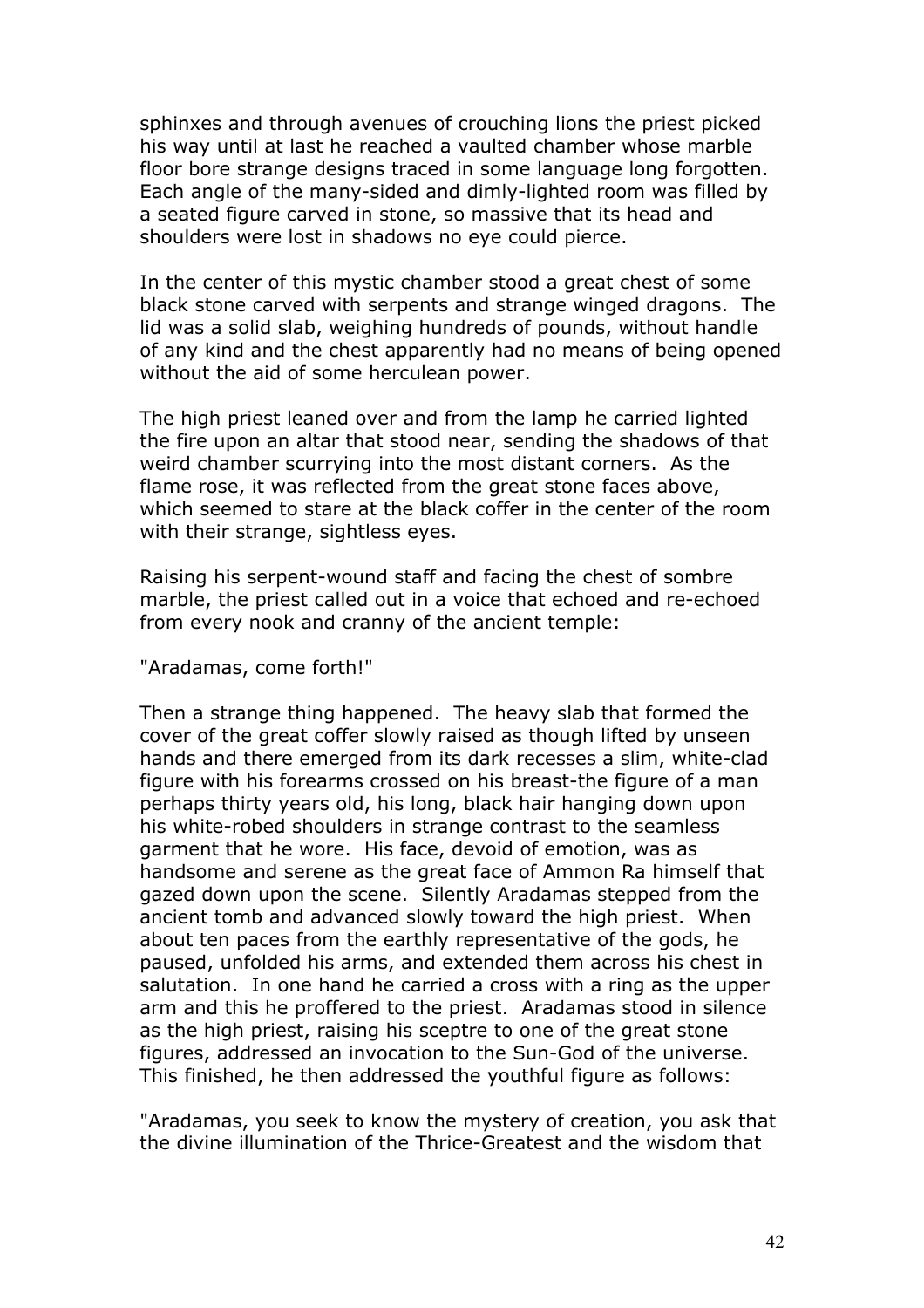sphinxes and through avenues of crouching lions the priest picked his way until at last he reached a vaulted chamber whose marble floor bore strange designs traced in some language long forgotten. Each angle of the many-sided and dimly-lighted room was filled by a seated figure carved in stone, so massive that its head and shoulders were lost in shadows no eye could pierce.

In the center of this mystic chamber stood a great chest of some black stone carved with serpents and strange winged dragons. The lid was a solid slab, weighing hundreds of pounds, without handle of any kind and the chest apparently had no means of being opened without the aid of some herculean power.

The high priest leaned over and from the lamp he carried lighted the fire upon an altar that stood near, sending the shadows of that weird chamber scurrying into the most distant corners. As the flame rose, it was reflected from the great stone faces above, which seemed to stare at the black coffer in the center of the room with their strange, sightless eyes.

Raising his serpent-wound staff and facing the chest of sombre marble, the priest called out in a voice that echoed and re-echoed from every nook and cranny of the ancient temple:

"Aradamas, come forth!"

Then a strange thing happened. The heavy slab that formed the cover of the great coffer slowly raised as though lifted by unseen hands and there emerged from its dark recesses a slim, white-clad figure with his forearms crossed on his breast-the figure of a man perhaps thirty years old, his long, black hair hanging down upon his white-robed shoulders in strange contrast to the seamless garment that he wore. His face, devoid of emotion, was as handsome and serene as the great face of Ammon Ra himself that gazed down upon the scene. Silently Aradamas stepped from the ancient tomb and advanced slowly toward the high priest. When about ten paces from the earthly representative of the gods, he paused, unfolded his arms, and extended them across his chest in salutation. In one hand he carried a cross with a ring as the upper arm and this he proffered to the priest. Aradamas stood in silence as the high priest, raising his sceptre to one of the great stone figures, addressed an invocation to the Sun-God of the universe. This finished, he then addressed the youthful figure as follows:

"Aradamas, you seek to know the mystery of creation, you ask that the divine illumination of the Thrice-Greatest and the wisdom that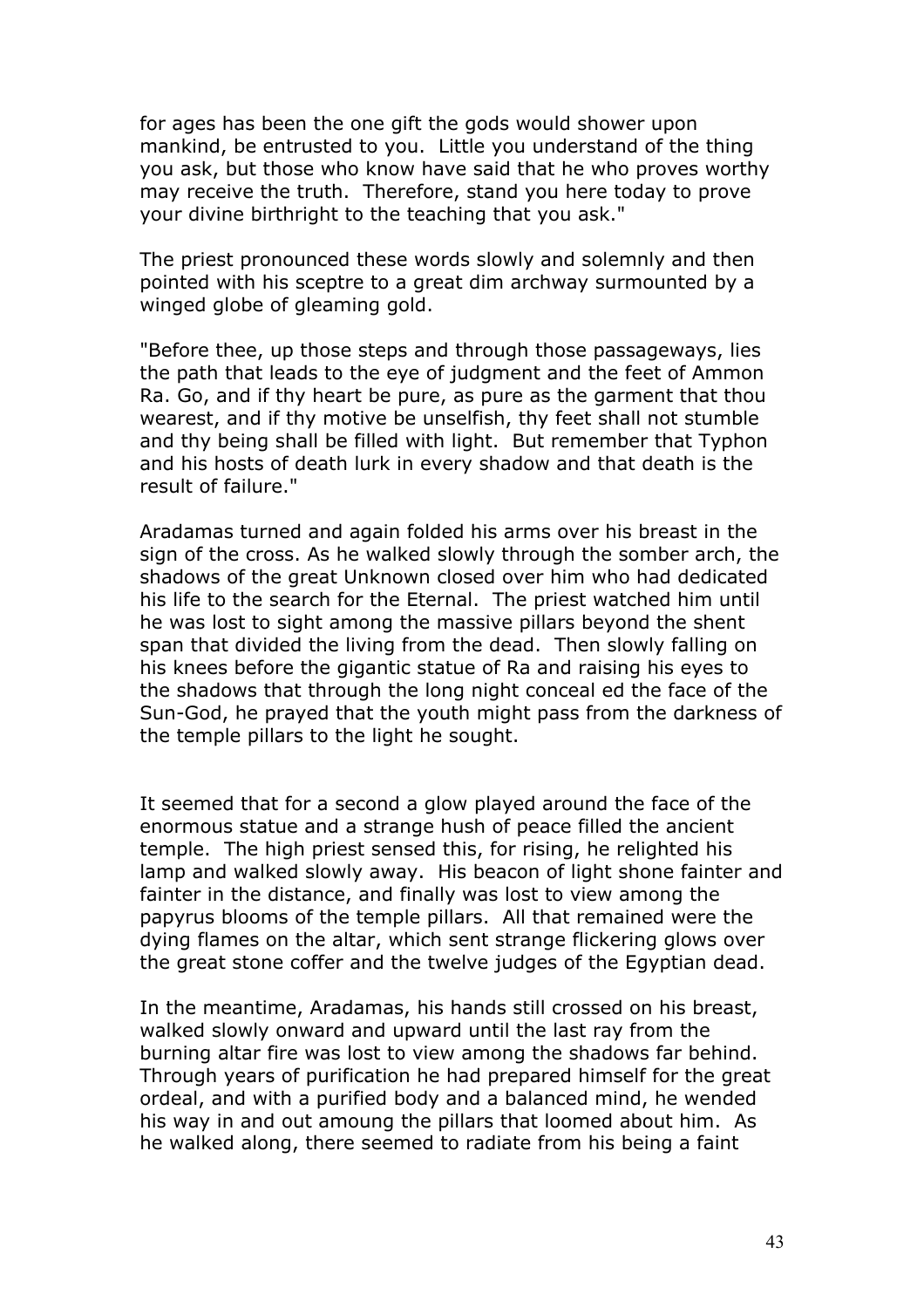for ages has been the one gift the gods would shower upon mankind, be entrusted to you. Little you understand of the thing you ask, but those who know have said that he who proves worthy may receive the truth. Therefore, stand you here today to prove your divine birthright to the teaching that you ask."

The priest pronounced these words slowly and solemnly and then pointed with his sceptre to a great dim archway surmounted by a winged globe of gleaming gold.

"Before thee, up those steps and through those passageways, lies the path that leads to the eye of judgment and the feet of Ammon Ra. Go, and if thy heart be pure, as pure as the garment that thou wearest, and if thy motive be unselfish, thy feet shall not stumble and thy being shall be filled with light. But remember that Typhon and his hosts of death lurk in every shadow and that death is the result of failure."

Aradamas turned and again folded his arms over his breast in the sign of the cross. As he walked slowly through the somber arch, the shadows of the great Unknown closed over him who had dedicated his life to the search for the Eternal. The priest watched him until he was lost to sight among the massive pillars beyond the shent span that divided the living from the dead. Then slowly falling on his knees before the gigantic statue of Ra and raising his eyes to the shadows that through the long night conceal ed the face of the Sun-God, he prayed that the youth might pass from the darkness of the temple pillars to the light he sought.

It seemed that for a second a glow played around the face of the enormous statue and a strange hush of peace filled the ancient temple. The high priest sensed this, for rising, he relighted his lamp and walked slowly away. His beacon of light shone fainter and fainter in the distance, and finally was lost to view among the papyrus blooms of the temple pillars. All that remained were the dying flames on the altar, which sent strange flickering glows over the great stone coffer and the twelve judges of the Egyptian dead.

In the meantime, Aradamas, his hands still crossed on his breast, walked slowly onward and upward until the last ray from the burning altar fire was lost to view among the shadows far behind. Through years of purification he had prepared himself for the great ordeal, and with a purified body and a balanced mind, he wended his way in and out amoung the pillars that loomed about him. As he walked along, there seemed to radiate from his being a faint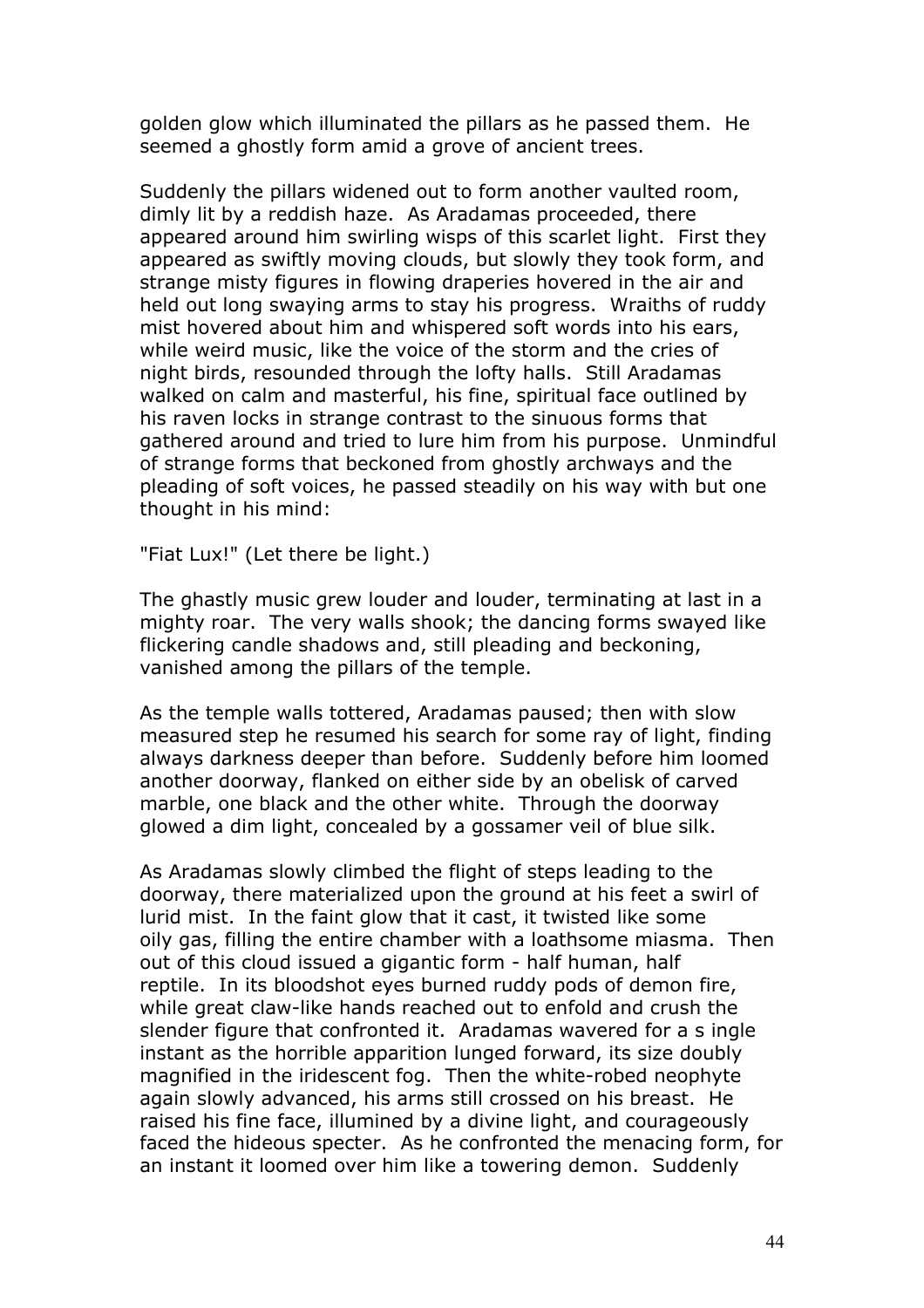golden glow which illuminated the pillars as he passed them. He seemed a ghostly form amid a grove of ancient trees.

Suddenly the pillars widened out to form another vaulted room, dimly lit by a reddish haze. As Aradamas proceeded, there appeared around him swirling wisps of this scarlet light. First they appeared as swiftly moving clouds, but slowly they took form, and strange misty figures in flowing draperies hovered in the air and held out long swaying arms to stay his progress. Wraiths of ruddy mist hovered about him and whispered soft words into his ears, while weird music, like the voice of the storm and the cries of night birds, resounded through the lofty halls. Still Aradamas walked on calm and masterful, his fine, spiritual face outlined by his raven locks in strange contrast to the sinuous forms that gathered around and tried to lure him from his purpose. Unmindful of strange forms that beckoned from ghostly archways and the pleading of soft voices, he passed steadily on his way with but one thought in his mind:

"Fiat Lux!" (Let there be light.)

The ghastly music grew louder and louder, terminating at last in a mighty roar. The very walls shook; the dancing forms swayed like flickering candle shadows and, still pleading and beckoning, vanished among the pillars of the temple.

As the temple walls tottered, Aradamas paused; then with slow measured step he resumed his search for some ray of light, finding always darkness deeper than before. Suddenly before him loomed another doorway, flanked on either side by an obelisk of carved marble, one black and the other white. Through the doorway glowed a dim light, concealed by a gossamer veil of blue silk.

As Aradamas slowly climbed the flight of steps leading to the doorway, there materialized upon the ground at his feet a swirl of lurid mist. In the faint glow that it cast, it twisted like some oily gas, filling the entire chamber with a loathsome miasma. Then out of this cloud issued a gigantic form - half human, half reptile. In its bloodshot eyes burned ruddy pods of demon fire, while great claw-like hands reached out to enfold and crush the slender figure that confronted it. Aradamas wavered for a s ingle instant as the horrible apparition lunged forward, its size doubly magnified in the iridescent fog. Then the white-robed neophyte again slowly advanced, his arms still crossed on his breast. He raised his fine face, illumined by a divine light, and courageously faced the hideous specter. As he confronted the menacing form, for an instant it loomed over him like a towering demon. Suddenly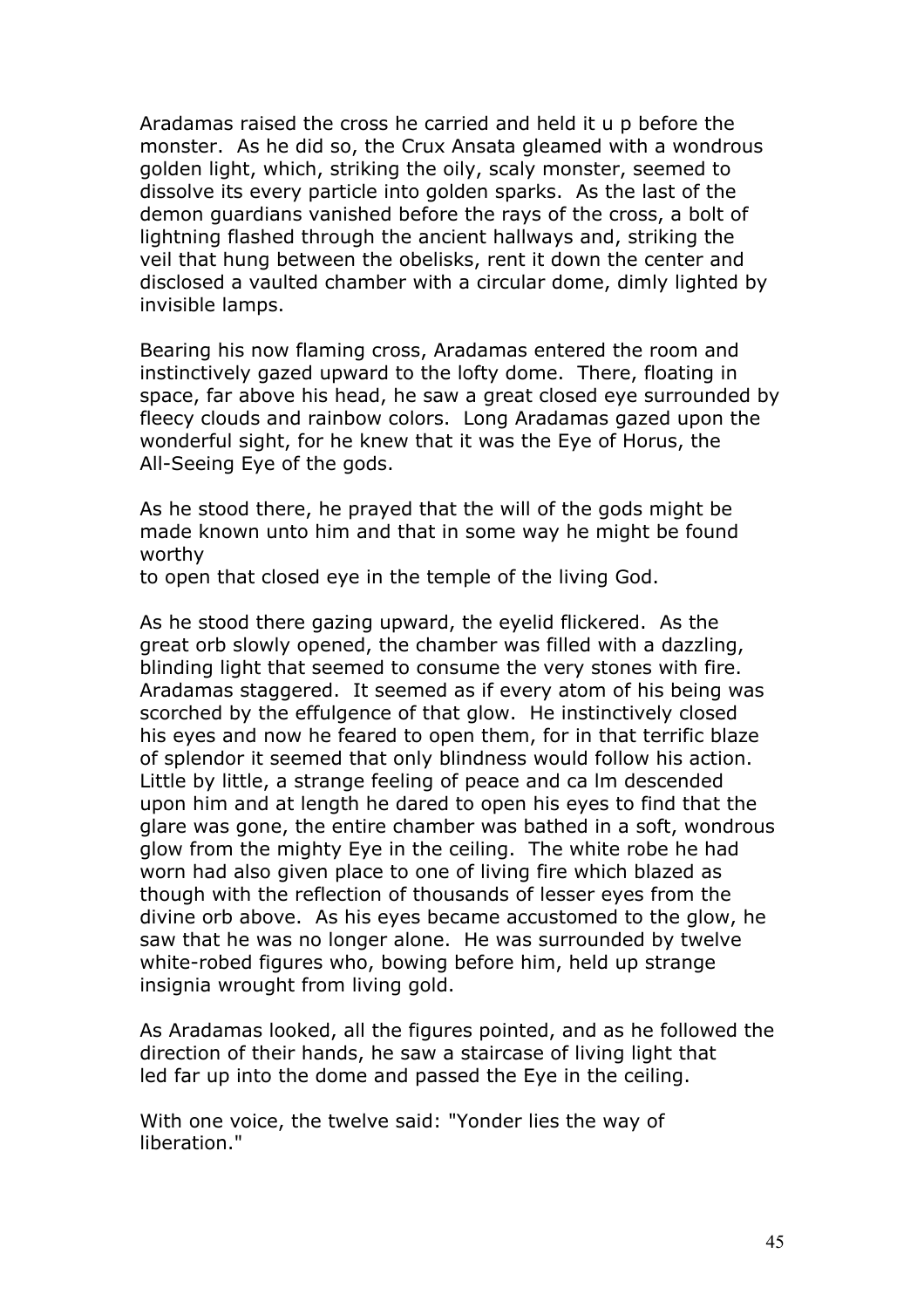Aradamas raised the cross he carried and held it u p before the monster. As he did so, the Crux Ansata gleamed with a wondrous golden light, which, striking the oily, scaly monster, seemed to dissolve its every particle into golden sparks. As the last of the demon guardians vanished before the rays of the cross, a bolt of lightning flashed through the ancient hallways and, striking the veil that hung between the obelisks, rent it down the center and disclosed a vaulted chamber with a circular dome, dimly lighted by invisible lamps.

Bearing his now flaming cross, Aradamas entered the room and instinctively gazed upward to the lofty dome. There, floating in space, far above his head, he saw a great closed eye surrounded by fleecy clouds and rainbow colors. Long Aradamas gazed upon the wonderful sight, for he knew that it was the Eye of Horus, the All-Seeing Eye of the gods.

As he stood there, he prayed that the will of the gods might be made known unto him and that in some way he might be found worthy

to open that closed eye in the temple of the living God.

As he stood there gazing upward, the eyelid flickered. As the great orb slowly opened, the chamber was filled with a dazzling, blinding light that seemed to consume the very stones with fire. Aradamas staggered. It seemed as if every atom of his being was scorched by the effulgence of that glow. He instinctively closed his eyes and now he feared to open them, for in that terrific blaze of splendor it seemed that only blindness would follow his action. Little by little, a strange feeling of peace and ca lm descended upon him and at length he dared to open his eyes to find that the glare was gone, the entire chamber was bathed in a soft, wondrous glow from the mighty Eye in the ceiling. The white robe he had worn had also given place to one of living fire which blazed as though with the reflection of thousands of lesser eyes from the divine orb above. As his eyes became accustomed to the glow, he saw that he was no longer alone. He was surrounded by twelve white-robed figures who, bowing before him, held up strange insignia wrought from living gold.

As Aradamas looked, all the figures pointed, and as he followed the direction of their hands, he saw a staircase of living light that led far up into the dome and passed the Eye in the ceiling.

With one voice, the twelve said: "Yonder lies the way of liberation."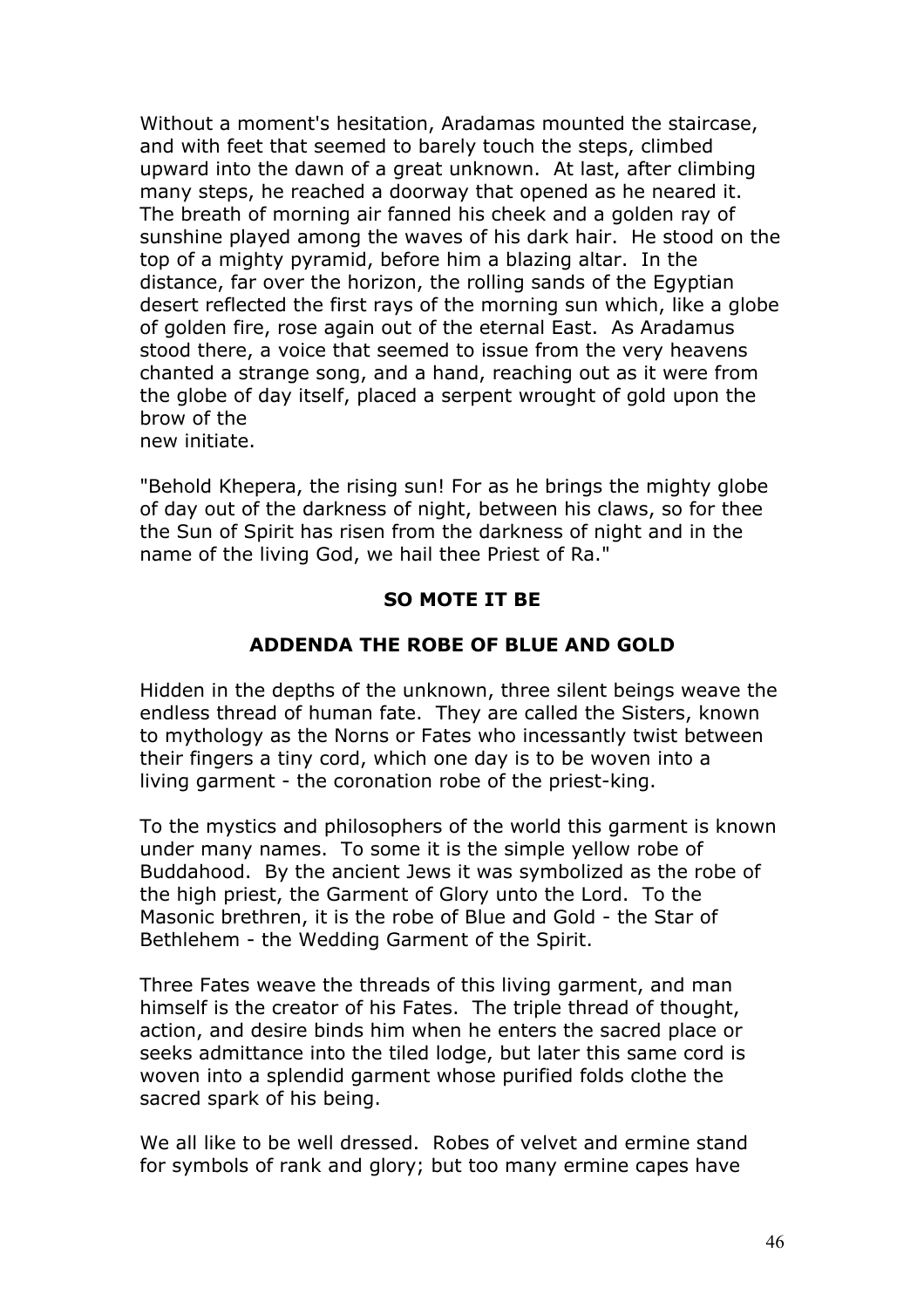Without a moment's hesitation, Aradamas mounted the staircase, and with feet that seemed to barely touch the steps, climbed upward into the dawn of a great unknown. At last, after climbing many steps, he reached a doorway that opened as he neared it. The breath of morning air fanned his cheek and a golden ray of sunshine played among the waves of his dark hair. He stood on the top of a mighty pyramid, before him a blazing altar. In the distance, far over the horizon, the rolling sands of the Egyptian desert reflected the first rays of the morning sun which, like a globe of golden fire, rose again out of the eternal East. As Aradamus stood there, a voice that seemed to issue from the very heavens chanted a strange song, and a hand, reaching out as it were from the globe of day itself, placed a serpent wrought of gold upon the brow of the new initiate.

"Behold Khepera, the rising sun! For as he brings the mighty globe of day out of the darkness of night, between his claws, so for thee the Sun of Spirit has risen from the darkness of night and in the name of the living God, we hail thee Priest of Ra."

## **SO MOTE IT BE**

## **ADDENDA THE ROBE OF BLUE AND GOLD**

Hidden in the depths of the unknown, three silent beings weave the endless thread of human fate. They are called the Sisters, known to mythology as the Norns or Fates who incessantly twist between their fingers a tiny cord, which one day is to be woven into a living garment - the coronation robe of the priest-king.

To the mystics and philosophers of the world this garment is known under many names. To some it is the simple yellow robe of Buddahood. By the ancient Jews it was symbolized as the robe of the high priest, the Garment of Glory unto the Lord. To the Masonic brethren, it is the robe of Blue and Gold - the Star of Bethlehem - the Wedding Garment of the Spirit.

Three Fates weave the threads of this living garment, and man himself is the creator of his Fates. The triple thread of thought, action, and desire binds him when he enters the sacred place or seeks admittance into the tiled lodge, but later this same cord is woven into a splendid garment whose purified folds clothe the sacred spark of his being.

We all like to be well dressed. Robes of velvet and ermine stand for symbols of rank and glory; but too many ermine capes have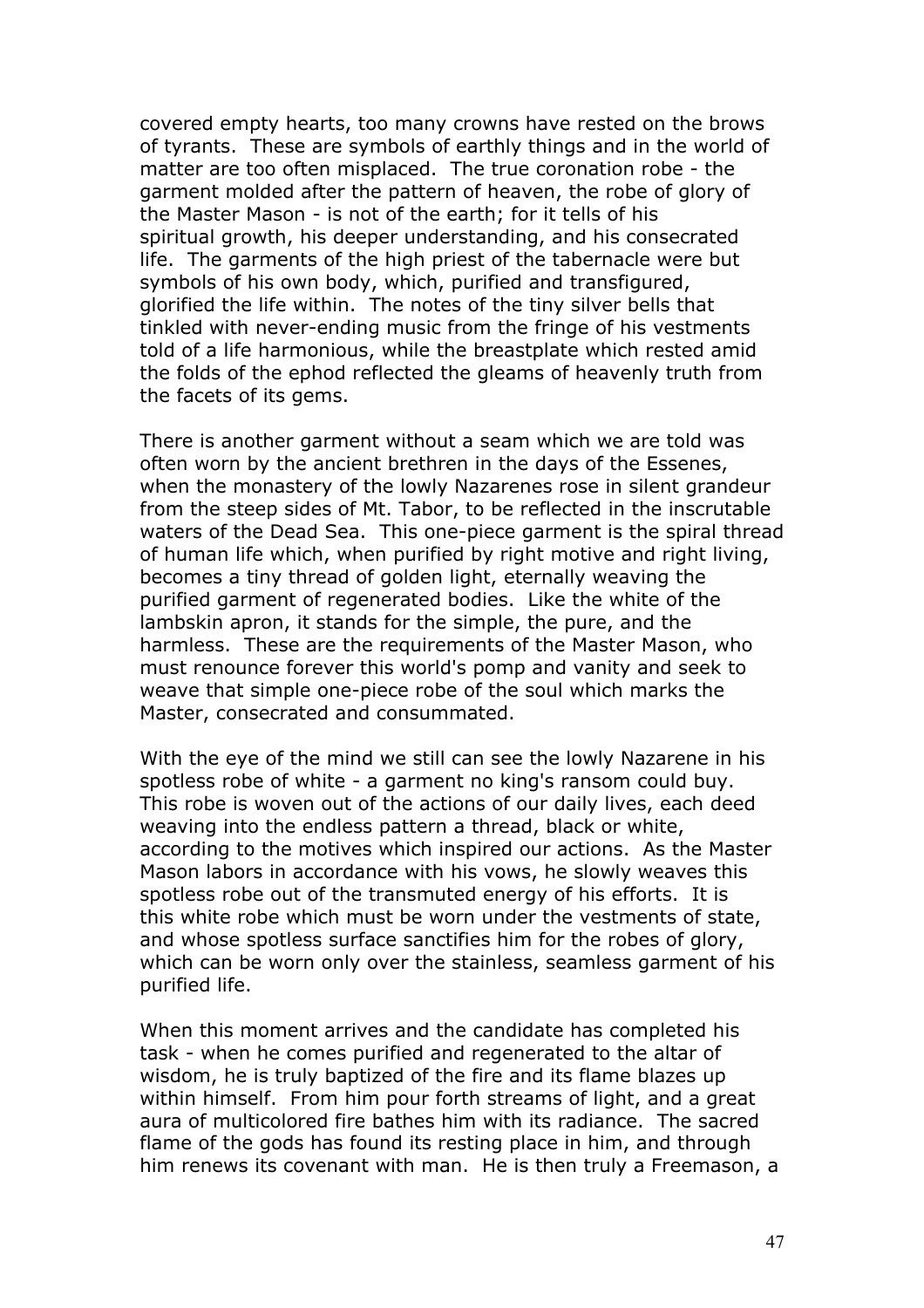covered empty hearts, too many crowns have rested on the brows of tyrants. These are symbols of earthly things and in the world of matter are too often misplaced. The true coronation robe - the garment molded after the pattern of heaven, the robe of glory of the Master Mason - is not of the earth; for it tells of his spiritual growth, his deeper understanding, and his consecrated life. The garments of the high priest of the tabernacle were but symbols of his own body, which, purified and transfigured, glorified the life within. The notes of the tiny silver bells that tinkled with never-ending music from the fringe of his vestments told of a life harmonious, while the breastplate which rested amid the folds of the ephod reflected the gleams of heavenly truth from the facets of its gems.

There is another garment without a seam which we are told was often worn by the ancient brethren in the days of the Essenes, when the monastery of the lowly Nazarenes rose in silent grandeur from the steep sides of Mt. Tabor, to be reflected in the inscrutable waters of the Dead Sea. This one-piece garment is the spiral thread of human life which, when purified by right motive and right living, becomes a tiny thread of golden light, eternally weaving the purified garment of regenerated bodies. Like the white of the lambskin apron, it stands for the simple, the pure, and the harmless. These are the requirements of the Master Mason, who must renounce forever this world's pomp and vanity and seek to weave that simple one-piece robe of the soul which marks the Master, consecrated and consummated.

With the eye of the mind we still can see the lowly Nazarene in his spotless robe of white - a garment no king's ransom could buy. This robe is woven out of the actions of our daily lives, each deed weaving into the endless pattern a thread, black or white, according to the motives which inspired our actions. As the Master Mason labors in accordance with his vows, he slowly weaves this spotless robe out of the transmuted energy of his efforts. It is this white robe which must be worn under the vestments of state, and whose spotless surface sanctifies him for the robes of glory, which can be worn only over the stainless, seamless garment of his purified life.

When this moment arrives and the candidate has completed his task - when he comes purified and regenerated to the altar of wisdom, he is truly baptized of the fire and its flame blazes up within himself. From him pour forth streams of light, and a great aura of multicolored fire bathes him with its radiance. The sacred flame of the gods has found its resting place in him, and through him renews its covenant with man. He is then truly a Freemason, a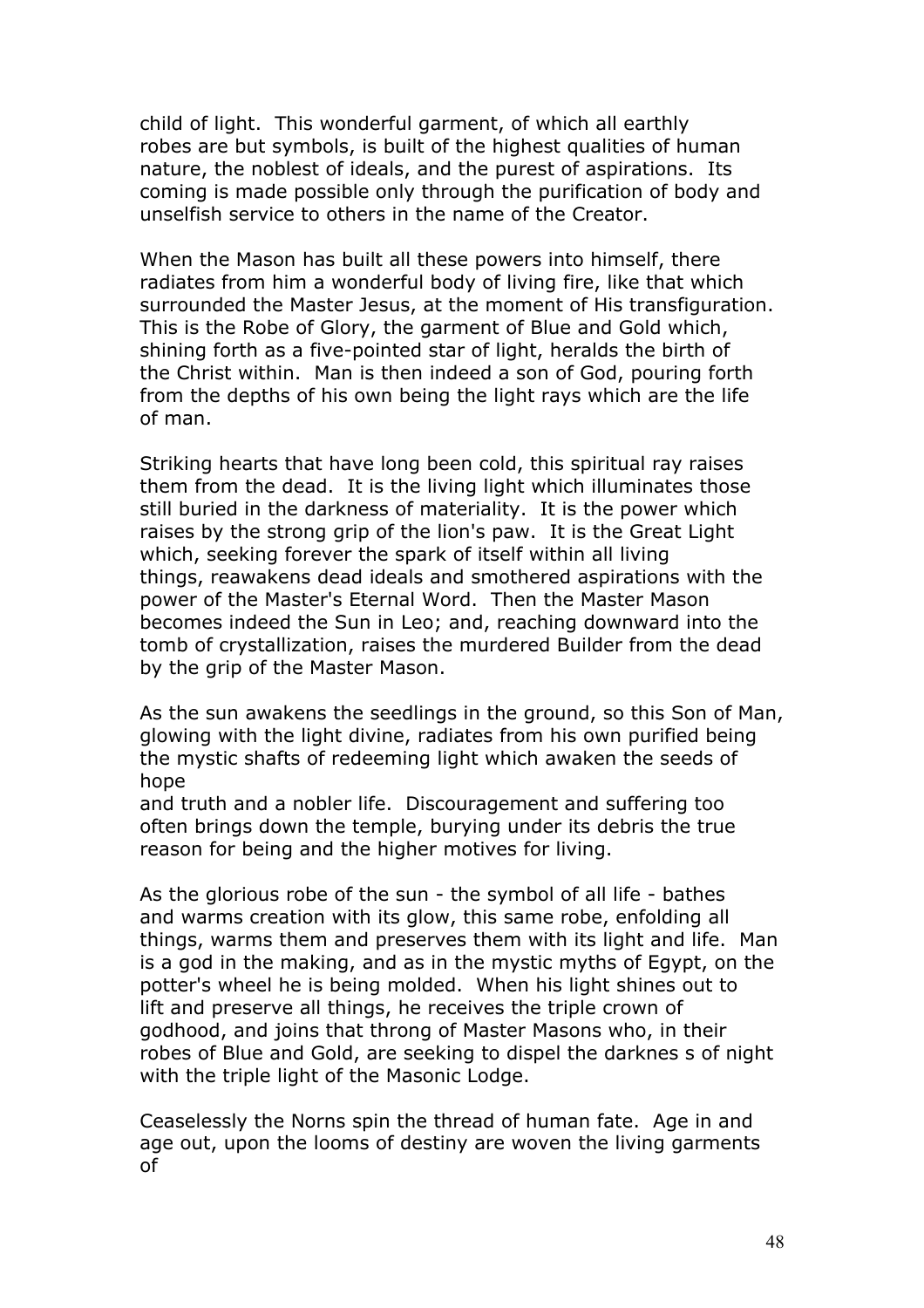child of light. This wonderful garment, of which all earthly robes are but symbols, is built of the highest qualities of human nature, the noblest of ideals, and the purest of aspirations. Its coming is made possible only through the purification of body and unselfish service to others in the name of the Creator.

When the Mason has built all these powers into himself, there radiates from him a wonderful body of living fire, like that which surrounded the Master Jesus, at the moment of His transfiguration. This is the Robe of Glory, the garment of Blue and Gold which, shining forth as a five-pointed star of light, heralds the birth of the Christ within. Man is then indeed a son of God, pouring forth from the depths of his own being the light rays which are the life of man.

Striking hearts that have long been cold, this spiritual ray raises them from the dead. It is the living light which illuminates those still buried in the darkness of materiality. It is the power which raises by the strong grip of the lion's paw. It is the Great Light which, seeking forever the spark of itself within all living things, reawakens dead ideals and smothered aspirations with the power of the Master's Eternal Word. Then the Master Mason becomes indeed the Sun in Leo; and, reaching downward into the tomb of crystallization, raises the murdered Builder from the dead by the grip of the Master Mason.

As the sun awakens the seedlings in the ground, so this Son of Man, glowing with the light divine, radiates from his own purified being the mystic shafts of redeeming light which awaken the seeds of hope

and truth and a nobler life. Discouragement and suffering too often brings down the temple, burying under its debris the true reason for being and the higher motives for living.

As the glorious robe of the sun - the symbol of all life - bathes and warms creation with its glow, this same robe, enfolding all things, warms them and preserves them with its light and life. Man is a god in the making, and as in the mystic myths of Egypt, on the potter's wheel he is being molded. When his light shines out to lift and preserve all things, he receives the triple crown of godhood, and joins that throng of Master Masons who, in their robes of Blue and Gold, are seeking to dispel the darknes s of night with the triple light of the Masonic Lodge.

Ceaselessly the Norns spin the thread of human fate. Age in and age out, upon the looms of destiny are woven the living garments of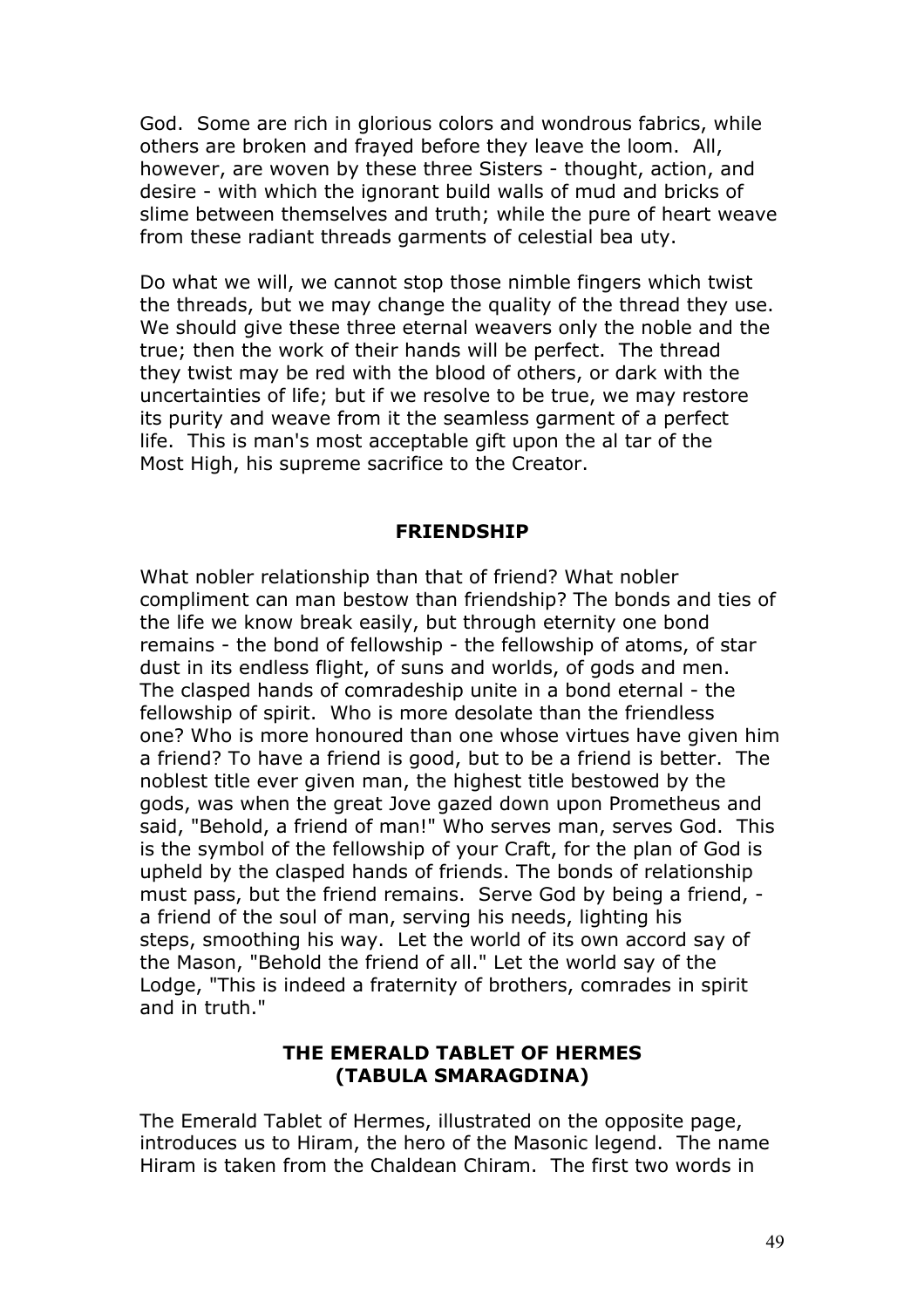God. Some are rich in glorious colors and wondrous fabrics, while others are broken and frayed before they leave the loom. All, however, are woven by these three Sisters - thought, action, and desire - with which the ignorant build walls of mud and bricks of slime between themselves and truth; while the pure of heart weave from these radiant threads garments of celestial bea uty.

Do what we will, we cannot stop those nimble fingers which twist the threads, but we may change the quality of the thread they use. We should give these three eternal weavers only the noble and the true; then the work of their hands will be perfect. The thread they twist may be red with the blood of others, or dark with the uncertainties of life; but if we resolve to be true, we may restore its purity and weave from it the seamless garment of a perfect life. This is man's most acceptable gift upon the al tar of the Most High, his supreme sacrifice to the Creator.

#### **FRIENDSHIP**

What nobler relationship than that of friend? What nobler compliment can man bestow than friendship? The bonds and ties of the life we know break easily, but through eternity one bond remains - the bond of fellowship - the fellowship of atoms, of star dust in its endless flight, of suns and worlds, of gods and men. The clasped hands of comradeship unite in a bond eternal - the fellowship of spirit. Who is more desolate than the friendless one? Who is more honoured than one whose virtues have given him a friend? To have a friend is good, but to be a friend is better. The noblest title ever given man, the highest title bestowed by the gods, was when the great Jove gazed down upon Prometheus and said, "Behold, a friend of man!" Who serves man, serves God. This is the symbol of the fellowship of your Craft, for the plan of God is upheld by the clasped hands of friends. The bonds of relationship must pass, but the friend remains. Serve God by being a friend, a friend of the soul of man, serving his needs, lighting his steps, smoothing his way. Let the world of its own accord say of the Mason, "Behold the friend of all." Let the world say of the Lodge, "This is indeed a fraternity of brothers, comrades in spirit and in truth."

### **THE EMERALD TABLET OF HERMES (TABULA SMARAGDINA)**

The Emerald Tablet of Hermes, illustrated on the opposite page, introduces us to Hiram, the hero of the Masonic legend. The name Hiram is taken from the Chaldean Chiram. The first two words in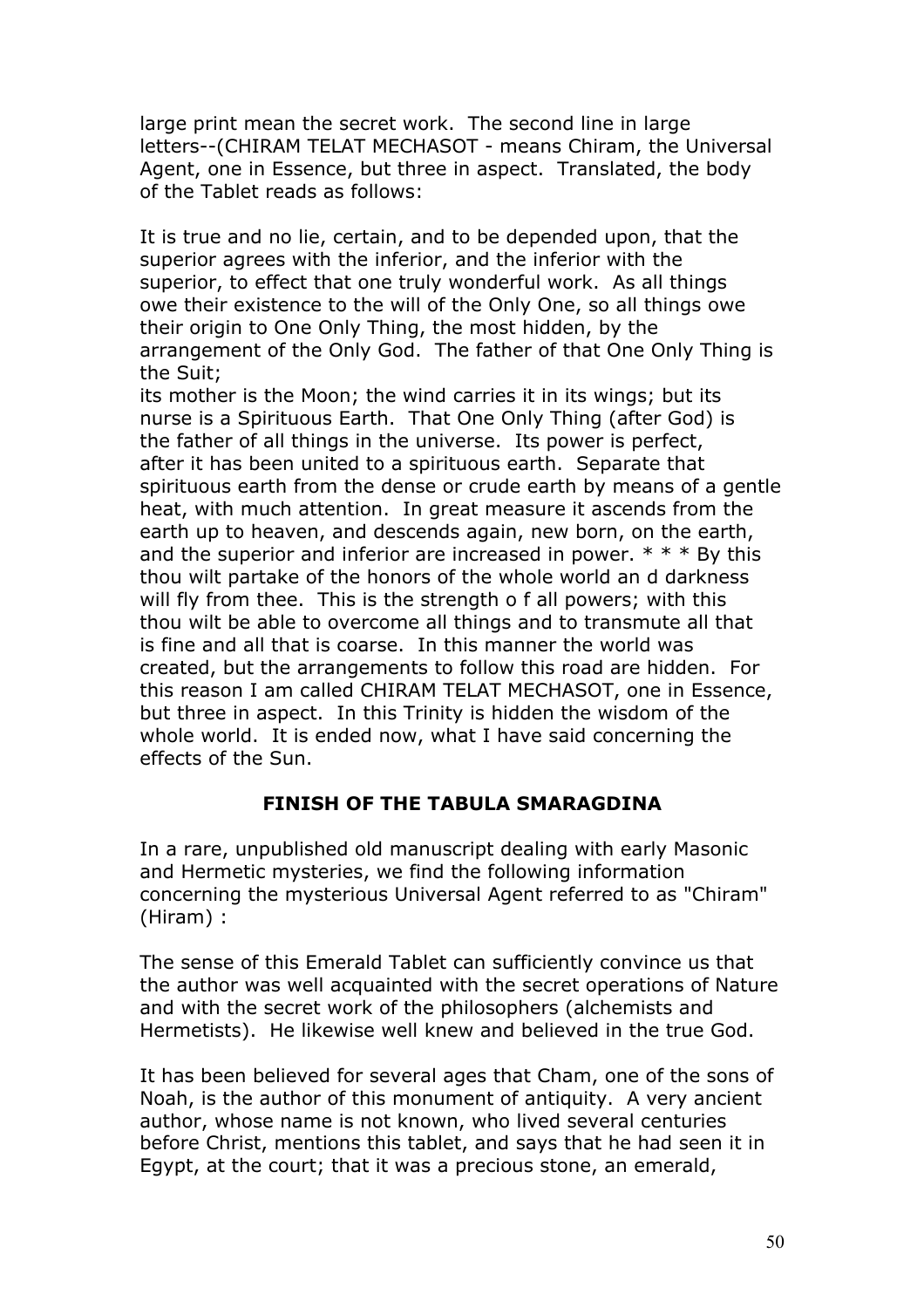large print mean the secret work. The second line in large letters--(CHIRAM TELAT MECHASOT - means Chiram, the Universal Agent, one in Essence, but three in aspect. Translated, the body of the Tablet reads as follows:

It is true and no lie, certain, and to be depended upon, that the superior agrees with the inferior, and the inferior with the superior, to effect that one truly wonderful work. As all things owe their existence to the will of the Only One, so all things owe their origin to One Only Thing, the most hidden, by the arrangement of the Only God. The father of that One Only Thing is the Suit;

its mother is the Moon; the wind carries it in its wings; but its nurse is a Spirituous Earth. That One Only Thing (after God) is the father of all things in the universe. Its power is perfect, after it has been united to a spirituous earth. Separate that spirituous earth from the dense or crude earth by means of a gentle heat, with much attention. In great measure it ascends from the earth up to heaven, and descends again, new born, on the earth, and the superior and inferior are increased in power.  $* * *$  By this thou wilt partake of the honors of the whole world an d darkness will fly from thee. This is the strength o f all powers; with this thou wilt be able to overcome all things and to transmute all that is fine and all that is coarse. In this manner the world was created, but the arrangements to follow this road are hidden. For this reason I am called CHIRAM TELAT MECHASOT, one in Essence, but three in aspect. In this Trinity is hidden the wisdom of the whole world. It is ended now, what I have said concerning the effects of the Sun.

## **FINISH OF THE TABULA SMARAGDINA**

In a rare, unpublished old manuscript dealing with early Masonic and Hermetic mysteries, we find the following information concerning the mysterious Universal Agent referred to as "Chiram" (Hiram) :

The sense of this Emerald Tablet can sufficiently convince us that the author was well acquainted with the secret operations of Nature and with the secret work of the philosophers (alchemists and Hermetists). He likewise well knew and believed in the true God.

It has been believed for several ages that Cham, one of the sons of Noah, is the author of this monument of antiquity. A very ancient author, whose name is not known, who lived several centuries before Christ, mentions this tablet, and says that he had seen it in Egypt, at the court; that it was a precious stone, an emerald,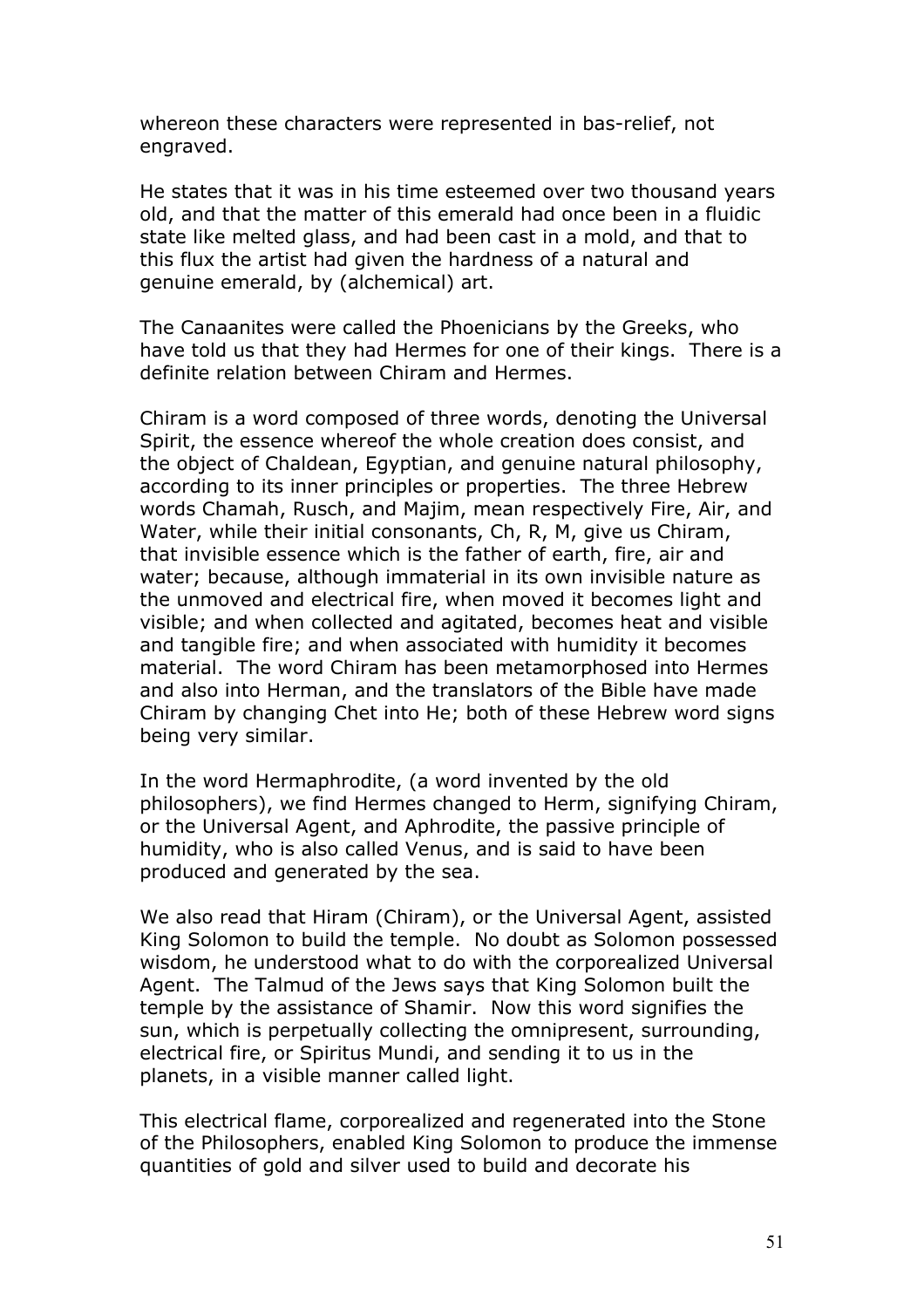whereon these characters were represented in bas-relief, not engraved.

He states that it was in his time esteemed over two thousand years old, and that the matter of this emerald had once been in a fluidic state like melted glass, and had been cast in a mold, and that to this flux the artist had given the hardness of a natural and genuine emerald, by (alchemical) art.

The Canaanites were called the Phoenicians by the Greeks, who have told us that they had Hermes for one of their kings. There is a definite relation between Chiram and Hermes.

Chiram is a word composed of three words, denoting the Universal Spirit, the essence whereof the whole creation does consist, and the object of Chaldean, Egyptian, and genuine natural philosophy, according to its inner principles or properties. The three Hebrew words Chamah, Rusch, and Majim, mean respectively Fire, Air, and Water, while their initial consonants, Ch, R, M, give us Chiram, that invisible essence which is the father of earth, fire, air and water; because, although immaterial in its own invisible nature as the unmoved and electrical fire, when moved it becomes light and visible; and when collected and agitated, becomes heat and visible and tangible fire; and when associated with humidity it becomes material. The word Chiram has been metamorphosed into Hermes and also into Herman, and the translators of the Bible have made Chiram by changing Chet into He; both of these Hebrew word signs being very similar.

In the word Hermaphrodite, (a word invented by the old philosophers), we find Hermes changed to Herm, signifying Chiram, or the Universal Agent, and Aphrodite, the passive principle of humidity, who is also called Venus, and is said to have been produced and generated by the sea.

We also read that Hiram (Chiram), or the Universal Agent, assisted King Solomon to build the temple. No doubt as Solomon possessed wisdom, he understood what to do with the corporealized Universal Agent. The Talmud of the Jews says that King Solomon built the temple by the assistance of Shamir. Now this word signifies the sun, which is perpetually collecting the omnipresent, surrounding, electrical fire, or Spiritus Mundi, and sending it to us in the planets, in a visible manner called light.

This electrical flame, corporealized and regenerated into the Stone of the Philosophers, enabled King Solomon to produce the immense quantities of gold and silver used to build and decorate his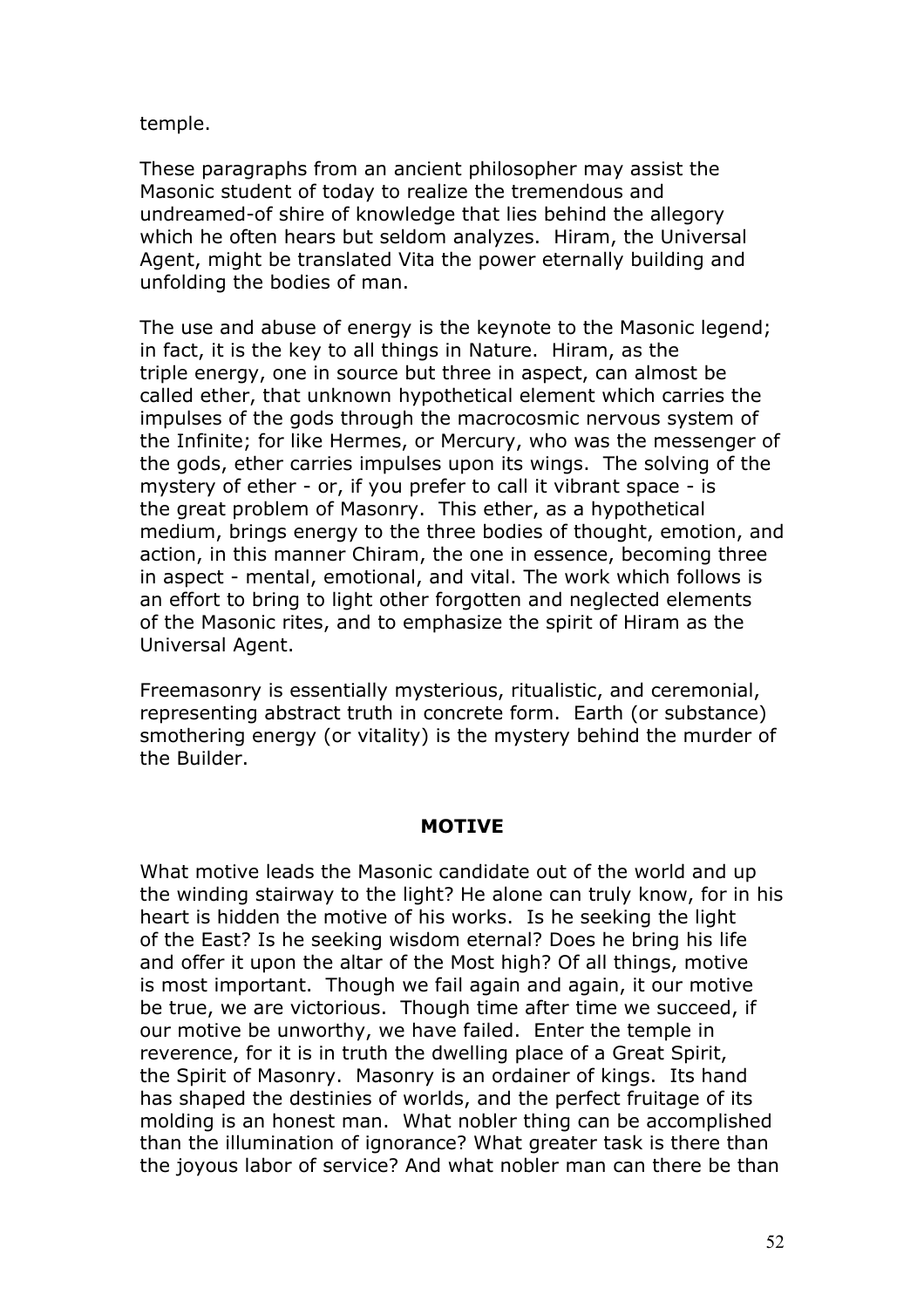temple.

These paragraphs from an ancient philosopher may assist the Masonic student of today to realize the tremendous and undreamed-of shire of knowledge that lies behind the allegory which he often hears but seldom analyzes. Hiram, the Universal Agent, might be translated Vita the power eternally building and unfolding the bodies of man.

The use and abuse of energy is the keynote to the Masonic legend; in fact, it is the key to all things in Nature. Hiram, as the triple energy, one in source but three in aspect, can almost be called ether, that unknown hypothetical element which carries the impulses of the gods through the macrocosmic nervous system of the Infinite; for like Hermes, or Mercury, who was the messenger of the gods, ether carries impulses upon its wings. The solving of the mystery of ether - or, if you prefer to call it vibrant space - is the great problem of Masonry. This ether, as a hypothetical medium, brings energy to the three bodies of thought, emotion, and action, in this manner Chiram, the one in essence, becoming three in aspect - mental, emotional, and vital. The work which follows is an effort to bring to light other forgotten and neglected elements of the Masonic rites, and to emphasize the spirit of Hiram as the Universal Agent.

Freemasonry is essentially mysterious, ritualistic, and ceremonial, representing abstract truth in concrete form. Earth (or substance) smothering energy (or vitality) is the mystery behind the murder of the Builder.

#### **MOTIVE**

What motive leads the Masonic candidate out of the world and up the winding stairway to the light? He alone can truly know, for in his heart is hidden the motive of his works. Is he seeking the light of the East? Is he seeking wisdom eternal? Does he bring his life and offer it upon the altar of the Most high? Of all things, motive is most important. Though we fail again and again, it our motive be true, we are victorious. Though time after time we succeed, if our motive be unworthy, we have failed. Enter the temple in reverence, for it is in truth the dwelling place of a Great Spirit, the Spirit of Masonry. Masonry is an ordainer of kings. Its hand has shaped the destinies of worlds, and the perfect fruitage of its molding is an honest man. What nobler thing can be accomplished than the illumination of ignorance? What greater task is there than the joyous labor of service? And what nobler man can there be than